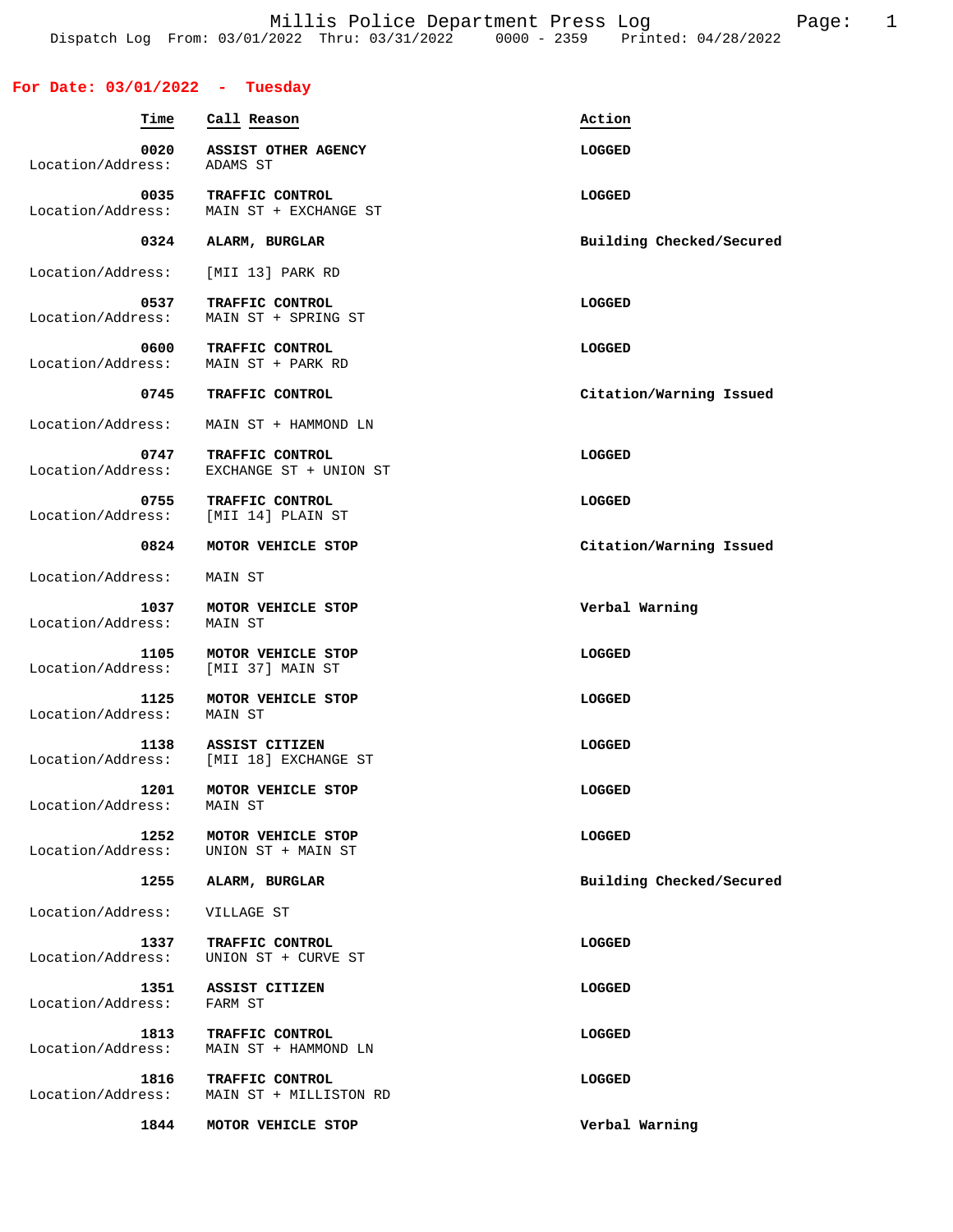## **For Date: 03/01/2022 - Tuesday**

| Time                      | Call Reason                               | Action                   |
|---------------------------|-------------------------------------------|--------------------------|
| 0020<br>Location/Address: | ASSIST OTHER AGENCY<br>ADAMS ST           | <b>LOGGED</b>            |
| 0035<br>Location/Address: | TRAFFIC CONTROL<br>MAIN ST + EXCHANGE ST  | LOGGED                   |
| 0324                      | ALARM, BURGLAR                            | Building Checked/Secured |
| Location/Address:         | [MII 13] PARK RD                          |                          |
| 0537<br>Location/Address: | TRAFFIC CONTROL<br>MAIN ST + SPRING ST    | <b>LOGGED</b>            |
| 0600<br>Location/Address: | TRAFFIC CONTROL<br>MAIN ST + PARK RD      | LOGGED                   |
| 0745                      | TRAFFIC CONTROL                           | Citation/Warning Issued  |
| Location/Address:         | MAIN ST + HAMMOND LN                      |                          |
| 0747<br>Location/Address: | TRAFFIC CONTROL<br>EXCHANGE ST + UNION ST | LOGGED                   |
| 0755<br>Location/Address: | TRAFFIC CONTROL<br>[MII 14] PLAIN ST      | LOGGED                   |
| 0824                      | MOTOR VEHICLE STOP                        | Citation/Warning Issued  |
| Location/Address:         | MAIN ST                                   |                          |
| 1037<br>Location/Address: | MOTOR VEHICLE STOP<br>MAIN ST             | Verbal Warning           |
| 1105<br>Location/Address: | MOTOR VEHICLE STOP<br>[MII 37] MAIN ST    | LOGGED                   |
| 1125<br>Location/Address: | MOTOR VEHICLE STOP<br>MAIN ST             | LOGGED                   |
| 1138<br>Location/Address: | ASSIST CITIZEN<br>[MII 18] EXCHANGE ST    | LOGGED                   |
| 1201<br>Location/Address: | MOTOR VEHICLE STOP<br>MAIN ST             | LOGGED                   |
| 1252<br>Location/Address: | MOTOR VEHICLE STOP<br>UNION ST + MAIN ST  | LOGGED                   |
| 1255                      | ALARM, BURGLAR                            | Building Checked/Secured |
| Location/Address:         | VILLAGE ST                                |                          |
| 1337<br>Location/Address: | TRAFFIC CONTROL<br>UNION ST + CURVE ST    | LOGGED                   |
| 1351<br>Location/Address: | ASSIST CITIZEN<br>FARM ST                 | LOGGED                   |
| 1813<br>Location/Address: | TRAFFIC CONTROL<br>MAIN ST + HAMMOND LN   | LOGGED                   |
| 1816<br>Location/Address: | TRAFFIC CONTROL<br>MAIN ST + MILLISTON RD | LOGGED                   |
| 1844                      | MOTOR VEHICLE STOP                        | Verbal Warning           |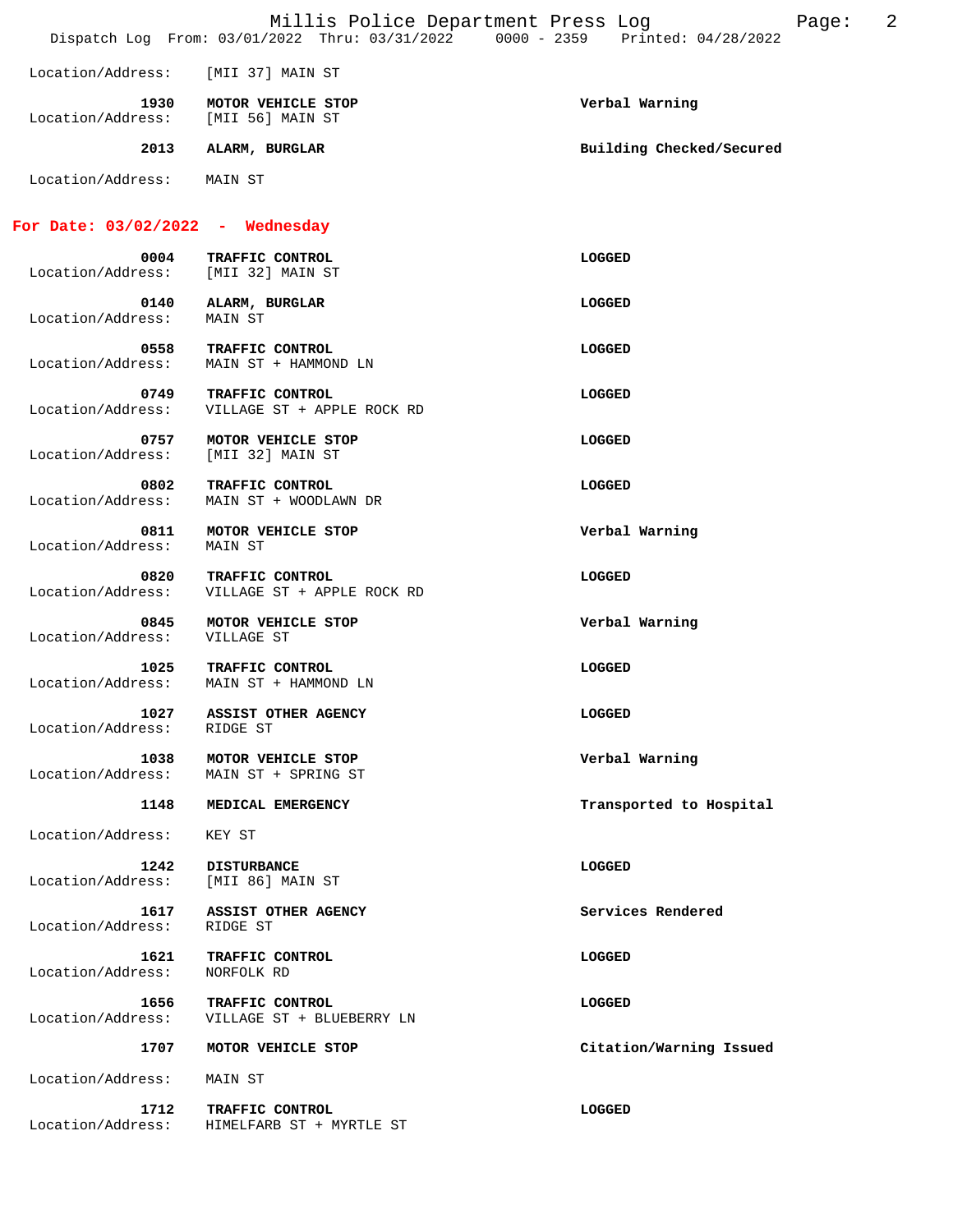|                                    | Millis Police Department Press Log<br>Dispatch Log From: 03/01/2022 Thru: 03/31/2022 0000 - 2359 Printed: 04/28/2022 | 2<br>Page:               |
|------------------------------------|----------------------------------------------------------------------------------------------------------------------|--------------------------|
| Location/Address:                  | [MII 37] MAIN ST                                                                                                     |                          |
| 1930<br>Location/Address:          | MOTOR VEHICLE STOP<br>[MII 56] MAIN ST                                                                               | Verbal Warning           |
| 2013                               | ALARM, BURGLAR                                                                                                       | Building Checked/Secured |
| Location/Address:                  | MAIN ST                                                                                                              |                          |
| For Date: $03/02/2022 -$ Wednesday |                                                                                                                      |                          |
| 0004<br>Location/Address:          | TRAFFIC CONTROL<br>[MII 32] MAIN ST                                                                                  | LOGGED                   |
| 0140<br>Location/Address:          | ALARM, BURGLAR<br>MAIN ST                                                                                            | LOGGED                   |
| 0558<br>Location/Address:          | TRAFFIC CONTROL<br>MAIN ST + HAMMOND LN                                                                              | LOGGED                   |
| 0749<br>Location/Address:          | TRAFFIC CONTROL<br>VILLAGE ST + APPLE ROCK RD                                                                        | LOGGED                   |
| 0757<br>Location/Address:          | MOTOR VEHICLE STOP<br>[MII 32] MAIN ST                                                                               | LOGGED                   |
| 0802<br>Location/Address:          | TRAFFIC CONTROL<br>MAIN ST + WOODLAWN DR                                                                             | LOGGED                   |
| 0811<br>Location/Address:          | MOTOR VEHICLE STOP<br>MAIN ST                                                                                        | Verbal Warning           |
| 0820<br>Location/Address:          | TRAFFIC CONTROL<br>VILLAGE ST + APPLE ROCK RD                                                                        | LOGGED                   |
| 0845<br>Location/Address:          | MOTOR VEHICLE STOP<br>VILLAGE ST                                                                                     | Verbal Warning           |
| 1025<br>Location/Address:          | <b>TRAFFIC CONTROL</b><br>MAIN ST + HAMMOND LN                                                                       | LOGGED                   |
| 1027<br>Location/Address:          | <b>ASSIST OTHER AGENCY</b><br>RIDGE ST                                                                               | LOGGED                   |
| 1038<br>Location/Address:          | MOTOR VEHICLE STOP<br>MAIN ST + SPRING ST                                                                            | Verbal Warning           |
| 1148                               | MEDICAL EMERGENCY                                                                                                    | Transported to Hospital  |
| Location/Address:                  | KEY ST                                                                                                               |                          |
| 1242<br>Location/Address:          | <b>DISTURBANCE</b><br>[MII 86] MAIN ST                                                                               | LOGGED                   |
| 1617<br>Location/Address:          | ASSIST OTHER AGENCY<br>RIDGE ST                                                                                      | Services Rendered        |
| 1621<br>Location/Address:          | TRAFFIC CONTROL<br>NORFOLK RD                                                                                        | LOGGED                   |
| 1656<br>Location/Address:          | TRAFFIC CONTROL<br>VILLAGE ST + BLUEBERRY LN                                                                         | LOGGED                   |
| 1707                               | MOTOR VEHICLE STOP                                                                                                   | Citation/Warning Issued  |
| Location/Address:                  | MAIN ST                                                                                                              |                          |
| 1712<br>Location/Address:          | TRAFFIC CONTROL<br>HIMELFARB ST + MYRTLE ST                                                                          | LOGGED                   |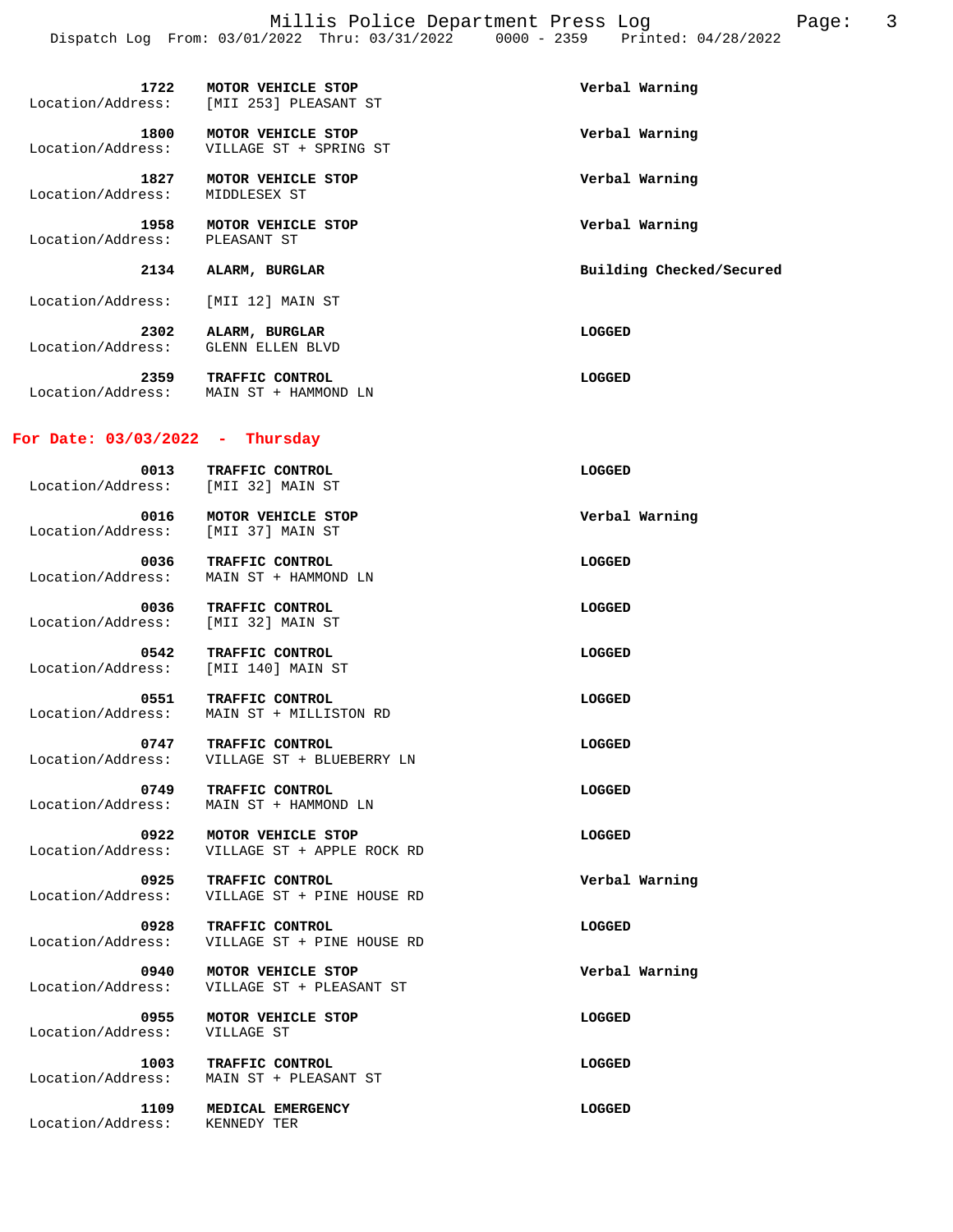Millis Police Department Press Log Page: 3 Dispatch Log From: 03/01/2022 Thru: 03/31/2022 0000 - 2359 Printed: 04/28/2022

| 1722<br>Location/Address: | MOTOR VEHICLE STOP<br>[MII 253] PLEASANT ST  | Verbal Warning           |
|---------------------------|----------------------------------------------|--------------------------|
| 1800<br>Location/Address: | MOTOR VEHICLE STOP<br>VILLAGE ST + SPRING ST | Verbal Warning           |
| 1827<br>Location/Address: | MOTOR VEHICLE STOP<br>MIDDLESEX ST           | Verbal Warning           |
| 1958<br>Location/Address: | MOTOR VEHICLE STOP<br>PLEASANT ST            | Verbal Warning           |
| 2134                      | ALARM, BURGLAR                               | Building Checked/Secured |
| Location/Address:         | [MII 12] MAIN ST                             |                          |
| 2302<br>Location/Address: | ALARM, BURGLAR<br>GLENN ELLEN BLVD           | LOGGED                   |

 **2359 TRAFFIC CONTROL LOGGED**  Location/Address: MAIN ST + HAMMOND LN

## **For Date: 03/03/2022 - Thursday**

| 0013<br>Location/Address: [MII 32] MAIN ST | TRAFFIC CONTROL                                                | LOGGED         |
|--------------------------------------------|----------------------------------------------------------------|----------------|
| 0016<br>Location/Address: [MII 37] MAIN ST | MOTOR VEHICLE STOP                                             | Verbal Warning |
| 0036<br>Location/Address:                  | TRAFFIC CONTROL<br>MAIN ST + HAMMOND LN                        | LOGGED         |
| 0036<br>Location/Address:                  | TRAFFIC CONTROL<br>[MII 32] MAIN ST                            | LOGGED         |
| 0542<br>Location/Address:                  | TRAFFIC CONTROL<br>[MII 140] MAIN ST                           | LOGGED         |
| 0551<br>Location/Address:                  | TRAFFIC CONTROL<br>MAIN ST + MILLISTON RD                      | LOGGED         |
| 0747                                       | TRAFFIC CONTROL<br>Location/Address: VILLAGE ST + BLUEBERRY LN | LOGGED         |
| 0749<br>Location/Address:                  | TRAFFIC CONTROL<br>MAIN ST + HAMMOND LN                        | LOGGED         |
| 0922<br>Location/Address:                  | MOTOR VEHICLE STOP<br>VILLAGE ST + APPLE ROCK RD               | LOGGED         |
| 0925<br>Location/Address:                  | TRAFFIC CONTROL<br>VILLAGE ST + PINE HOUSE RD                  | Verbal Warning |
| 0928<br>Location/Address:                  | TRAFFIC CONTROL<br>VILLAGE ST + PINE HOUSE RD                  | LOGGED         |
| 0940<br>Location/Address:                  | MOTOR VEHICLE STOP<br>VILLAGE ST + PLEASANT ST                 | Verbal Warning |
| 0955<br>Location/Address:                  | MOTOR VEHICLE STOP<br>VILLAGE ST                               | LOGGED         |
| 1003                                       | TRAFFIC CONTROL<br>Location/Address: MAIN ST + PLEASANT ST     | LOGGED         |
| 1109<br>Location/Address:                  | MEDICAL EMERGENCY<br>KENNEDY TER                               | LOGGED         |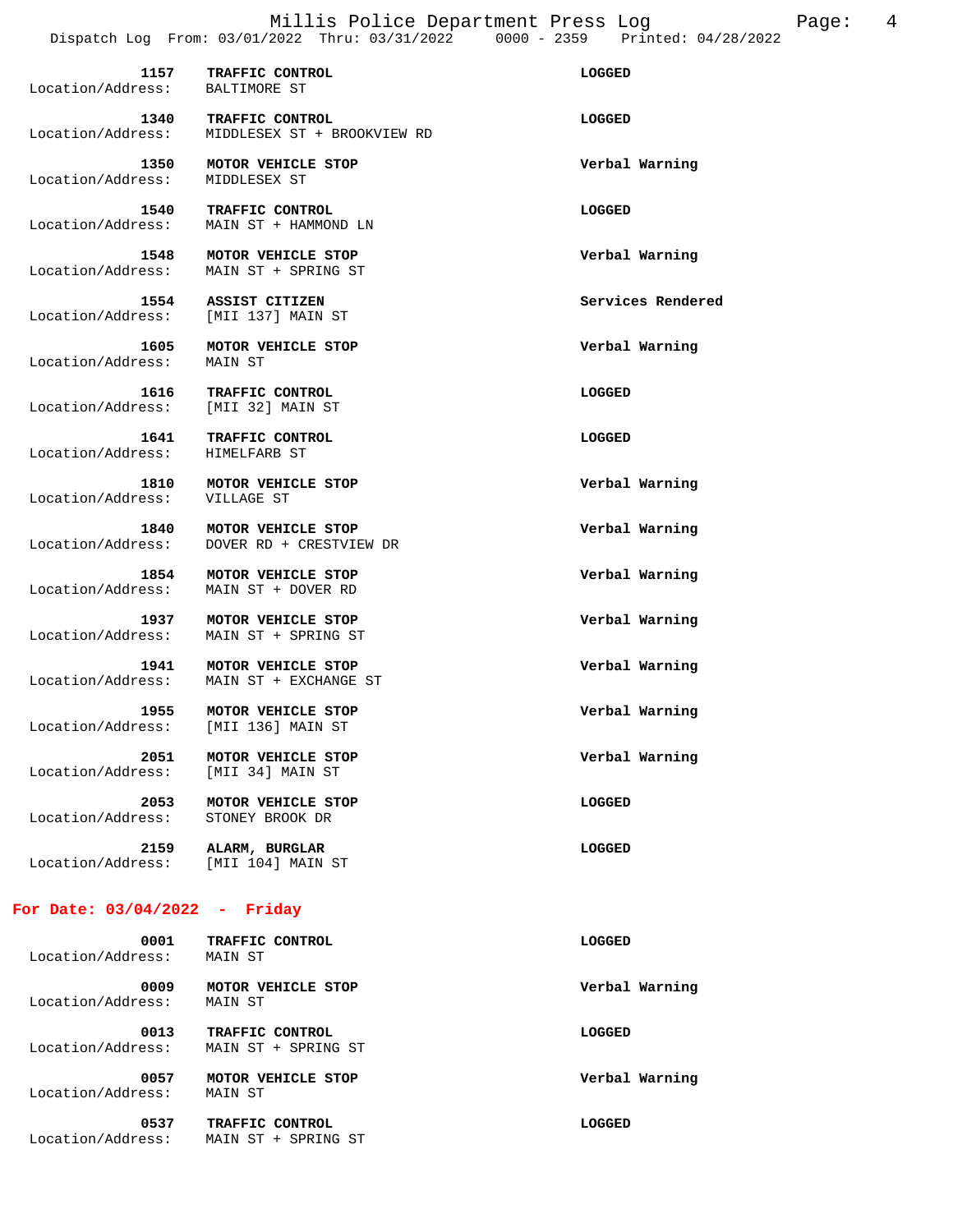**1157 TRAFFIC CONTROL LOGGED**  Location/Address: BALTIMORE ST  **1340 TRAFFIC CONTROL LOGGED**  Location/Address: MIDDLESEX ST + BROOKVIEW RD  **1350 MOTOR VEHICLE STOP Verbal Warning**  Location/Address:  **1540 TRAFFIC CONTROL LOGGED**  Location/Address: MAIN ST + HAMMOND LN  **1548 MOTOR VEHICLE STOP Verbal Warning**  MAIN ST + SPRING ST  **1554 ASSIST CITIZEN Services Rendered**  Location/Address: [MII 137] MAIN ST  **1605 MOTOR VEHICLE STOP Verbal Warning**  Location/Address:  **1616 TRAFFIC CONTROL LOGGED**  Location/Address: [MII 32] MAIN ST  **1641 TRAFFIC CONTROL LOGGED**  Location/Address: HIMELFARB ST  **1810 MOTOR VEHICLE STOP Verbal Warning**  Location/Address: VILLAGE ST  **1840 MOTOR VEHICLE STOP Verbal Warning**  Location/Address: DOVER RD + CRESTVIEW DR  **1854 MOTOR VEHICLE STOP Verbal Warning**  Location/Address: MAIN ST + DOVER RD  **1937 MOTOR VEHICLE STOP Verbal Warning**  Location/Address: MAIN ST + SPRING ST  **1941 MOTOR VEHICLE STOP Verbal Warning**  Location/Address: MAIN ST + EXCHANGE ST  **1955 MOTOR VEHICLE STOP Verbal Warning**  Location/Address: [MII 136] MAIN ST  **2051 MOTOR VEHICLE STOP Verbal Warning**  Location/Address: [MII 34] MAIN ST  **2053 MOTOR VEHICLE STOP LOGGED**  Location/Address: STONEY BROOK DR  **2159 ALARM, BURGLAR LOGGED**  Location/Address: [MII 104] MAIN ST **For Date: 03/04/2022 - Friday**

| 0001<br>Location/Address: | TRAFFIC CONTROL<br>MAIN ST             | LOGGED         |
|---------------------------|----------------------------------------|----------------|
| 0009<br>Location/Address: | MOTOR VEHICLE STOP<br>MAIN ST          | Verbal Warning |
| 0013<br>Location/Address: | TRAFFIC CONTROL<br>MAIN ST + SPRING ST | LOGGED         |
| 0057<br>Location/Address: | MOTOR VEHICLE STOP<br>MAIN ST          | Verbal Warning |
| 0537<br>Location/Address: | TRAFFIC CONTROL<br>MAIN ST + SPRING ST | LOGGED         |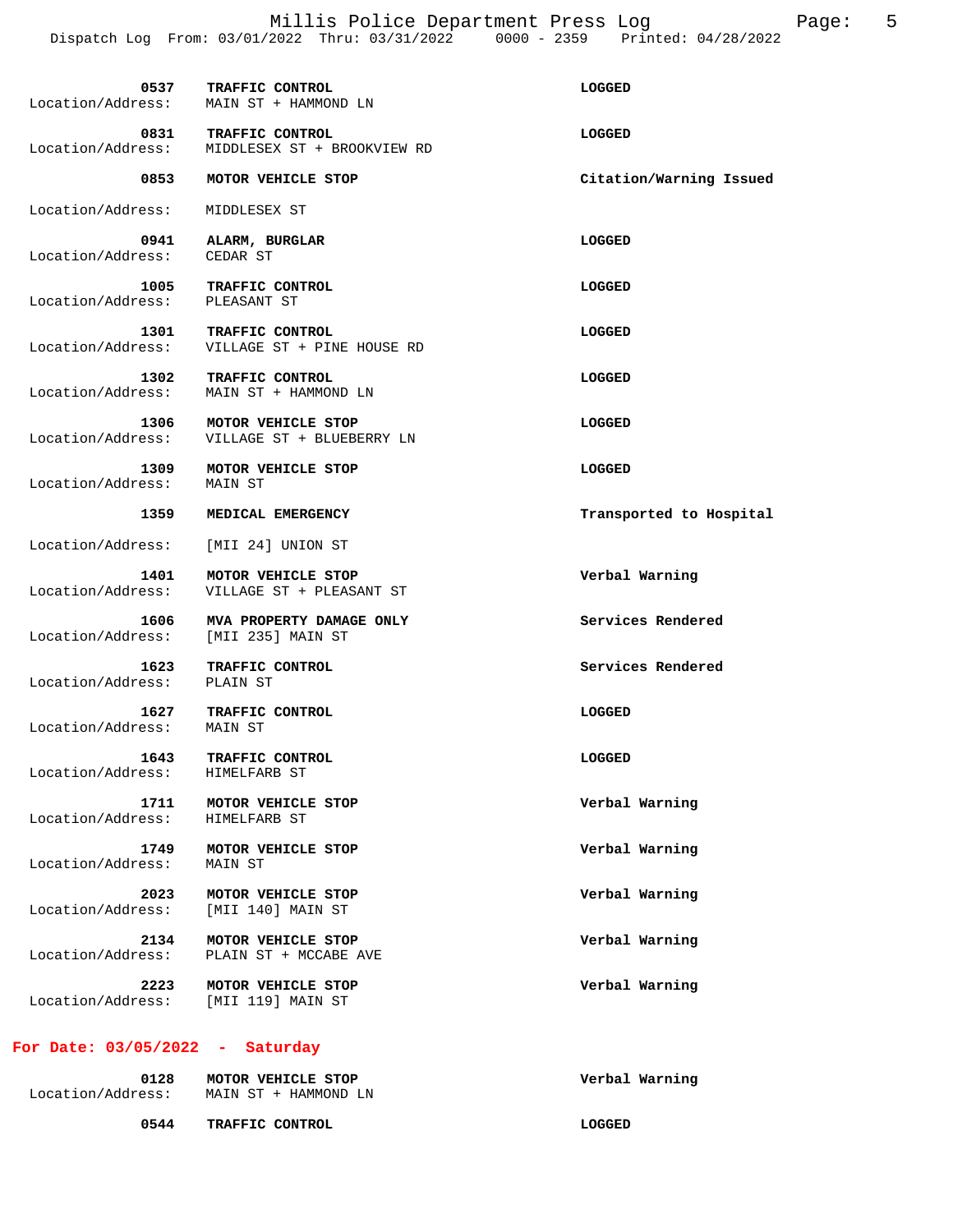Millis Police Department Press Log Page: 5 Dispatch Log From: 03/01/2022 Thru: 03/31/2022 0000 - 2359 Printed: 04/28/2022

|                                                 | 0537 TRAFFIC CONTROL<br>Location/Address: MAIN ST + HAMMOND LN         | LOGGED                  |
|-------------------------------------------------|------------------------------------------------------------------------|-------------------------|
| Location/Address:                               | 0831 TRAFFIC CONTROL<br>MIDDLESEX ST + BROOKVIEW RD                    | LOGGED                  |
| 0853                                            | MOTOR VEHICLE STOP                                                     | Citation/Warning Issued |
| Location/Address:                               | MIDDLESEX ST                                                           |                         |
| Location/Address: CEDAR ST                      | 0941 ALARM, BURGLAR                                                    | LOGGED                  |
| 1005<br>Location/Address: PLEASANT ST           | TRAFFIC CONTROL                                                        | LOGGED                  |
|                                                 | 1301 TRAFFIC CONTROL<br>Location/Address: VILLAGE ST + PINE HOUSE RD   | LOGGED                  |
|                                                 | 1302 TRAFFIC CONTROL<br>Location/Address: MAIN ST + HAMMOND LN         | LOGGED                  |
|                                                 | 1306 MOTOR VEHICLE STOP<br>Location/Address: VILLAGE ST + BLUEBERRY LN | LOGGED                  |
| Location/Address:                               | 1309 MOTOR VEHICLE STOP<br>MAIN ST                                     | LOGGED                  |
| 1359                                            | MEDICAL EMERGENCY                                                      | Transported to Hospital |
| Location/Address: [MII 24] UNION ST             |                                                                        |                         |
| 1401                                            | MOTOR VEHICLE STOP<br>Location/Address: VILLAGE ST + PLEASANT ST       | Verbal Warning          |
| 1606 - 1<br>Location/Address: [MII 235] MAIN ST | MVA PROPERTY DAMAGE ONLY                                               | Services Rendered       |
| Location/Address: PLAIN ST                      | 1623 TRAFFIC CONTROL                                                   | Services Rendered       |
| Location/Address: MAIN ST                       | 1627 TRAFFIC CONTROL                                                   | LOGGED                  |
| 1643<br>Location/Address:                       | TRAFFIC CONTROL<br>HIMELFARB ST                                        | <b>LOGGED</b>           |
| 1711<br>Location/Address:                       | MOTOR VEHICLE STOP<br>HIMELFARB ST                                     | Verbal Warning          |
| 1749<br>Location/Address:                       | MOTOR VEHICLE STOP<br>MAIN ST                                          | Verbal Warning          |
| 2023<br>Location/Address:                       | MOTOR VEHICLE STOP<br>[MII 140] MAIN ST                                | Verbal Warning          |
| 2134<br>Location/Address:                       | MOTOR VEHICLE STOP<br>PLAIN ST + MCCABE AVE                            | Verbal Warning          |
| 2223<br>Location/Address:                       | MOTOR VEHICLE STOP<br>[MII 119] MAIN ST                                | Verbal Warning          |
| For Date: $03/05/2022 -$                        | Saturday                                                               |                         |

| 0128<br>Location/Address: | MOTOR VEHICLE STOP<br>MAIN ST + HAMMOND LN | Verbal Warning |
|---------------------------|--------------------------------------------|----------------|
| 0544                      | <b>TRAFFIC CONTROL</b>                     | LOGGED         |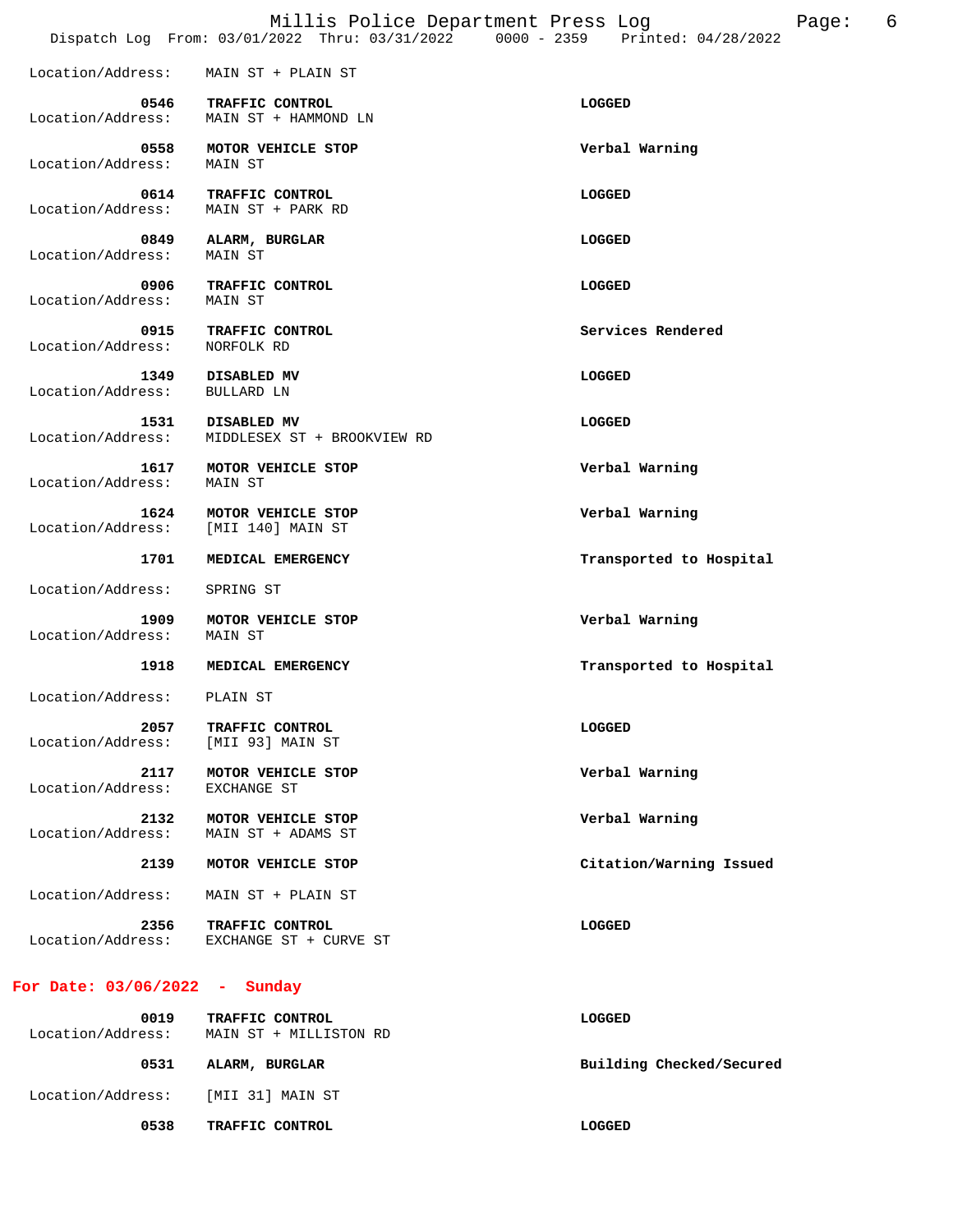|                                 |                                            | Millis Police Department Press Log<br>Page:<br>Dispatch Log From: 03/01/2022 Thru: 03/31/2022 0000 - 2359 Printed: 04/28/2022 | 6 |
|---------------------------------|--------------------------------------------|-------------------------------------------------------------------------------------------------------------------------------|---|
| Location/Address:               | MAIN ST + PLAIN ST                         |                                                                                                                               |   |
| 0546<br>Location/Address:       | TRAFFIC CONTROL<br>MAIN ST + HAMMOND LN    | LOGGED                                                                                                                        |   |
| 0558<br>Location/Address:       | MOTOR VEHICLE STOP<br><b>MAIN ST</b>       | Verbal Warning                                                                                                                |   |
| 0614<br>Location/Address:       | TRAFFIC CONTROL<br>MAIN ST + PARK RD       | LOGGED                                                                                                                        |   |
| 0849<br>Location/Address:       | ALARM, BURGLAR<br>MAIN ST                  | LOGGED                                                                                                                        |   |
| 0906<br>Location/Address:       | TRAFFIC CONTROL<br>MAIN ST                 | LOGGED                                                                                                                        |   |
| 0915<br>Location/Address:       | TRAFFIC CONTROL<br>NORFOLK RD              | Services Rendered                                                                                                             |   |
| 1349<br>Location/Address:       | DISABLED MV<br>BULLARD LN                  | LOGGED                                                                                                                        |   |
| 1531<br>Location/Address:       | DISABLED MV<br>MIDDLESEX ST + BROOKVIEW RD | LOGGED                                                                                                                        |   |
| 1617<br>Location/Address:       | MOTOR VEHICLE STOP<br>MAIN ST              | Verbal Warning                                                                                                                |   |
| 1624<br>Location/Address:       | MOTOR VEHICLE STOP<br>[MII 140] MAIN ST    | Verbal Warning                                                                                                                |   |
| 1701                            | MEDICAL EMERGENCY                          | Transported to Hospital                                                                                                       |   |
| Location/Address:               | SPRING ST                                  |                                                                                                                               |   |
| 1909<br>Location/Address:       | MOTOR VEHICLE STOP<br>MAIN ST              | Verbal Warning                                                                                                                |   |
| 1918                            | MEDICAL EMERGENCY                          | Transported to Hospital                                                                                                       |   |
| Location/Address:               | PLAIN ST                                   |                                                                                                                               |   |
| 2057<br>Location/Address:       | TRAFFIC CONTROL<br>[MII 93] MAIN ST        | LOGGED                                                                                                                        |   |
| 2117<br>Location/Address:       | MOTOR VEHICLE STOP<br>EXCHANGE ST          | Verbal Warning                                                                                                                |   |
| 2132<br>Location/Address:       | MOTOR VEHICLE STOP<br>MAIN ST + ADAMS ST   | Verbal Warning                                                                                                                |   |
| 2139                            | MOTOR VEHICLE STOP                         | Citation/Warning Issued                                                                                                       |   |
| Location/Address:               | MAIN ST + PLAIN ST                         |                                                                                                                               |   |
| 2356<br>Location/Address:       | TRAFFIC CONTROL<br>EXCHANGE ST + CURVE ST  | <b>LOGGED</b>                                                                                                                 |   |
| For Date: $03/06/2022 - Sunday$ |                                            |                                                                                                                               |   |
|                                 | $0.019$ TRAFFIC CONTROL                    | T.OGGED                                                                                                                       |   |

| <b>0019</b><br>Location/Address: | TRAFFIC CONTROL<br>MAIN ST + MILLISTON RD | LOGGED                   |
|----------------------------------|-------------------------------------------|--------------------------|
| 0531                             | ALARM, BURGLAR                            | Building Checked/Secured |
| Location/Address:                | [MII 31] MAIN ST                          |                          |
| 0538                             | TRAFFIC CONTROL                           | LOGGED                   |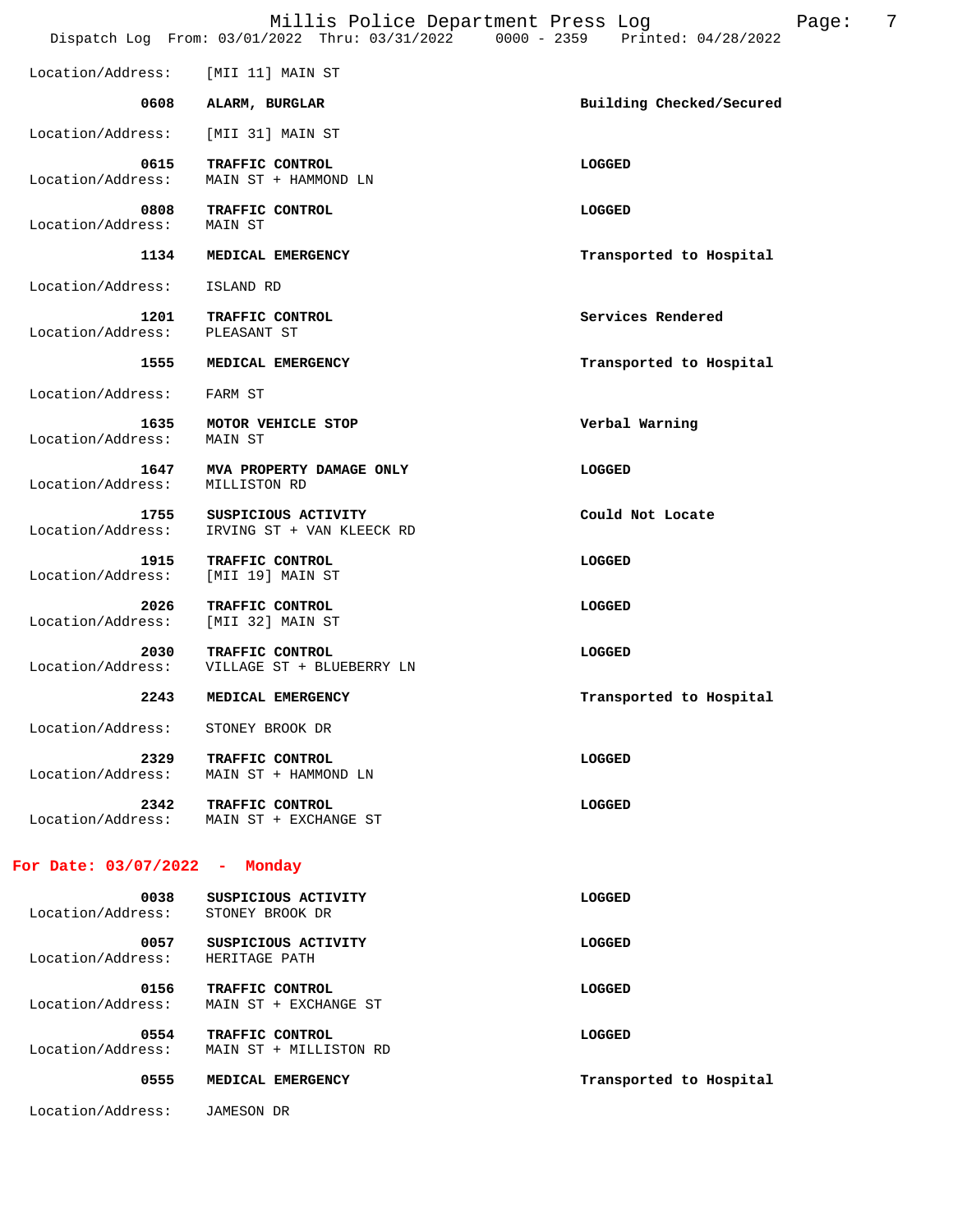|                               | Millis Police Department Press Log<br>Dispatch Log From: 03/01/2022 Thru: 03/31/2022 0000 - 2359 Printed: 04/28/2022 |                          |
|-------------------------------|----------------------------------------------------------------------------------------------------------------------|--------------------------|
| Location/Address:             | [MII 11] MAIN ST                                                                                                     |                          |
| 0608                          | ALARM, BURGLAR                                                                                                       | Building Checked/Secured |
| Location/Address:             | [MII 31] MAIN ST                                                                                                     |                          |
| 0615<br>Location/Address:     | TRAFFIC CONTROL<br>MAIN ST + HAMMOND LN                                                                              | LOGGED                   |
| 0808<br>Location/Address:     | TRAFFIC CONTROL<br>MAIN ST                                                                                           | LOGGED                   |
| 1134                          | MEDICAL EMERGENCY                                                                                                    | Transported to Hospital  |
| Location/Address:             | ISLAND RD                                                                                                            |                          |
| 1201<br>Location/Address:     | TRAFFIC CONTROL<br>PLEASANT ST                                                                                       | Services Rendered        |
| 1555                          | MEDICAL EMERGENCY                                                                                                    | Transported to Hospital  |
| Location/Address:             | FARM ST                                                                                                              |                          |
| 1635<br>Location/Address:     | MOTOR VEHICLE STOP<br>MAIN ST                                                                                        | Verbal Warning           |
| 1647<br>Location/Address:     | MVA PROPERTY DAMAGE ONLY<br>MILLISTON RD                                                                             | <b>LOGGED</b>            |
| 1755<br>Location/Address:     | SUSPICIOUS ACTIVITY<br>IRVING ST + VAN KLEECK RD                                                                     | Could Not Locate         |
| 1915<br>Location/Address:     | TRAFFIC CONTROL<br>[MII 19] MAIN ST                                                                                  | LOGGED                   |
| 2026<br>Location/Address:     | TRAFFIC CONTROL<br>[MII 32] MAIN ST                                                                                  | LOGGED                   |
| 2030<br>Location/Address:     | TRAFFIC CONTROL<br>VILLAGE ST + BLUEBERRY LN                                                                         | LOGGED                   |
| 2243                          | MEDICAL EMERGENCY                                                                                                    | Transported to Hospital  |
| Location/Address:             | STONEY BROOK DR                                                                                                      |                          |
| 2329<br>Location/Address:     | TRAFFIC CONTROL<br>MAIN ST + HAMMOND LN                                                                              | LOGGED                   |
| 2342                          | TRAFFIC CONTROL<br>Location/Address: MAIN ST + EXCHANGE ST                                                           | LOGGED                   |
| For Date: 03/07/2022 - Monday |                                                                                                                      |                          |
| 0038<br>Location/Address:     | SUSPICIOUS ACTIVITY<br>STONEY BROOK DR                                                                               | <b>LOGGED</b>            |
| 0057<br>Location/Address:     | SUSPICIOUS ACTIVITY<br>HERITAGE PATH                                                                                 | <b>LOGGED</b>            |
| 0156<br>Location/Address:     | TRAFFIC CONTROL<br>MAIN ST + EXCHANGE ST                                                                             | LOGGED                   |
| 0554                          | <b>TRAFFIC CONTROL</b>                                                                                               | <b>LOGGED</b>            |

Location/Address: MAIN ST + MILLISTON RD

Location/Address: JAMESON DR

0555 MEDICAL EMERGENCY **MEDICAL EMERGENCY Transported** to Hospital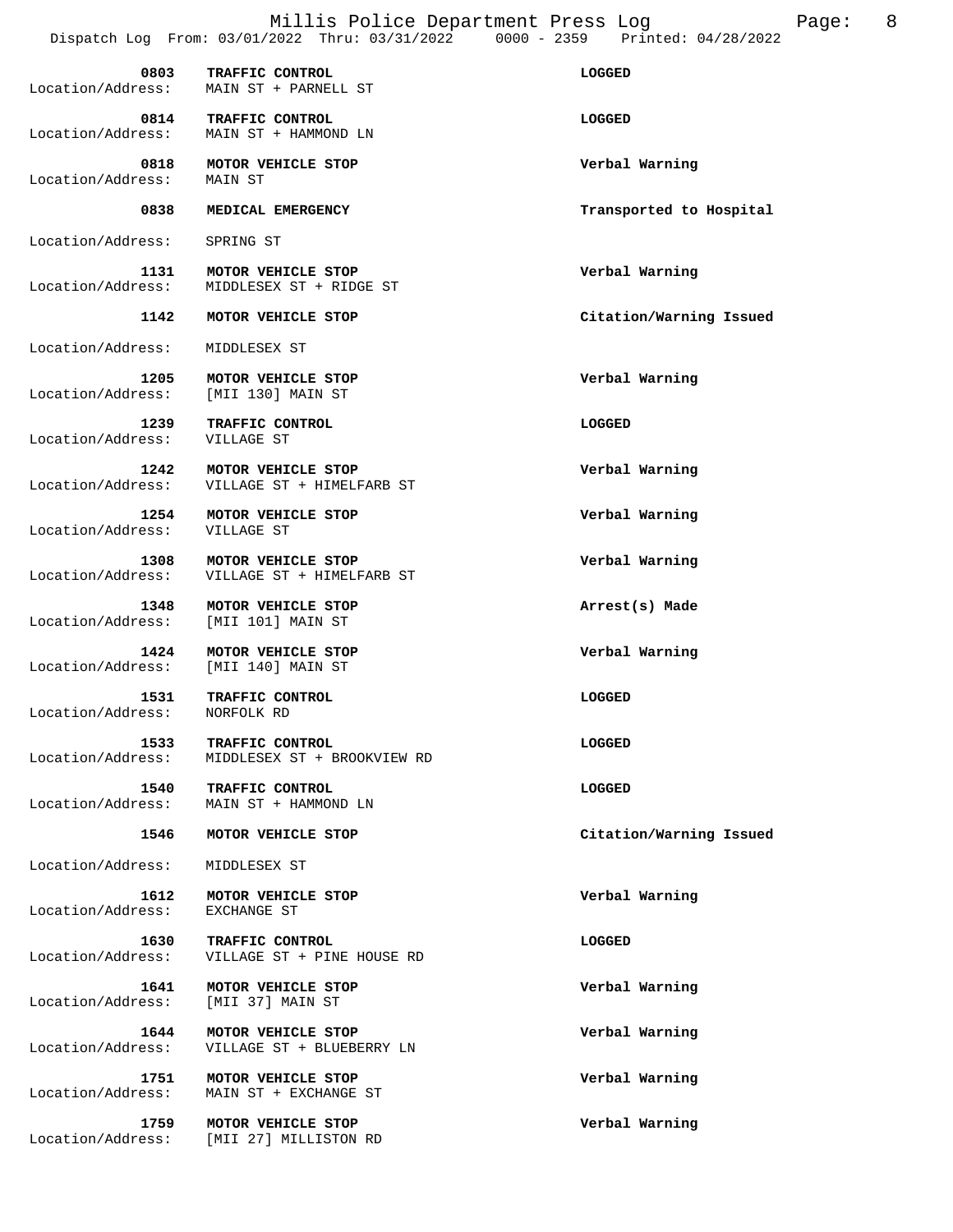Millis Police Department Press Log Fage: 8 Dispatch Log From: 03/01/2022 Thru: 03/31/2022 0000 - 2359 Printed: 04/28/2022

 **0803 TRAFFIC CONTROL LOGGED**  Location/Address: MAIN ST + PARNELL ST  **0814 TRAFFIC CONTROL LOGGED**  Location/Address: MAIN ST + HAMMOND LN  **0818 MOTOR VEHICLE STOP Verbal Warning**  Location/Address:  **0838 MEDICAL EMERGENCY Transported to Hospital**  Location/Address: SPRING ST  **1131 MOTOR VEHICLE STOP Verbal Warning**  Location/Address: MIDDLESEX ST + RIDGE ST  **1142 MOTOR VEHICLE STOP Citation/Warning Issued**  Location/Address: MIDDLESEX ST  **1205 MOTOR VEHICLE STOP Verbal Warning**  Location/Address:  **1239 TRAFFIC CONTROL LOGGED**  Location/Address: VILLAGE ST  **1242 MOTOR VEHICLE STOP Verbal Warning**  Location/Address: VILLAGE ST + HIMELFARB ST  **1254 MOTOR VEHICLE STOP Verbal Warning**  Location/Address: VILLAGE ST **1308 MOTOR VEHICLE STOP 1308 MOTOR VEHICLE STOP Verbal Warning Location/Address: VILLAGE ST** + HIMELFARB ST VILLAGE ST + HIMELFARB ST  **1348 MOTOR VEHICLE STOP Arrest(s) Made**  Location/Address: [MII 101] MAIN ST  **1424 MOTOR VEHICLE STOP Verbal Warning**  Location/Address: [MII 140] MAIN ST **1531 TRAFFIC CONTROL LOGGED LOGGED**<br> **Example:** NORFOLK RD Location/Address:  **1533 TRAFFIC CONTROL LOGGED**  Location/Address: MIDDLESEX ST + BROOKVIEW RD **1540 TRAFFIC CONTROL**<br>
Location/Address: MAIN ST + HAMMOND LN MAIN ST + HAMMOND LN  **1546 MOTOR VEHICLE STOP Citation/Warning Issued**  Location/Address: MIDDLESEX ST  **1612 MOTOR VEHICLE STOP Verbal Warning**  Location/Address: EXCHANGE ST  **1630 TRAFFIC CONTROL LOGGED**  Location/Address: VILLAGE ST + PINE HOUSE RD  **1641 MOTOR VEHICLE STOP Verbal Warning**  Location/Address:  **1644 MOTOR VEHICLE STOP Verbal Warning**  Location/Address: VILLAGE ST + BLUEBERRY LN  **1751 MOTOR VEHICLE STOP Verbal Warning**  Location/Address: MAIN ST + EXCHANGE ST  **1759 MOTOR VEHICLE STOP Verbal Warning**  Location/Address: [MII 27] MILLISTON RD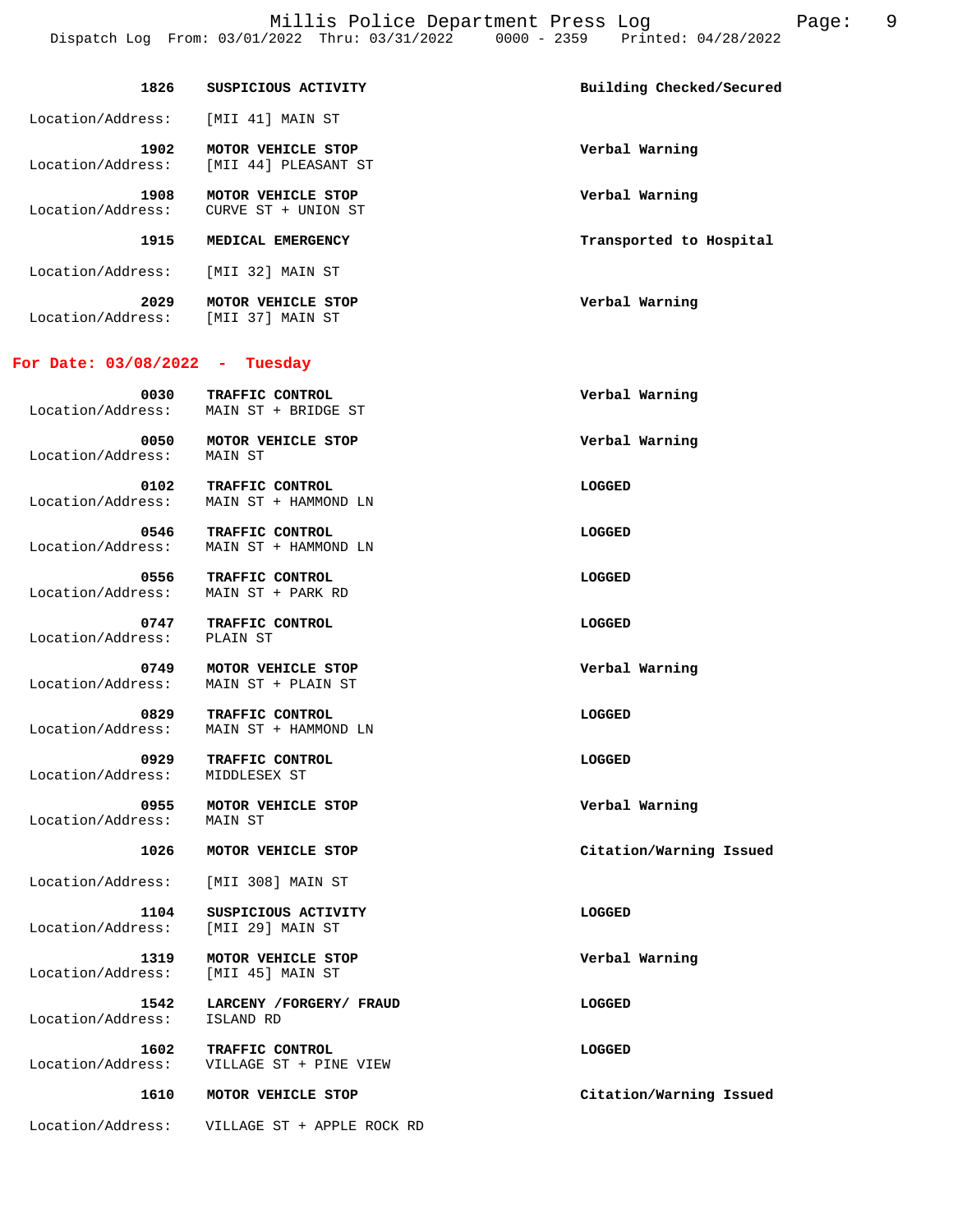| 1826                      | SUSPICIOUS ACTIVITY                        | Building Checked/Secured |
|---------------------------|--------------------------------------------|--------------------------|
| Location/Address:         | [MII 41] MAIN ST                           |                          |
| 1902<br>Location/Address: | MOTOR VEHICLE STOP<br>[MII 44] PLEASANT ST | Verbal Warning           |
| 1908<br>Location/Address: | MOTOR VEHICLE STOP<br>CURVE ST + UNION ST  | Verbal Warning           |

 **1915 MEDICAL EMERGENCY Transported to Hospital** 

Location/Address: [MII 32] MAIN ST

 **2029 MOTOR VEHICLE STOP Verbal Warning**  Location/Address: [MII 37] MAIN ST

#### **For Date: 03/08/2022 - Tuesday**

| 0030<br>Location/Address: | TRAFFIC CONTROL<br>MAIN ST + BRIDGE ST | Verbal Warning |
|---------------------------|----------------------------------------|----------------|
| 0050<br>Location/Address: | MOTOR VEHICLE STOP<br>MAIN ST          | Verbal Warning |

 **0102 TRAFFIC CONTROL LOGGED**  Location/Address: MAIN ST + HAMMOND LN

 **0546 TRAFFIC CONTROL**<br> **Location/Address:** MAIN ST + HAMMOND LN Location/Address: MAIN ST + HAMMOND LN

 **0556 TRAFFIC CONTROL LOGGED**  Location/Address: MAIN ST + PARK RD

 **0747 TRAFFIC CONTROL CONTROL LOGGED**<br>
Ress: PLAIN ST Location/Address:

 **0749 MOTOR VEHICLE STOP Verbal Warning**  Location/Address: MAIN ST + PLAIN ST

 **0829 TRAFFIC CONTROL LOGGED**  Location/Address: MAIN ST + HAMMOND LN

 **0929 TRAFFIC CONTROL LOGGED**  Location/Address: MIDDLESEX ST

 **0955 MOTOR VEHICLE STOP Verbal Warning** 

 **1026 MOTOR VEHICLE STOP Citation/Warning Issued** 

Location/Address: [MII 308] MAIN ST

Location/Address:

Location/Address:

**1104 SUSPICIOUS ACTIVITY LOGGED**<br>
LOGGED

LOGGED

LOGGED

LOGGED

LOGGED

LOGGED

LOGGED

LOGGED

LOGGED

LOGGED

LOGGED

LOGGED

LOGGED

LOGGED

LOGGED

LOGGED

LOGGED

LOGGED

LOGGED

LOGGED

LOGGED

LOGGED Location/Address:

 **1319 MOTOR VEHICLE STOP Verbal Warning**  Location/Address:

 **1542 LARCENY /FORGERY/ FRAUD LOGGED** 

 **1602 TRAFFIC CONTROL LOGGED**  Location/Address: VILLAGE ST + PINE VIEW

 **1610 MOTOR VEHICLE STOP Citation/Warning Issued** 

Location/Address: VILLAGE ST + APPLE ROCK RD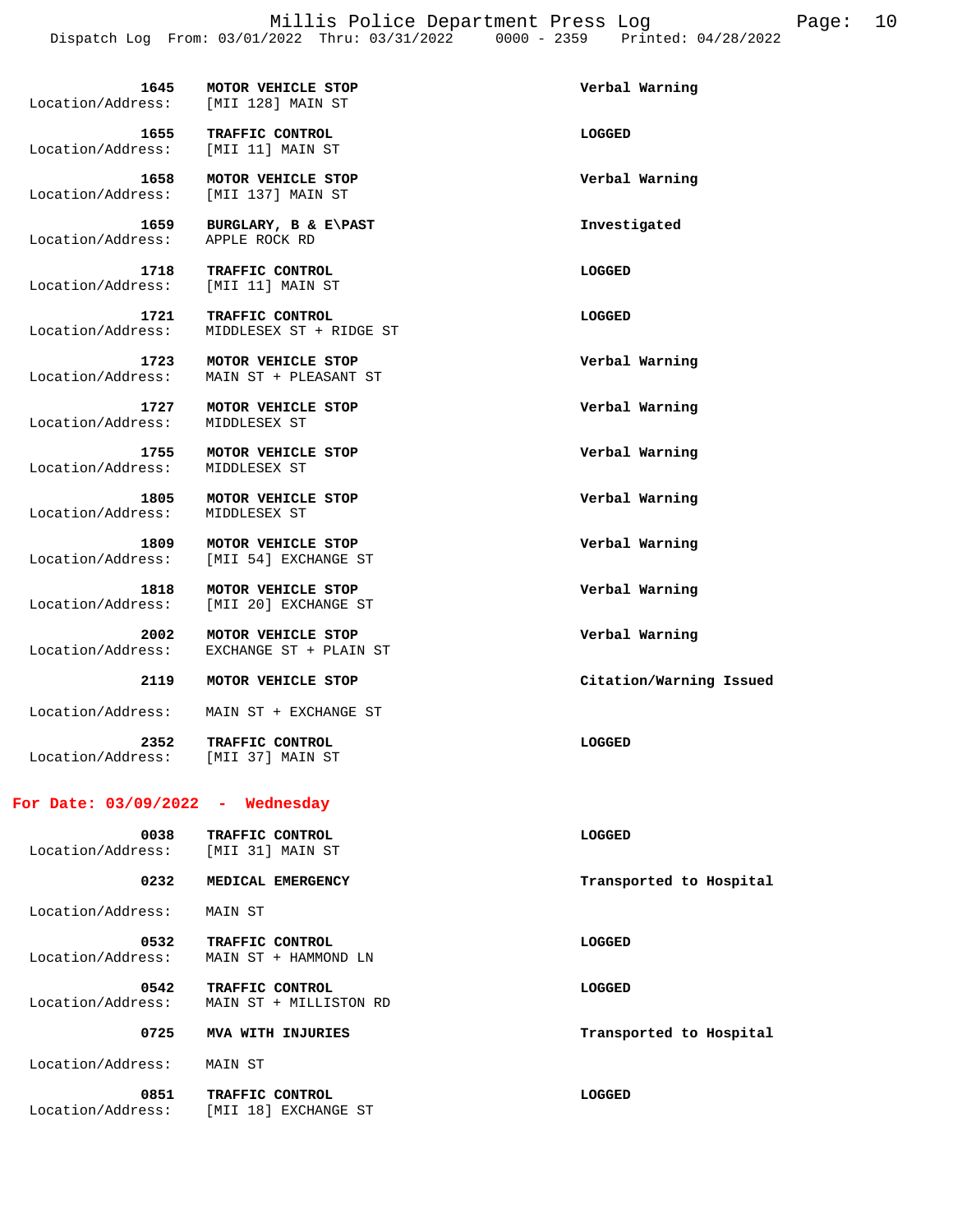Millis Police Department Press Log Page: 10 Dispatch Log From: 03/01/2022 Thru: 03/31/2022 0000 - 2359 Printed: 04/28/2022

| 1645<br>Location/Address:          | MOTOR VEHICLE STOP<br>[MII 128] MAIN ST      | Verbal Warning          |
|------------------------------------|----------------------------------------------|-------------------------|
| 1655<br>Location/Address:          | TRAFFIC CONTROL<br>[MII 11] MAIN ST          | LOGGED                  |
| 1658<br>Location/Address:          | MOTOR VEHICLE STOP<br>[MII 137] MAIN ST      | Verbal Warning          |
| 1659<br>Location/Address:          | BURGLARY, B & E\PAST<br>APPLE ROCK RD        | Investigated            |
| 1718<br>Location/Address:          | TRAFFIC CONTROL<br>[MII 11] MAIN ST          | LOGGED                  |
| 1721<br>Location/Address:          | TRAFFIC CONTROL<br>MIDDLESEX ST + RIDGE ST   | LOGGED                  |
| 1723<br>Location/Address:          | MOTOR VEHICLE STOP<br>MAIN ST + PLEASANT ST  | Verbal Warning          |
| 1727<br>Location/Address:          | MOTOR VEHICLE STOP<br>MIDDLESEX ST           | Verbal Warning          |
| 1755<br>Location/Address:          | MOTOR VEHICLE STOP<br>MIDDLESEX ST           | Verbal Warning          |
| 1805<br>Location/Address:          | MOTOR VEHICLE STOP<br>MIDDLESEX ST           | Verbal Warning          |
| 1809<br>Location/Address:          | MOTOR VEHICLE STOP<br>[MII 54] EXCHANGE ST   | Verbal Warning          |
| 1818<br>Location/Address:          | MOTOR VEHICLE STOP<br>[MII 20] EXCHANGE ST   | Verbal Warning          |
| 2002<br>Location/Address:          | MOTOR VEHICLE STOP<br>EXCHANGE ST + PLAIN ST | Verbal Warning          |
| 2119                               | MOTOR VEHICLE STOP                           | Citation/Warning Issued |
| Location/Address:                  | MAIN ST + EXCHANGE ST                        |                         |
| 2352<br>Location/Address:          | <b>TRAFFIC CONTROL</b><br>[MII 37] MAIN ST   | LOGGED                  |
| For Date: $03/09/2022 -$ Wednesday |                                              |                         |
| 0038<br>Location/Address:          | TRAFFIC CONTROL<br>[MII 31] MAIN ST          | <b>LOGGED</b>           |
| 0232                               | MEDICAL EMERGENCY                            | Transported to Hospital |
| Location/Address:                  | MAIN ST                                      |                         |
| 0532<br>Location/Address:          | TRAFFIC CONTROL<br>MAIN ST + HAMMOND LN      | <b>LOGGED</b>           |
|                                    |                                              |                         |

 **0542 TRAFFIC CONTROL LOGGED**  Location/Address: MAIN ST + MILLISTON RD

0725 MVA WITH INJURIES **TRANSPORT SEEMS** Transported to Hospital

Location/Address: MAIN ST

 **0851 TRAFFIC CONTROL LOGGED**  Location/Address: [MII 18] EXCHANGE ST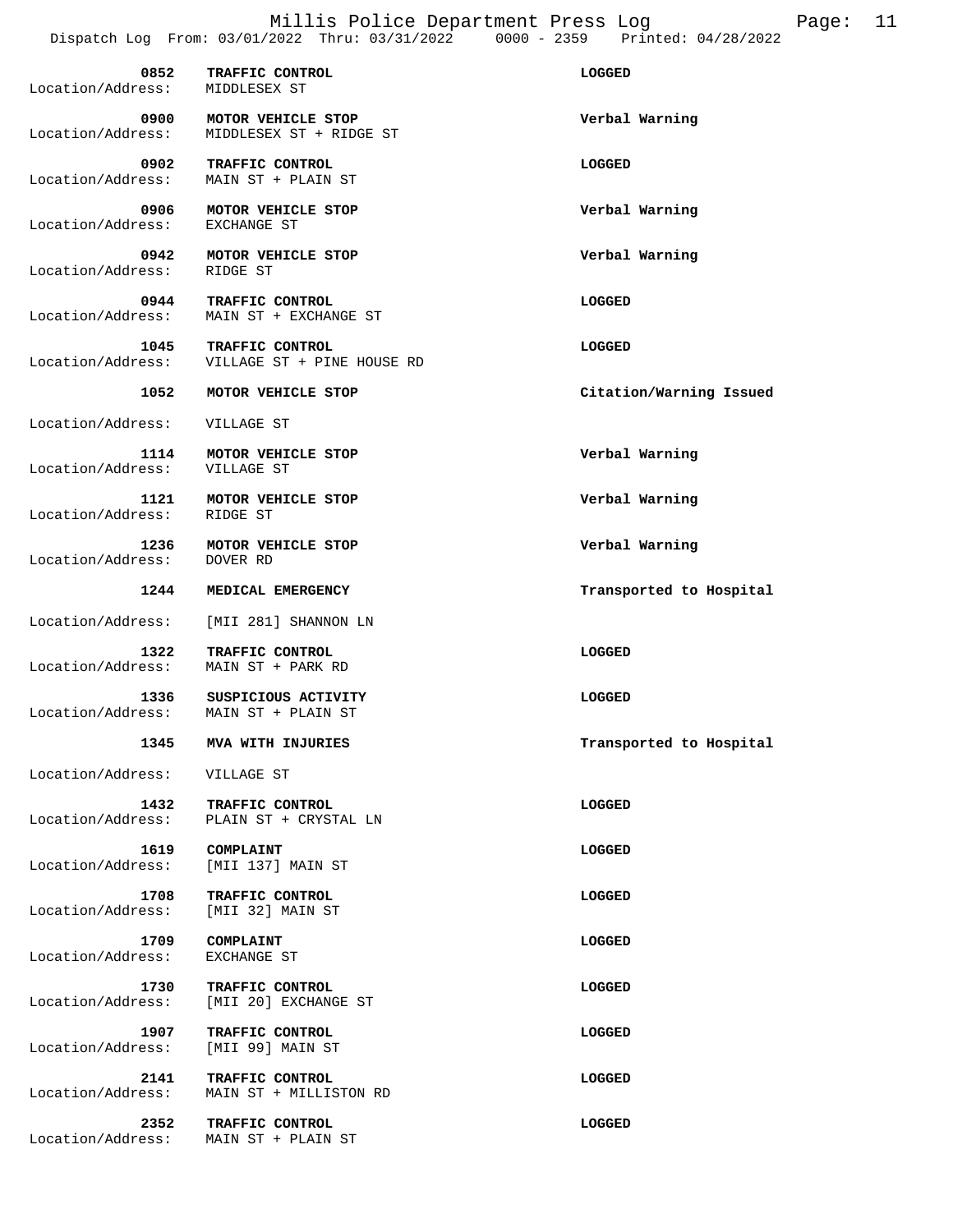| 0852<br>Location/Address: | TRAFFIC CONTROL<br>MIDDLESEX ST               | <b>LOGGED</b>           |
|---------------------------|-----------------------------------------------|-------------------------|
| 0900<br>Location/Address: | MOTOR VEHICLE STOP<br>MIDDLESEX ST + RIDGE ST | Verbal Warning          |
| 0902<br>Location/Address: | TRAFFIC CONTROL<br>MAIN ST + PLAIN ST         | LOGGED                  |
| 0906<br>Location/Address: | MOTOR VEHICLE STOP<br>EXCHANGE ST             | Verbal Warning          |
| 0942<br>Location/Address: | MOTOR VEHICLE STOP<br>RIDGE ST                | Verbal Warning          |
| 0944<br>Location/Address: | TRAFFIC CONTROL<br>MAIN ST + EXCHANGE ST      | LOGGED                  |
| 1045<br>Location/Address: | TRAFFIC CONTROL<br>VILLAGE ST + PINE HOUSE RD | LOGGED                  |
| 1052                      | MOTOR VEHICLE STOP                            | Citation/Warning Issued |
| Location/Address:         | VILLAGE ST                                    |                         |
| 1114<br>Location/Address: | MOTOR VEHICLE STOP<br>VILLAGE ST              | Verbal Warning          |
| 1121<br>Location/Address: | MOTOR VEHICLE STOP<br>RIDGE ST                | Verbal Warning          |
| 1236<br>Location/Address: | MOTOR VEHICLE STOP<br>DOVER RD                | Verbal Warning          |
| 1244                      | MEDICAL EMERGENCY                             | Transported to Hospital |
| Location/Address:         | [MII 281] SHANNON LN                          |                         |
| 1322<br>Location/Address: | TRAFFIC CONTROL<br>MAIN ST + PARK RD          | LOGGED                  |
| 1336<br>Location/Address: | SUSPICIOUS ACTIVITY<br>MAIN ST + PLAIN ST     | <b>LOGGED</b>           |
| 1345                      | MVA WITH INJURIES                             | Transported to Hospital |
| Location/Address:         | VILLAGE ST                                    |                         |
| 1432<br>Location/Address: | TRAFFIC CONTROL<br>PLAIN ST + CRYSTAL LN      | LOGGED                  |
| 1619<br>Location/Address: | COMPLAINT<br>[MII 137] MAIN ST                | LOGGED                  |
| 1708<br>Location/Address: | TRAFFIC CONTROL<br>[MII 32] MAIN ST           | LOGGED                  |
| 1709<br>Location/Address: | COMPLAINT<br>EXCHANGE ST                      | LOGGED                  |
| 1730<br>Location/Address: | TRAFFIC CONTROL<br>[MII 20] EXCHANGE ST       | LOGGED                  |
| 1907<br>Location/Address: | TRAFFIC CONTROL<br>[MII 99] MAIN ST           | LOGGED                  |
| 2141<br>Location/Address: | TRAFFIC CONTROL<br>MAIN ST + MILLISTON RD     | LOGGED                  |
| 2352<br>Location/Address: | TRAFFIC CONTROL<br>MAIN ST + PLAIN ST         | LOGGED                  |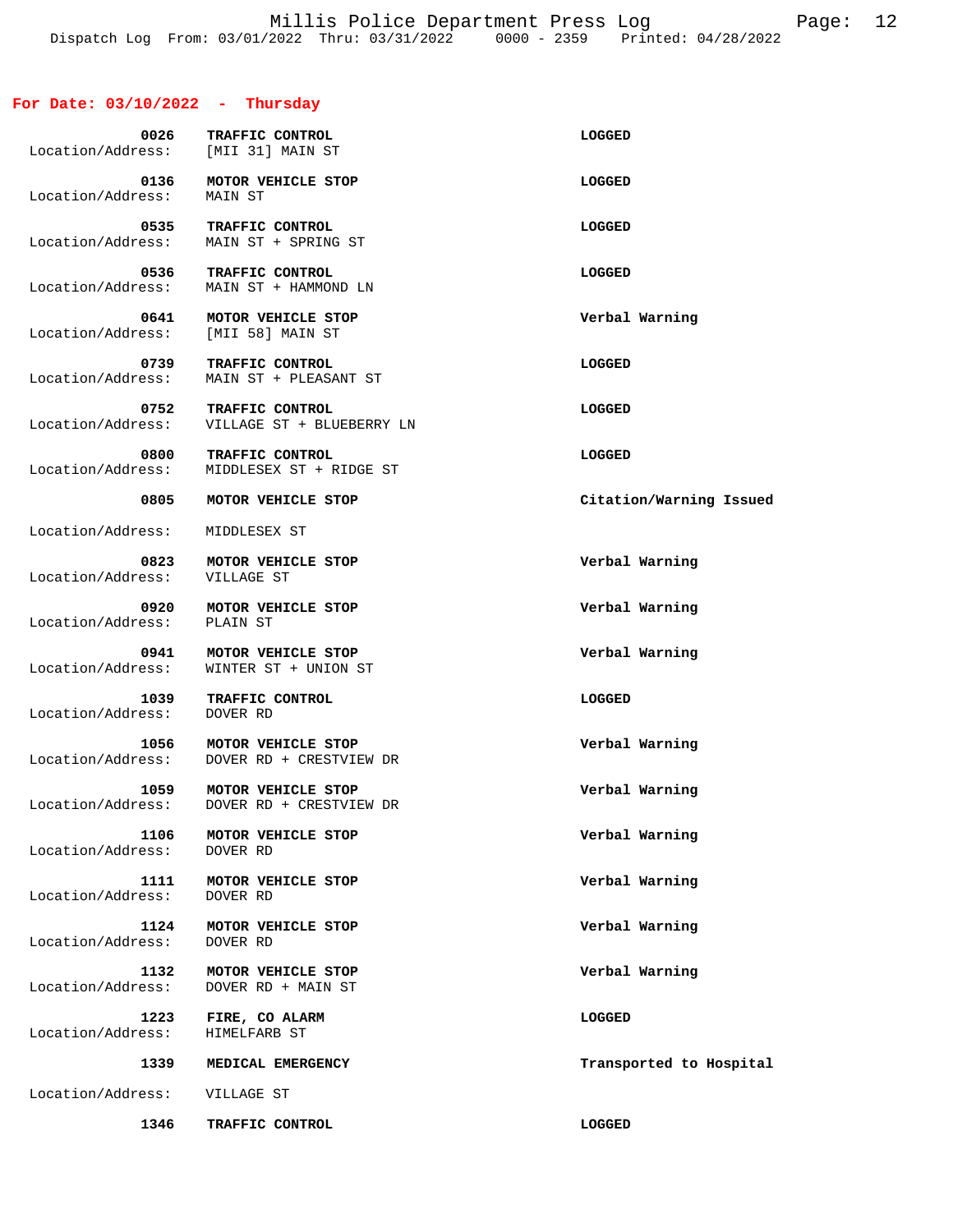## **For Date: 03/10/2022 - Thursday**

| 0026<br>Location/Address: [MII 31] MAIN ST | TRAFFIC CONTROL                               | LOGGED                  |
|--------------------------------------------|-----------------------------------------------|-------------------------|
| 0136<br>Location/Address:                  | MOTOR VEHICLE STOP<br>MAIN ST                 | LOGGED                  |
| 0535<br>Location/Address:                  | TRAFFIC CONTROL<br>MAIN ST + SPRING ST        | LOGGED                  |
| 0536<br>Location/Address:                  | TRAFFIC CONTROL<br>MAIN ST + HAMMOND LN       | LOGGED                  |
| 0641<br>Location/Address:                  | MOTOR VEHICLE STOP<br>[MII 58] MAIN ST        | Verbal Warning          |
| 0739<br>Location/Address:                  | TRAFFIC CONTROL<br>MAIN ST + PLEASANT ST      | LOGGED                  |
| 0752<br>Location/Address:                  | TRAFFIC CONTROL<br>VILLAGE ST + BLUEBERRY LN  | LOGGED                  |
| 0800<br>Location/Address:                  | TRAFFIC CONTROL<br>MIDDLESEX ST + RIDGE ST    | LOGGED                  |
| 0805                                       | MOTOR VEHICLE STOP                            | Citation/Warning Issued |
| Location/Address:                          | MIDDLESEX ST                                  |                         |
| 0823<br>Location/Address:                  | MOTOR VEHICLE STOP<br>VILLAGE ST              | Verbal Warning          |
| 0920<br>Location/Address:                  | MOTOR VEHICLE STOP<br>PLAIN ST                | Verbal Warning          |
| 0941<br>Location/Address:                  | MOTOR VEHICLE STOP<br>WINTER ST + UNION ST    | Verbal Warning          |
| 1039<br>Location/Address:                  | TRAFFIC CONTROL<br>DOVER RD                   | LOGGED                  |
| 1056<br>Location/Address:                  | MOTOR VEHICLE STOP<br>DOVER RD + CRESTVIEW DR | Verbal Warning          |
| 1059<br>Location/Address:                  | MOTOR VEHICLE STOP<br>DOVER RD + CRESTVIEW DR | Verbal Warning          |
| 1106<br>Location/Address:                  | MOTOR VEHICLE STOP<br>DOVER RD                | Verbal Warning          |
| 1111<br>Location/Address:                  | MOTOR VEHICLE STOP<br>DOVER RD                | Verbal Warning          |
| 1124<br>Location/Address:                  | MOTOR VEHICLE STOP<br>DOVER RD                | Verbal Warning          |
| 1132<br>Location/Address:                  | MOTOR VEHICLE STOP<br>DOVER RD + MAIN ST      | Verbal Warning          |
| 1223<br>Location/Address:                  | FIRE, CO ALARM<br>HIMELFARB ST                | <b>LOGGED</b>           |
|                                            |                                               |                         |
| 1339                                       | MEDICAL EMERGENCY                             | Transported to Hospital |
| Location/Address:                          | VILLAGE ST                                    |                         |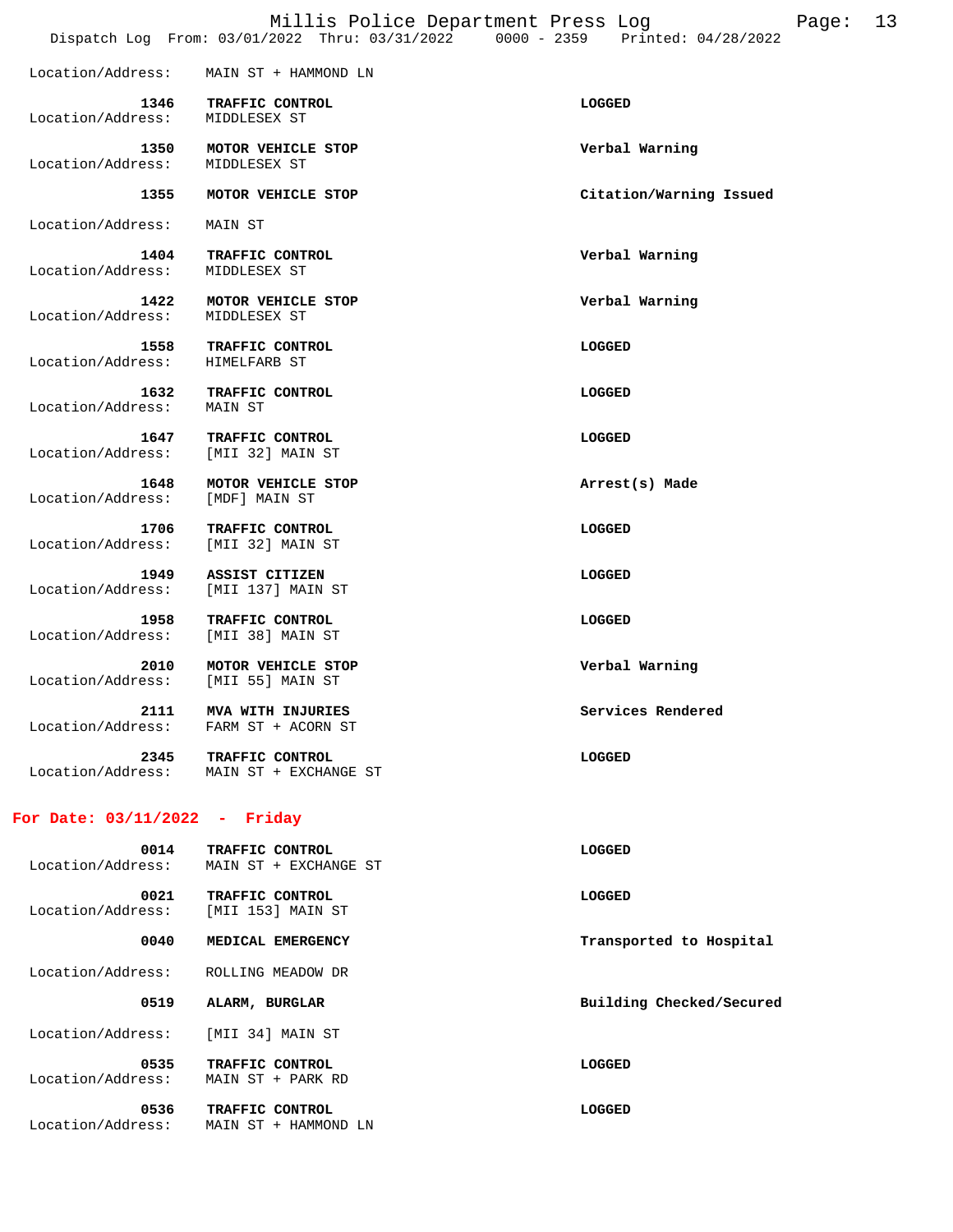|                                              | DISPACCII DOG FIOM. 03/01/2022 INIU. 03/31/2022 | UUUU - 4332<br>FIIILEU VI/40/4044 |
|----------------------------------------------|-------------------------------------------------|-----------------------------------|
|                                              | Location/Address: MAIN ST + HAMMOND LN          |                                   |
| 1346<br>Location/Address: MIDDLESEX ST       | <b>TRAFFIC CONTROL</b>                          | LOGGED                            |
| Location/Address: MIDDLESEX ST               | 1350 MOTOR VEHICLE STOP                         | Verbal Warning                    |
| 1355                                         | MOTOR VEHICLE STOP                              | Citation/Warning Issued           |
| Location/Address: MAIN ST                    |                                                 |                                   |
| 1404<br>Location/Address:                    | TRAFFIC CONTROL<br>MIDDLESEX ST                 | Verbal Warning                    |
| 1422<br>Location/Address:                    | MOTOR VEHICLE STOP<br>MIDDLESEX ST              | Verbal Warning                    |
| 1558<br>Location/Address:                    | <b>TRAFFIC CONTROL</b><br>HIMELFARB ST          | LOGGED                            |
| Location/Address: MAIN ST                    | 1632 TRAFFIC CONTROL                            | LOGGED                            |
| 1647<br>Location/Address:                    | TRAFFIC CONTROL<br>[MII 32] MAIN ST             | LOGGED                            |
| 1648<br>Location/Address:                    | MOTOR VEHICLE STOP<br>[MDF] MAIN ST             | Arrest(s) Made                    |
| 1706<br>Location/Address: [MII 32] MAIN ST   | TRAFFIC CONTROL                                 | LOGGED                            |
| 1949<br>Location/Address:                    | ASSIST CITIZEN<br>[MII 137] MAIN ST             | LOGGED                            |
| 1958<br>Location/Address:                    | TRAFFIC CONTROL<br>[MII 38] MAIN ST             | LOGGED                            |
| 2010<br>Location/Address:                    | MOTOR VEHICLE STOP<br>[MII 55] MAIN ST          | Verbal Warning                    |
| 2111<br>Location/Address: FARM ST + ACORN ST | MVA WITH INJURIES                               | Services Rendered                 |
| 2345<br>Location/Address:                    | <b>TRAFFIC CONTROL</b><br>MAIN ST + EXCHANGE ST | LOGGED                            |
|                                              |                                                 |                                   |

## **For Date: 03/11/2022 - Friday**

| 0014<br>Location/Address: | TRAFFIC CONTROL<br>MAIN ST + EXCHANGE ST | <b>LOGGED</b>            |
|---------------------------|------------------------------------------|--------------------------|
| 0021<br>Location/Address: | TRAFFIC CONTROL<br>[MII 153] MAIN ST     | LOGGED                   |
| 0040                      | MEDICAL EMERGENCY                        | Transported to Hospital  |
| Location/Address:         | ROLLING MEADOW DR                        |                          |
| 0519                      | ALARM, BURGLAR                           | Building Checked/Secured |
| Location/Address:         | [MII 34] MAIN ST                         |                          |
|                           |                                          |                          |
| 0535<br>Location/Address: | TRAFFIC CONTROL<br>MAIN ST + PARK RD     | LOGGED                   |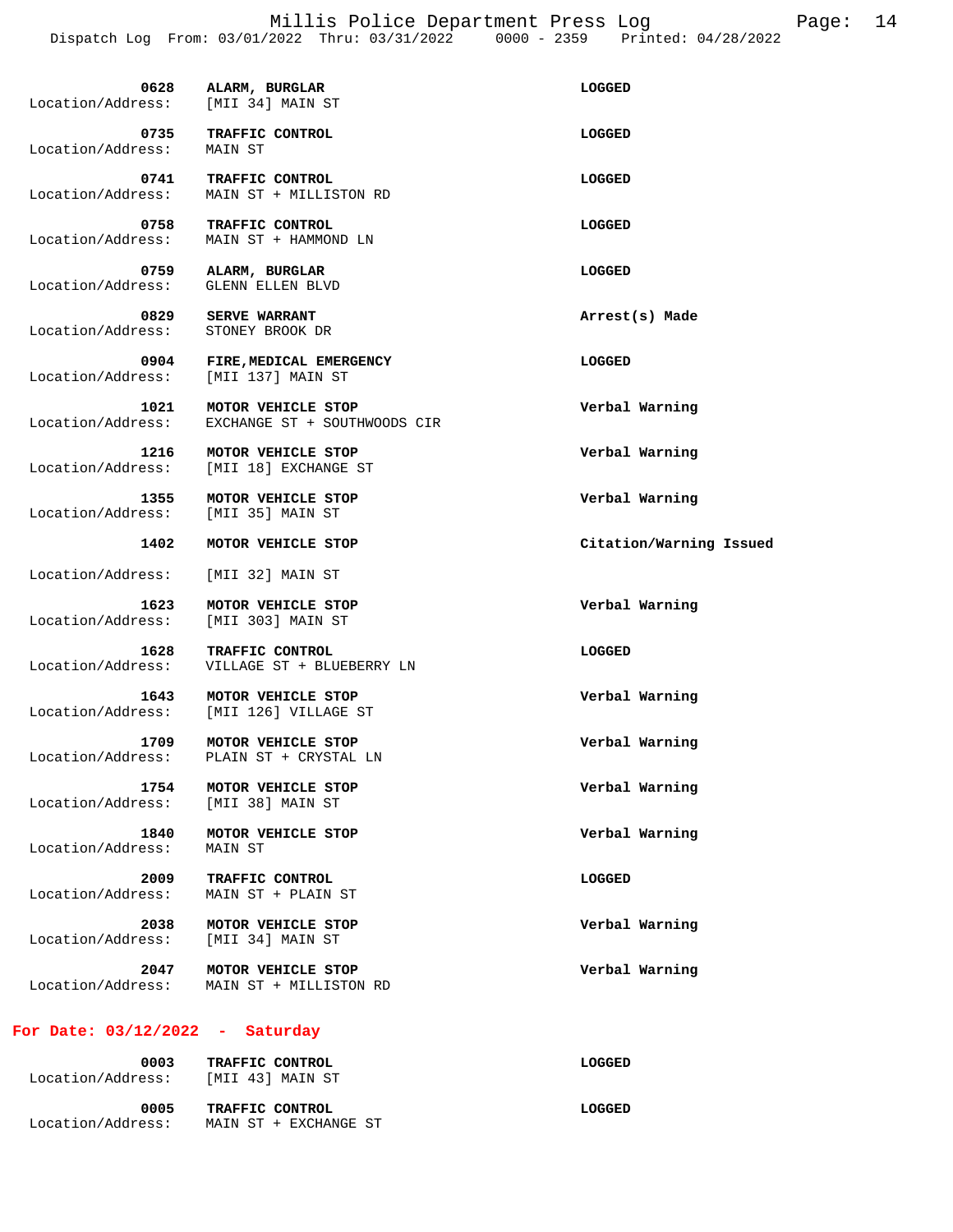Millis Police Department Press Log<br>  $(2022 \text{ Thru}: 03/31/2022 \qquad 0000 - 2359 \qquad \text{Printed}: 04/28/2022$ 

|                           | Dispatch Log From: 03/01/2022 Thru: 03/31/2022     | $0000 - 2359$<br>Printed: 04/28/2022 |
|---------------------------|----------------------------------------------------|--------------------------------------|
| 0628<br>Location/Address: | ALARM, BURGLAR<br>[MII 34] MAIN ST                 | LOGGED                               |
| 0735<br>Location/Address: | TRAFFIC CONTROL<br>MAIN ST                         | LOGGED                               |
| 0741<br>Location/Address: | TRAFFIC CONTROL<br>MAIN ST + MILLISTON RD          | LOGGED                               |
| 0758<br>Location/Address: | TRAFFIC CONTROL<br>MAIN ST + HAMMOND LN            | LOGGED                               |
| 0759<br>Location/Address: | ALARM, BURGLAR<br>GLENN ELLEN BLVD                 | LOGGED                               |
| 0829<br>Location/Address: | <b>SERVE WARRANT</b><br>STONEY BROOK DR            | Arrest(s) Made                       |
| 0904<br>Location/Address: | FIRE, MEDICAL EMERGENCY<br>[MII 137] MAIN ST       | LOGGED                               |
| 1021<br>Location/Address: | MOTOR VEHICLE STOP<br>EXCHANGE ST + SOUTHWOODS CIR | Verbal Warning                       |
| 1216<br>Location/Address: | MOTOR VEHICLE STOP<br>[MII 18] EXCHANGE ST         | Verbal Warning                       |
| 1355<br>Location/Address: | MOTOR VEHICLE STOP<br>[MII 35] MAIN ST             | Verbal Warning                       |
| 1402                      | MOTOR VEHICLE STOP                                 | Citation/Warning Issued              |
| Location/Address:         | [MII 32] MAIN ST                                   |                                      |
| 1623<br>Location/Address: | MOTOR VEHICLE STOP<br>[MII 303] MAIN ST            | Verbal Warning                       |
| 1628<br>Location/Address: | TRAFFIC CONTROL<br>VILLAGE ST + BLUEBERRY LN       | LOGGED                               |
| 1643<br>Location/Address: | MOTOR VEHICLE STOP<br>[MII 126] VILLAGE ST         | Verbal Warning                       |
| 1709<br>Location/Address: | MOTOR VEHICLE STOP<br>PLAIN ST + CRYSTAL LN        | Verbal Warning                       |
| 1754<br>Location/Address: | MOTOR VEHICLE STOP<br>[MII 38] MAIN ST             | Verbal Warning                       |
| 1840<br>Location/Address: | MOTOR VEHICLE STOP<br>MAIN ST                      | Verbal Warning                       |
| 2009<br>Location/Address: | TRAFFIC CONTROL<br>MAIN ST + PLAIN ST              | <b>LOGGED</b>                        |
| 2038<br>Location/Address: | MOTOR VEHICLE STOP<br>[MII 34] MAIN ST             | Verbal Warning                       |
| 2047<br>Location/Address: | MOTOR VEHICLE STOP<br>MAIN ST + MILLISTON RD       | Verbal Warning                       |
|                           |                                                    |                                      |

# **For Date: 03/12/2022 - Saturday**

| 0003<br>Location/Address: | TRAFFIC CONTROL<br>[MII 43] MAIN ST      | LOGGED |
|---------------------------|------------------------------------------|--------|
| 0005<br>Location/Address: | TRAFFIC CONTROL<br>MAIN ST + EXCHANGE ST | LOGGED |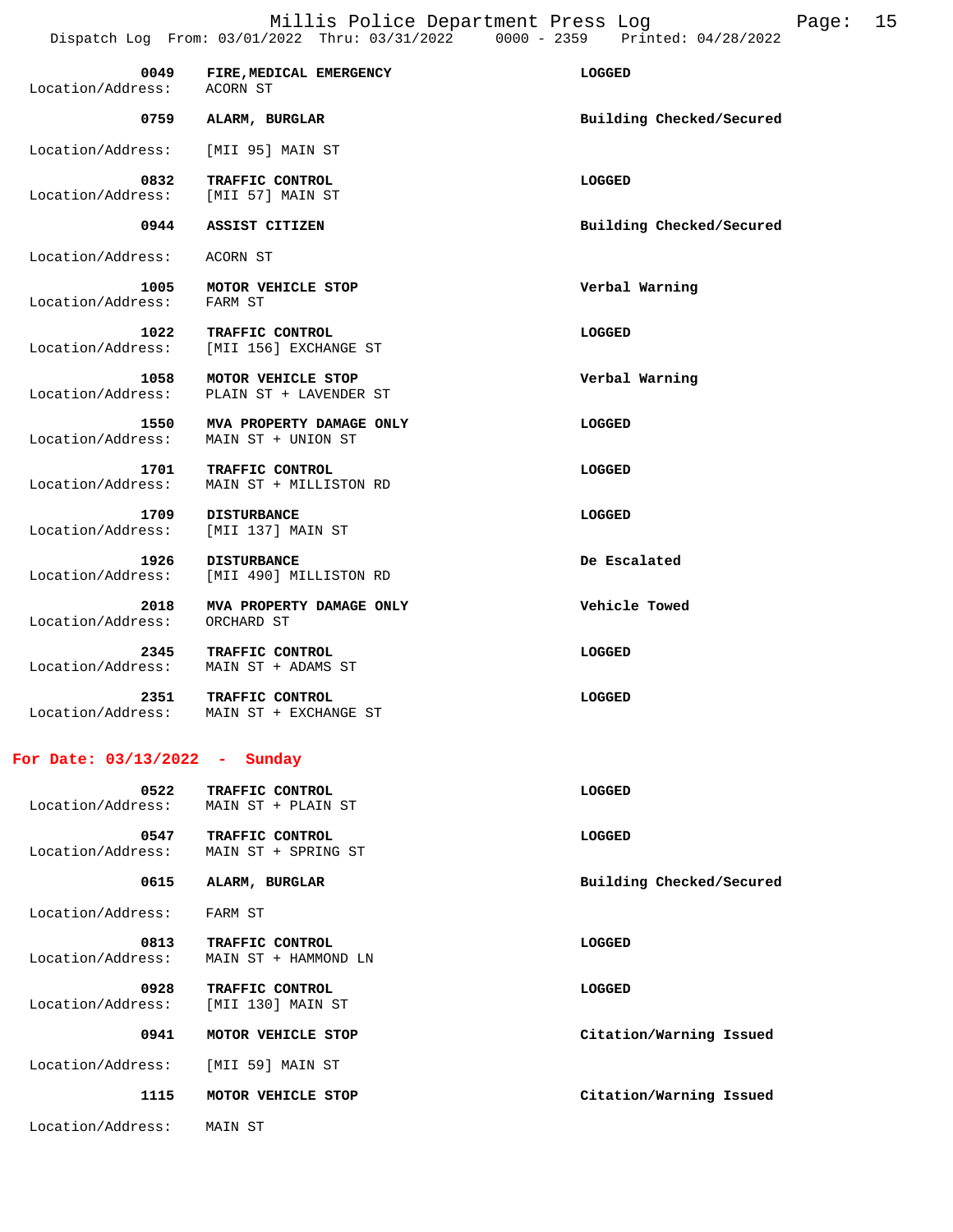Millis Police Department Press Log Fage: 15

|                                 | Dispatch Log From: 03/01/2022 Thru: 03/31/2022 | $0000 - 2359$<br>Printed: 04/28/2022 |  |
|---------------------------------|------------------------------------------------|--------------------------------------|--|
| 0049<br>Location/Address:       | FIRE, MEDICAL EMERGENCY<br>ACORN ST            | LOGGED                               |  |
| 0759                            | ALARM, BURGLAR                                 | Building Checked/Secured             |  |
| Location/Address:               | [MII 95] MAIN ST                               |                                      |  |
| 0832<br>Location/Address:       | TRAFFIC CONTROL<br>[MII 57] MAIN ST            | LOGGED                               |  |
| 0944                            | ASSIST CITIZEN                                 | Building Checked/Secured             |  |
| Location/Address:               | ACORN ST                                       |                                      |  |
| 1005<br>Location/Address:       | MOTOR VEHICLE STOP<br>FARM ST                  | Verbal Warning                       |  |
| 1022<br>Location/Address:       | TRAFFIC CONTROL<br>[MII 156] EXCHANGE ST       | LOGGED                               |  |
| 1058<br>Location/Address:       | MOTOR VEHICLE STOP<br>PLAIN ST + LAVENDER ST   | Verbal Warning                       |  |
| 1550<br>Location/Address:       | MVA PROPERTY DAMAGE ONLY<br>MAIN ST + UNION ST | LOGGED                               |  |
| 1701<br>Location/Address:       | TRAFFIC CONTROL<br>MAIN ST + MILLISTON RD      | LOGGED                               |  |
| 1709<br>Location/Address:       | <b>DISTURBANCE</b><br>[MII 137] MAIN ST        | LOGGED                               |  |
| 1926<br>Location/Address:       | <b>DISTURBANCE</b><br>[MII 490] MILLISTON RD   | De Escalated                         |  |
| 2018<br>Location/Address:       | MVA PROPERTY DAMAGE ONLY<br>ORCHARD ST         | Vehicle Towed                        |  |
| 2345<br>Location/Address:       | TRAFFIC CONTROL<br>MAIN ST + ADAMS ST          | LOGGED                               |  |
| 2351<br>Location/Address:       | TRAFFIC CONTROL<br>MAIN ST + EXCHANGE ST       | LOGGED                               |  |
| For Date: $03/13/2022 - Sunday$ |                                                |                                      |  |
| 0522<br>Location/Address:       | TRAFFIC CONTROL<br>MAIN ST + PLAIN ST          | <b>LOGGED</b>                        |  |
| 0547<br>Location/Address:       | TRAFFIC CONTROL<br>MAIN ST + SPRING ST         | LOGGED                               |  |

 **0615 ALARM, BURGLAR Building Checked/Secured**  Location/Address: FARM ST 0813 TRAFFIC CONTROL **CONTROL CONTROL**  Location/Address: MAIN ST + HAMMOND LN  **0928 TRAFFIC CONTROL LOGGED**  Location/Address: [MII 130] MAIN ST  **0941 MOTOR VEHICLE STOP Citation/Warning Issued**  Location/Address: [MII 59] MAIN ST  **1115 MOTOR VEHICLE STOP Citation/Warning Issued** 

Location/Address: MAIN ST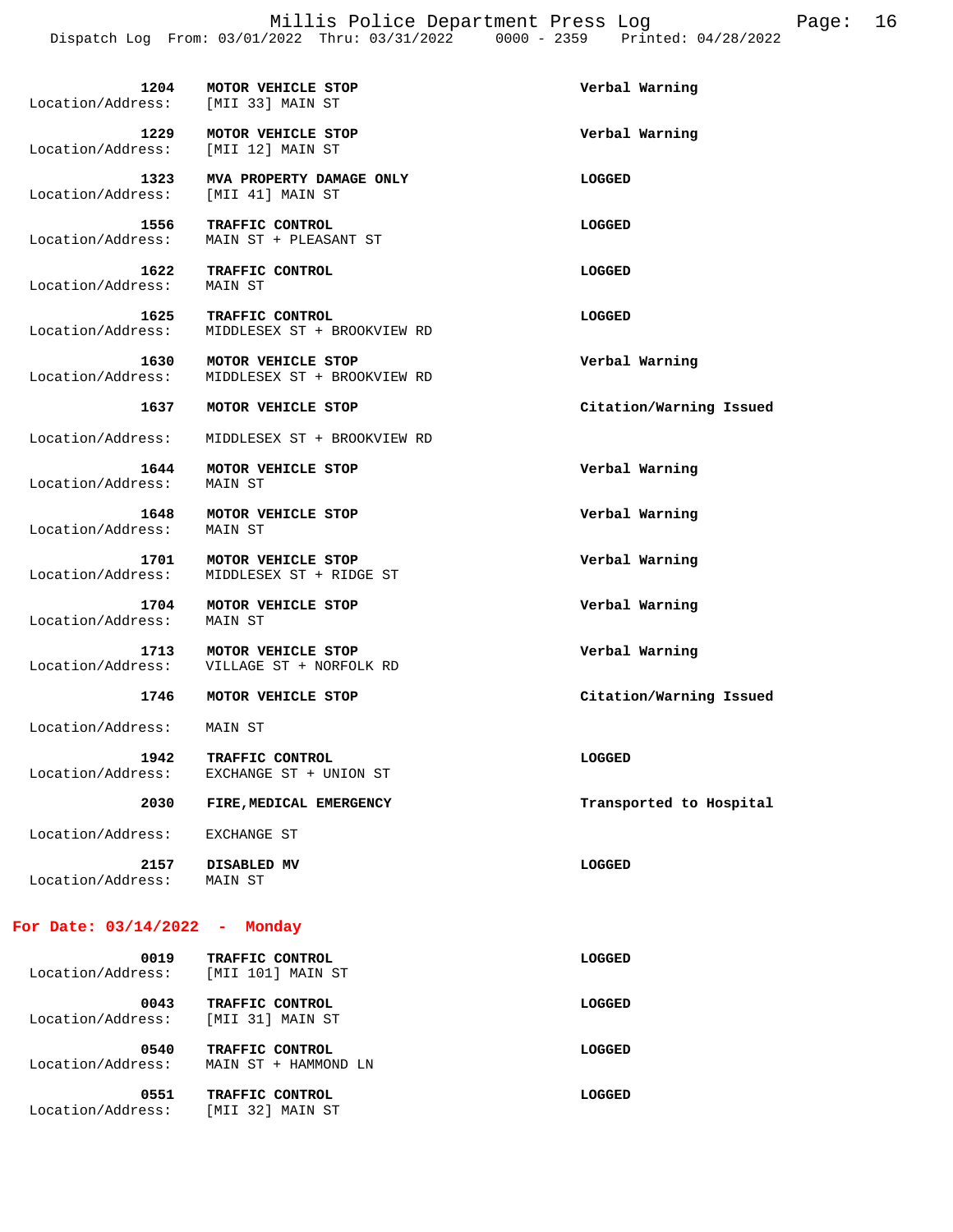| Location/Address:         | 1204 MOTOR VEHICLE STOP<br>[MII 33] MAIN ST       | Verbal Warning          |
|---------------------------|---------------------------------------------------|-------------------------|
| 1229<br>Location/Address: | MOTOR VEHICLE STOP<br>[MII 12] MAIN ST            | Verbal Warning          |
| 1323<br>Location/Address: | MVA PROPERTY DAMAGE ONLY<br>[MII 41] MAIN ST      | LOGGED                  |
| 1556<br>Location/Address: | TRAFFIC CONTROL<br>MAIN ST + PLEASANT ST          | LOGGED                  |
| 1622<br>Location/Address: | TRAFFIC CONTROL<br>MAIN ST                        | LOGGED                  |
| 1625<br>Location/Address: | TRAFFIC CONTROL<br>MIDDLESEX ST + BROOKVIEW RD    | LOGGED                  |
| 1630<br>Location/Address: | MOTOR VEHICLE STOP<br>MIDDLESEX ST + BROOKVIEW RD | Verbal Warning          |
| 1637                      | MOTOR VEHICLE STOP                                | Citation/Warning Issued |
| Location/Address:         | MIDDLESEX ST + BROOKVIEW RD                       |                         |
| 1644<br>Location/Address: | MOTOR VEHICLE STOP<br>MAIN ST                     | Verbal Warning          |
| 1648<br>Location/Address: | MOTOR VEHICLE STOP<br>MAIN ST                     | Verbal Warning          |
| 1701<br>Location/Address: | MOTOR VEHICLE STOP<br>MIDDLESEX ST + RIDGE ST     | Verbal Warning          |
| 1704<br>Location/Address: | MOTOR VEHICLE STOP<br>MAIN ST                     | Verbal Warning          |
| 1713<br>Location/Address: | MOTOR VEHICLE STOP<br>VILLAGE ST + NORFOLK RD     | Verbal Warning          |
| 1746                      | MOTOR VEHICLE STOP                                | Citation/Warning Issued |
| Location/Address:         | MAIN ST                                           |                         |
| 1942<br>Location/Address: | TRAFFIC CONTROL<br>EXCHANGE ST + UNION ST         | LOGGED                  |
| 2030                      | FIRE, MEDICAL EMERGENCY                           | Transported to Hospital |
| Location/Address:         | EXCHANGE ST                                       |                         |
| 2157<br>Location/Address: | DISABLED MV<br>MAIN ST                            | LOGGED                  |

## **For Date: 03/14/2022 - Monday**

| 0019<br>Location/Address: | TRAFFIC CONTROL<br>[MII 101] MAIN ST    | LOGGED |
|---------------------------|-----------------------------------------|--------|
| 0043<br>Location/Address: | TRAFFIC CONTROL<br>[MII 31] MAIN ST     | LOGGED |
| 0540<br>Location/Address: | TRAFFIC CONTROL<br>MAIN ST + HAMMOND LN | LOGGED |
| 0551<br>Location/Address: | TRAFFIC CONTROL<br>[MII 32] MAIN ST     | LOGGED |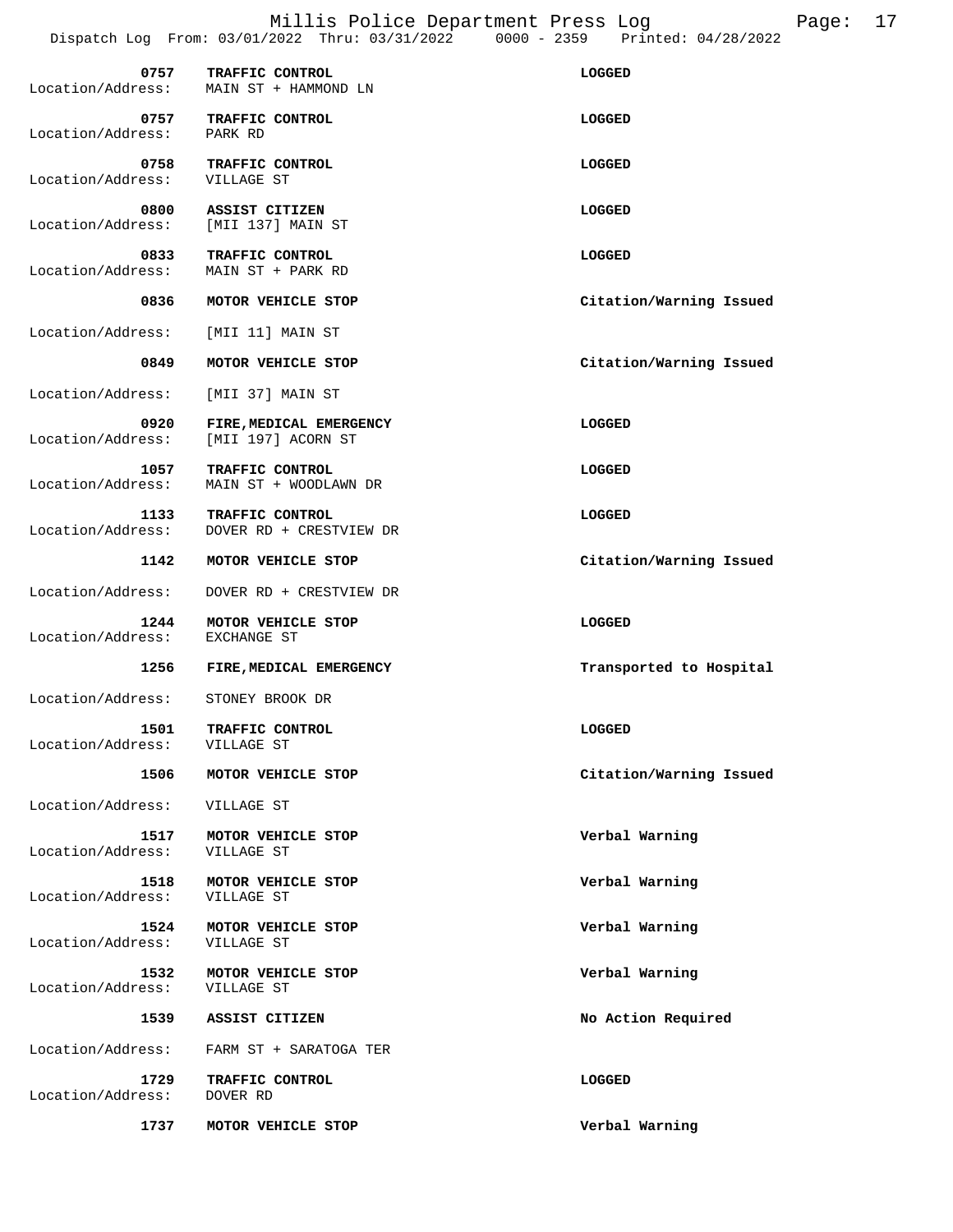Millis Police Department Press Log Fage: 17 Dispatch Log From: 03/01/2022 Thru: 03/31/2022 0000 - 2359 Printed: 04/28/2022

| 0757<br>Location/Address: | TRAFFIC CONTROL<br>MAIN ST + HAMMOND LN | LOGGED |
|---------------------------|-----------------------------------------|--------|
| 0757<br>Location/Address: | TRAFFIC CONTROL<br>PARK RD              | LOGGED |
| 0758<br>Location/Address: | TRAFFIC CONTROL<br>VILLAGE ST           | LOGGED |

Location/Address:  **0800 ASSIST CITIZEN LOGGED**  Location/Address: [MII 137] MAIN ST

**0833 TRAFFIC CONTROL**<br>
Location/Address: MAIN ST + PARK RD MAIN ST + PARK RD

0836 MOTOR VEHICLE STOP **CITATION** Citation/Warning Issued

Location/Address: [MII 11] MAIN ST

 **0849 MOTOR VEHICLE STOP Citation/Warning Issued** 

Location/Address: [MII 37] MAIN ST

 **0920 FIRE,MEDICAL EMERGENCY LOGGED**  Location/Address: [MII 197] ACORN ST

**1057 TRAFFIC CONTROL**<br>Location/Address: MAIN ST + WOODLAWN DR MAIN ST + WOODLAWN DR

**1133 TRAFFIC CONTROL**<br>Location/Address: DOVER RD + CRESTVIEW DR Location/Address: DOVER RD + CRESTVIEW DR

 **1142 MOTOR VEHICLE STOP Citation/Warning Issued** 

Location/Address: DOVER RD + CRESTVIEW DR

**1244 MOTOR VEHICLE STOP CONSUMING A LOGGED**<br>
RESS: EXCHANGE ST Location/Address:

 **1256 FIRE,MEDICAL EMERGENCY Transported to Hospital** 

Location/Address: STONEY BROOK DR

**1501 TRAFFIC CONTROL LOGGED LOGGED**<br>
ress: VILLAGE ST Location/Address:

 **1506 MOTOR VEHICLE STOP Citation/Warning Issued** 

Location/Address: VILLAGE ST

 **1517 MOTOR VEHICLE STOP Verbal Warning**  Location/Address:

 **1518 MOTOR VEHICLE STOP Verbal Warning**  Location/Address: VILLAGE ST

 **1524 MOTOR VEHICLE STOP Verbal Warning** 

 **1532 MOTOR VEHICLE STOP Verbal Warning**  Location/Address: VILLAGE ST

Location/Address: FARM ST + SARATOGA TER

Location/Address:

 **1729 TRAFFIC CONTROL LOGGED**  Location/Address: DOVER RD

 **1737 MOTOR VEHICLE STOP Verbal Warning** 

 **1539 ASSIST CITIZEN No Action Required**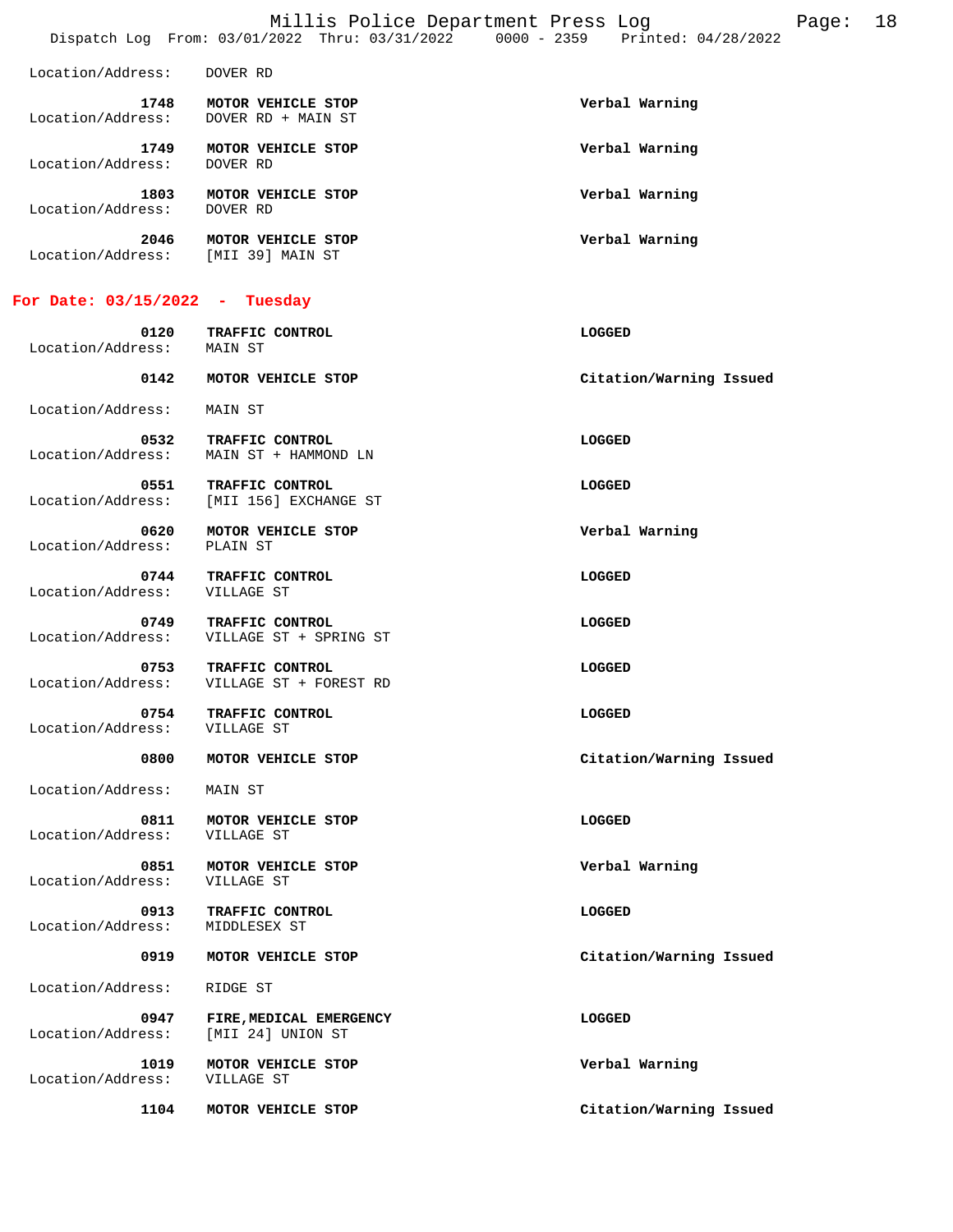|                           | Millis Police Department Press Log<br>Dispatch Log From: 03/01/2022 Thru: 03/31/2022 0000 - 2359 Printed: 04/28/2022 |                | Page: | 18 |
|---------------------------|----------------------------------------------------------------------------------------------------------------------|----------------|-------|----|
| Location/Address:         | DOVER RD                                                                                                             |                |       |    |
| 1748<br>Location/Address: | MOTOR VEHICLE STOP<br>DOVER RD + MAIN ST                                                                             | Verbal Warning |       |    |
| 1749<br>Location/Address: | MOTOR VEHICLE STOP<br>DOVER RD                                                                                       | Verbal Warning |       |    |
| 1803<br>Location/Address: | MOTOR VEHICLE STOP<br>DOVER RD                                                                                       | Verbal Warning |       |    |
| 2046<br>Location/Address: | MOTOR VEHICLE STOP<br>[MII 39] MAIN ST                                                                               | Verbal Warning |       |    |
| For Date: 03/15/2022 -    | Tuesday                                                                                                              |                |       |    |
| 0120                      | TRAFFIC CONTROL                                                                                                      | LOGGED         |       |    |

 **0142 MOTOR VEHICLE STOP Citation/Warning Issued**  Location/Address: MAIN ST

 **0532 TRAFFIC CONTROL**<br>
Location/Address: MAIN ST + HAMMOND LN Location/Address: MAIN ST + HAMMOND LN **0551 TRAFFIC CONTROL**<br>
Location/Address: [MII 156] EXCHANGE ST [MII 156] EXCHANGE ST  **0620 MOTOR VEHICLE STOP Verbal Warning** 

**0744 TRAFFIC CONTROL LOGGED LOGGED**<br>
ress: VILLAGE ST Location/Address:

 **0749 TRAFFIC CONTROL LOGGED**  Location/Address: VILLAGE ST + SPRING ST

**0753 TRAFFIC CONTROL**<br>
Location/Address: VILLAGE ST + FOREST RD VILLAGE ST + FOREST RD

 **0754 TRAFFIC CONTROL CONTROL DESCRIPTION CONTROL**<br>  **1066ED**<br> **1066ED** Location/Address:

Location/Address: MAIN ST

Location/Address:

Location/Address: MAIN ST

**0811 MOTOR VEHICLE STOP CONSUMING A LOGGED**<br> **EXIST:** VILLAGE ST Location/Address:

 **0851 MOTOR VEHICLE STOP Verbal Warning**  Location/Address:

 **0913 TRAFFIC CONTROL CONTROL CONTROL CONTROL CONTROL**<br>ess: MIDDLESEX ST

Location/Address:

Location/Address: RIDGE ST

**0947 FIRE, MEDICAL EMERGENCY LOGGED LOGGED**<br> **EXECUTE:** [MII 24] UNION ST Location/Address:

 **1019 MOTOR VEHICLE STOP Verbal Warning**  Location/Address:

 **0800 MOTOR VEHICLE STOP Citation/Warning Issued** 

 **0919 MOTOR VEHICLE STOP Citation/Warning Issued** 

 **1104 MOTOR VEHICLE STOP Citation/Warning Issued**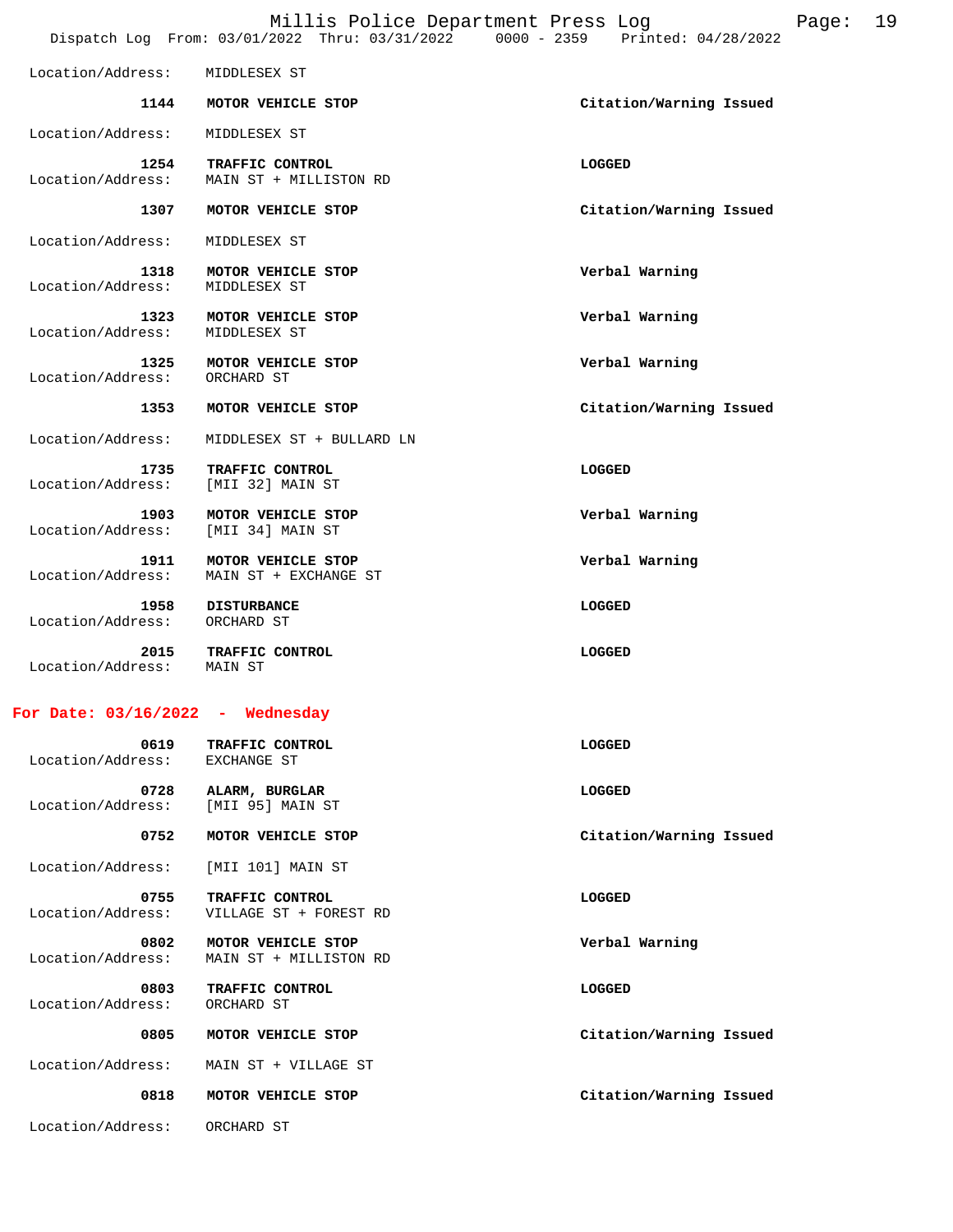|                                    |                                              | Millis Police Department Press Log<br>Dispatch Log From: 03/01/2022 Thru: 03/31/2022 0000 - 2359 Printed: 04/28/2022 | Page: | 19 |
|------------------------------------|----------------------------------------------|----------------------------------------------------------------------------------------------------------------------|-------|----|
| Location/Address:                  | MIDDLESEX ST                                 |                                                                                                                      |       |    |
| 1144                               | MOTOR VEHICLE STOP                           | Citation/Warning Issued                                                                                              |       |    |
|                                    |                                              |                                                                                                                      |       |    |
| Location/Address:                  | MIDDLESEX ST                                 |                                                                                                                      |       |    |
| 1254<br>Location/Address:          | TRAFFIC CONTROL<br>MAIN ST + MILLISTON RD    | LOGGED                                                                                                               |       |    |
| 1307                               | MOTOR VEHICLE STOP                           | Citation/Warning Issued                                                                                              |       |    |
| Location/Address:                  | MIDDLESEX ST                                 |                                                                                                                      |       |    |
| 1318<br>Location/Address:          | MOTOR VEHICLE STOP<br>MIDDLESEX ST           | Verbal Warning                                                                                                       |       |    |
| 1323<br>Location/Address:          | MOTOR VEHICLE STOP<br>MIDDLESEX ST           | Verbal Warning                                                                                                       |       |    |
| 1325<br>Location/Address:          | MOTOR VEHICLE STOP<br>ORCHARD ST             | Verbal Warning                                                                                                       |       |    |
| 1353                               | MOTOR VEHICLE STOP                           | Citation/Warning Issued                                                                                              |       |    |
| Location/Address:                  | MIDDLESEX ST + BULLARD LN                    |                                                                                                                      |       |    |
| 1735<br>Location/Address:          | TRAFFIC CONTROL<br>[MII 32] MAIN ST          | LOGGED                                                                                                               |       |    |
| 1903<br>Location/Address:          | MOTOR VEHICLE STOP<br>[MII 34] MAIN ST       | Verbal Warning                                                                                                       |       |    |
| 1911<br>Location/Address:          | MOTOR VEHICLE STOP<br>MAIN ST + EXCHANGE ST  | Verbal Warning                                                                                                       |       |    |
| 1958<br>Location/Address:          | <b>DISTURBANCE</b><br>ORCHARD ST             | LOGGED                                                                                                               |       |    |
| 2015<br>Location/Address:          | TRAFFIC CONTROL<br>MAIN ST                   | LOGGED                                                                                                               |       |    |
| For Date: $03/16/2022$ - Wednesday |                                              |                                                                                                                      |       |    |
| 0619<br>Location/Address:          | TRAFFIC CONTROL<br>EXCHANGE ST               | LOGGED                                                                                                               |       |    |
| 0728<br>Location/Address:          | ALARM, BURGLAR<br>[MII 95] MAIN ST           | LOGGED                                                                                                               |       |    |
| 0752                               | MOTOR VEHICLE STOP                           | Citation/Warning Issued                                                                                              |       |    |
| Location/Address:                  | [MII 101] MAIN ST                            |                                                                                                                      |       |    |
| 0755                               | TRAFFIC CONTROL                              | LOGGED                                                                                                               |       |    |
| Location/Address:                  | VILLAGE ST + FOREST RD                       |                                                                                                                      |       |    |
| 0802<br>Location/Address:          | MOTOR VEHICLE STOP<br>MAIN ST + MILLISTON RD | Verbal Warning                                                                                                       |       |    |
| 0803<br>Location/Address:          | TRAFFIC CONTROL<br>ORCHARD ST                | LOGGED                                                                                                               |       |    |
| 0805                               | MOTOR VEHICLE STOP                           | Citation/Warning Issued                                                                                              |       |    |
| Location/Address:                  | MAIN ST + VILLAGE ST                         |                                                                                                                      |       |    |
| 0818                               | MOTOR VEHICLE STOP                           | Citation/Warning Issued                                                                                              |       |    |

Location/Address: ORCHARD ST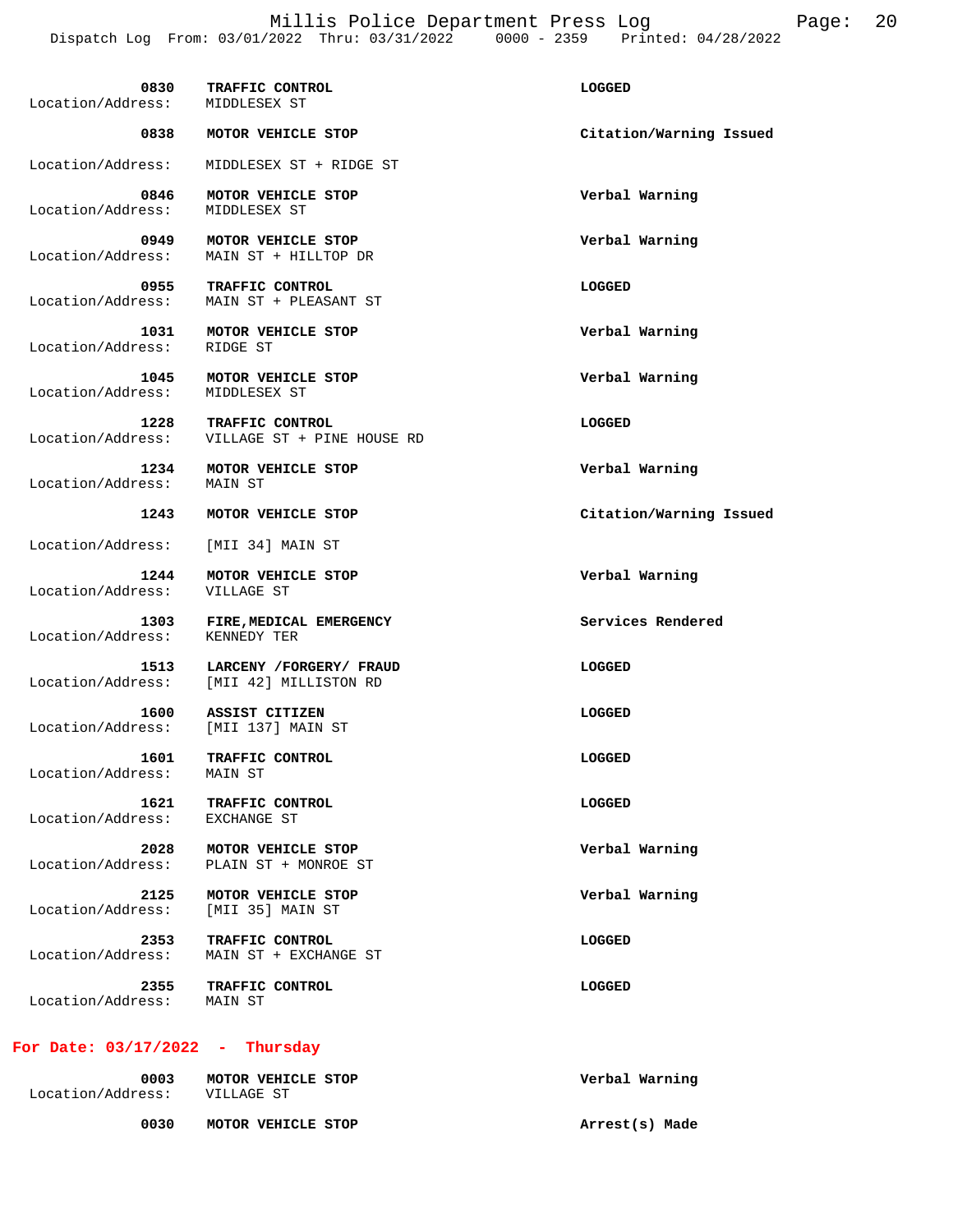Millis Police Department Press Log Fage: 20 Dispatch Log From: 03/01/2022 Thru: 03/31/2022 0000 - 2359 Printed: 04/28/2022

 **0830 TRAFFIC CONTROL LOGGED**  Location/Address: MIDDLESEX ST  **0838 MOTOR VEHICLE STOP Citation/Warning Issued**  Location/Address: MIDDLESEX ST + RIDGE ST  **0846 MOTOR VEHICLE STOP Verbal Warning**  Location/Address: MIDDLESEX ST  **0949 MOTOR VEHICLE STOP Verbal Warning**  Location/Address: MAIN ST + HILLTOP DR  **0955 TRAFFIC CONTROL LOGGED**  Location/Address: MAIN ST + PLEASANT ST  **1031 MOTOR VEHICLE STOP Verbal Warning**  Location/Address: RIDGE ST  **1045 MOTOR VEHICLE STOP Verbal Warning**  Location/Address: MIDDLESEX ST  **1228 TRAFFIC CONTROL LOGGED**  Location/Address: VILLAGE ST + PINE HOUSE RD  **1234 MOTOR VEHICLE STOP Verbal Warning**  Location/Address: MAIN ST  **1243 MOTOR VEHICLE STOP Citation/Warning Issued**  Location/Address: [MII 34] MAIN ST  **1244 MOTOR VEHICLE STOP Verbal Warning**  Location/Address:  **1303 FIRE,MEDICAL EMERGENCY Services Rendered**  Location/Address: KENNEDY TER  **1513 LARCENY /FORGERY/ FRAUD LOGGED**  Location/Address: [MII 42] MILLISTON RD  **1600 ASSIST CITIZEN LOGGED**  Location/Address: [MII 137] MAIN ST  **1601 TRAFFIC CONTROL LOGGED**  Location/Address: MAIN ST  **1621 TRAFFIC CONTROL LOGGED**  Location/Address: EXCHANGE ST  **2028 MOTOR VEHICLE STOP Verbal Warning**  Location/Address: PLAIN ST + MONROE ST  **2125 MOTOR VEHICLE STOP Verbal Warning**  Location/Address:  **2353 TRAFFIC CONTROL LOGGED**  Location/Address: MAIN ST + EXCHANGE ST **2355 TRAFFIC CONTROL LOGGED LOGGED**<br>
ress: MAIN ST Location/Address: **For Date: 03/17/2022 - Thursday 0003 MOTOR VEHICLE STOP Verbal Warning**  Location/Address: VILLAGE ST

 **0030 MOTOR VEHICLE STOP Arrest(s) Made**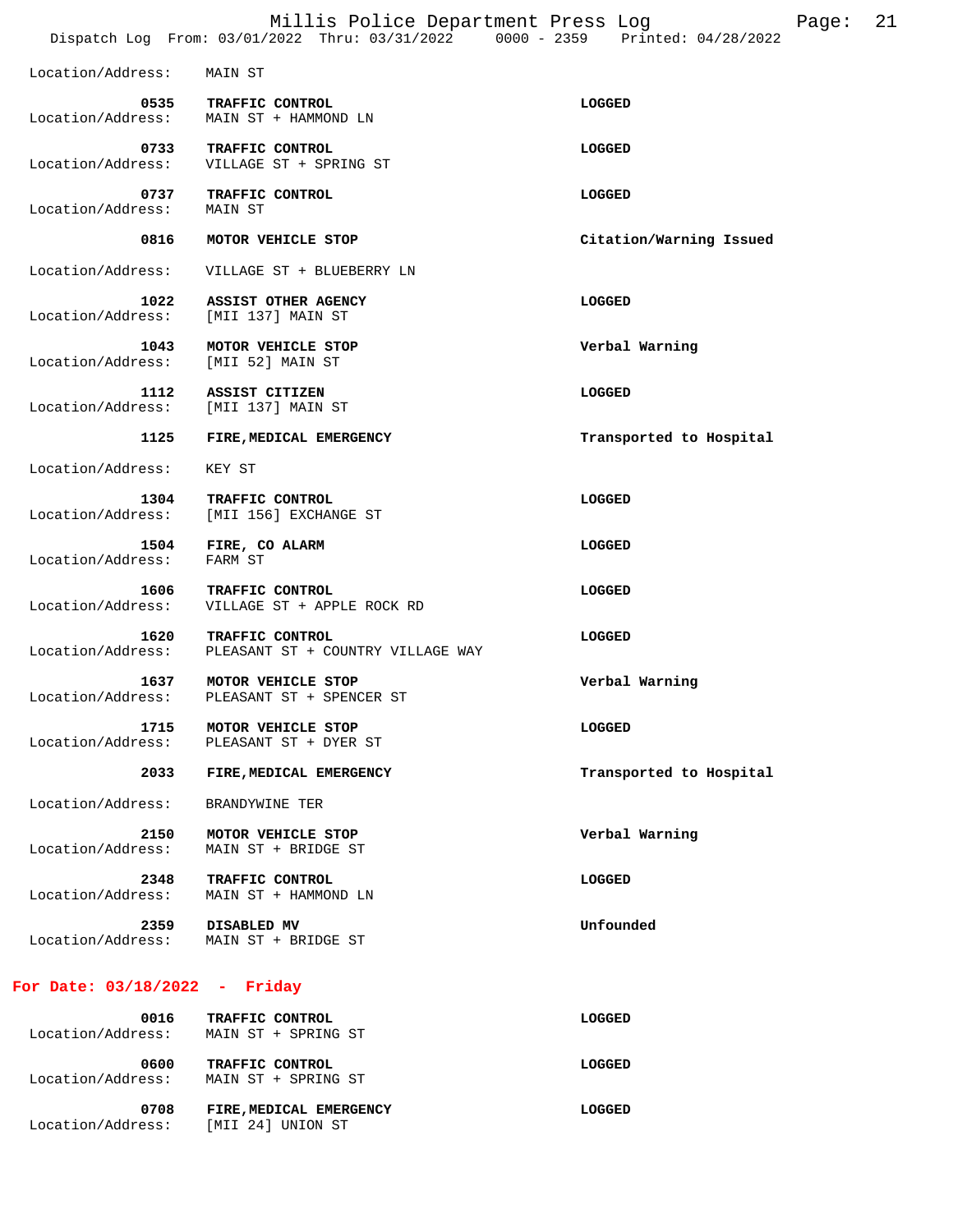|                                 | Millis Police Department Press Log<br>Dispatch Log From: 03/01/2022 Thru: 03/31/2022 0000 - 2359 Printed: 04/28/2022 | 21<br>Page:             |
|---------------------------------|----------------------------------------------------------------------------------------------------------------------|-------------------------|
| Location/Address:               | MAIN ST                                                                                                              |                         |
| Location/Address:               | 0535 TRAFFIC CONTROL<br>MAIN ST + HAMMOND LN                                                                         | LOGGED                  |
| 0733<br>Location/Address:       | TRAFFIC CONTROL<br>VILLAGE ST + SPRING ST                                                                            | LOGGED                  |
| 0737<br>Location/Address:       | TRAFFIC CONTROL<br>MAIN ST                                                                                           | LOGGED                  |
| 0816                            | MOTOR VEHICLE STOP                                                                                                   | Citation/Warning Issued |
| Location/Address:               | VILLAGE ST + BLUEBERRY LN                                                                                            |                         |
| 1022<br>Location/Address:       | ASSIST OTHER AGENCY<br>[MII 137] MAIN ST                                                                             | LOGGED                  |
| 1043<br>Location/Address:       | MOTOR VEHICLE STOP<br>[MII 52] MAIN ST                                                                               | Verbal Warning          |
| 1112<br>Location/Address:       | ASSIST CITIZEN<br>[MII 137] MAIN ST                                                                                  | LOGGED                  |
| 1125                            | FIRE, MEDICAL EMERGENCY                                                                                              | Transported to Hospital |
| Location/Address:               | KEY ST                                                                                                               |                         |
| 1304<br>Location/Address:       | TRAFFIC CONTROL<br>[MII 156] EXCHANGE ST                                                                             | LOGGED                  |
| 1504<br>Location/Address:       | FIRE, CO ALARM<br>FARM ST                                                                                            | LOGGED                  |
| 1606<br>Location/Address:       | TRAFFIC CONTROL<br>VILLAGE ST + APPLE ROCK RD                                                                        | LOGGED                  |
| 1620<br>Location/Address:       | TRAFFIC CONTROL<br>PLEASANT ST + COUNTRY VILLAGE WAY                                                                 | LOGGED                  |
| 1637<br>Location/Address:       | MOTOR VEHICLE STOP<br>PLEASANT ST + SPENCER ST                                                                       | Verbal Warning          |
| 1715<br>Location/Address:       | MOTOR VEHICLE STOP<br>PLEASANT ST + DYER ST                                                                          | LOGGED                  |
| 2033                            | FIRE, MEDICAL EMERGENCY                                                                                              | Transported to Hospital |
| Location/Address:               | BRANDYWINE TER                                                                                                       |                         |
| 2150<br>Location/Address:       | MOTOR VEHICLE STOP<br>MAIN ST + BRIDGE ST                                                                            | Verbal Warning          |
| 2348<br>Location/Address:       | TRAFFIC CONTROL<br>MAIN ST + HAMMOND LN                                                                              | LOGGED                  |
| 2359<br>Location/Address:       | DISABLED MV<br>MAIN ST + BRIDGE ST                                                                                   | Unfounded               |
| For Date: $03/18/2022$ - Friday |                                                                                                                      |                         |
| 0016<br>Location/Address:       | TRAFFIC CONTROL<br>MAIN ST + SPRING ST                                                                               | LOGGED                  |
| 0600                            | TRAFFIC CONTROL                                                                                                      | LOGGED                  |

 **0708 FIRE,MEDICAL EMERGENCY LOGGED**  Location/Address: [MII 24] UNION ST

Location/Address: MAIN ST + SPRING ST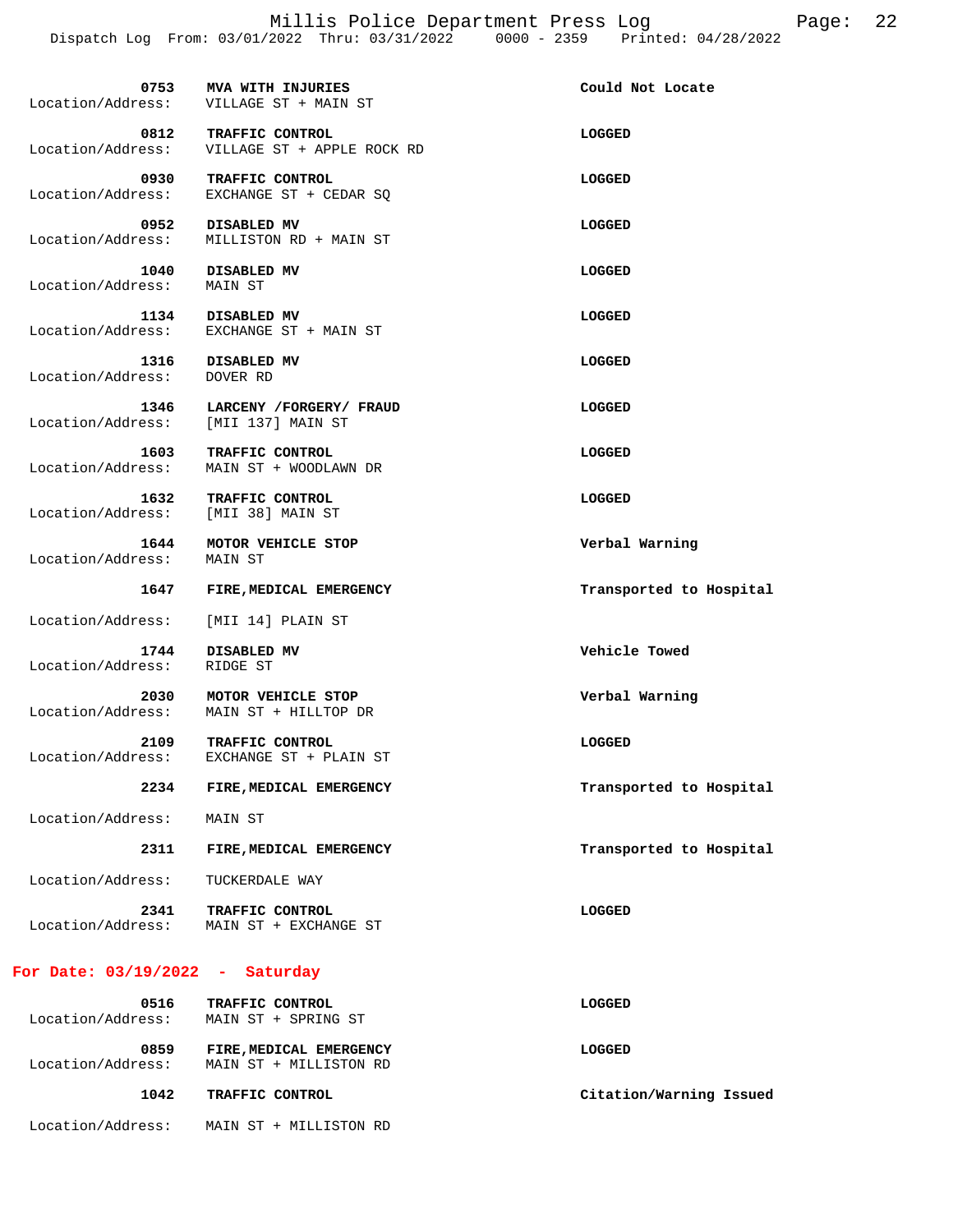| 0753                                        | MVA WITH INJURIES<br>Location/Address: VILLAGE ST + MAIN ST            | Could Not Locate        |
|---------------------------------------------|------------------------------------------------------------------------|-------------------------|
| 0812                                        | <b>TRAFFIC CONTROL</b><br>Location/Address: VILLAGE ST + APPLE ROCK RD | LOGGED                  |
| 0930                                        | TRAFFIC CONTROL<br>Location/Address: EXCHANGE ST + CEDAR SQ            | LOGGED                  |
|                                             | 0952 DISABLED MV<br>Location/Address: MILLISTON RD + MAIN ST           | LOGGED                  |
| Location/Address: MAIN ST                   | 1040 DISABLED MV                                                       | LOGGED                  |
|                                             | 1134 DISABLED MV<br>Location/Address: EXCHANGE ST + MAIN ST            | LOGGED                  |
| Location/Address:                           | 1316 DISABLED MV<br>DOVER RD                                           | LOGGED                  |
| 1346<br>Location/Address: [MII 137] MAIN ST | LARCENY /FORGERY/ FRAUD                                                | LOGGED                  |
| 1603<br>Location/Address:                   | <b>TRAFFIC CONTROL</b><br>MAIN ST + WOODLAWN DR                        | LOGGED                  |
| 1632<br>Location/Address:                   | TRAFFIC CONTROL<br>[MII 38] MAIN ST                                    | LOGGED                  |
| 1644<br>Location/Address: MAIN ST           | MOTOR VEHICLE STOP                                                     | Verbal Warning          |
|                                             | 1647 FIRE, MEDICAL EMERGENCY                                           | Transported to Hospital |
| Location/Address:                           | [MII 14] PLAIN ST                                                      |                         |
| 1744<br>Location/Address:                   | DISABLED MV<br>RIDGE ST                                                | Vehicle Towed           |
| 2030<br>Location/Address:                   | MOTOR VEHICLE STOP<br>MAIN ST + HILLTOP DR                             | Verbal Warning          |
| 2109                                        | TRAFFIC CONTROL<br>Location/Address: EXCHANGE ST + PLAIN ST            | LOGGED                  |
| 2234                                        | FIRE, MEDICAL EMERGENCY                                                | Transported to Hospital |
| Location/Address:                           | MAIN ST                                                                |                         |
| 2311                                        | FIRE, MEDICAL EMERGENCY                                                | Transported to Hospital |
| Location/Address:                           | TUCKERDALE WAY                                                         |                         |
| 2341                                        | <b>TRAFFIC CONTROL</b><br>Location/Address: MAIN ST + EXCHANGE ST      | LOGGED                  |
| For Date: $03/19/2022 - Saturday$           |                                                                        |                         |

 **0516 TRAFFIC CONTROL LOGGED**  Location/Address: MAIN ST + SPRING ST  **0859 FIRE,MEDICAL EMERGENCY LOGGED**  Location/Address: MAIN ST + MILLISTON RD  **1042 TRAFFIC CONTROL Citation/Warning Issued**  Location/Address: MAIN ST + MILLISTON RD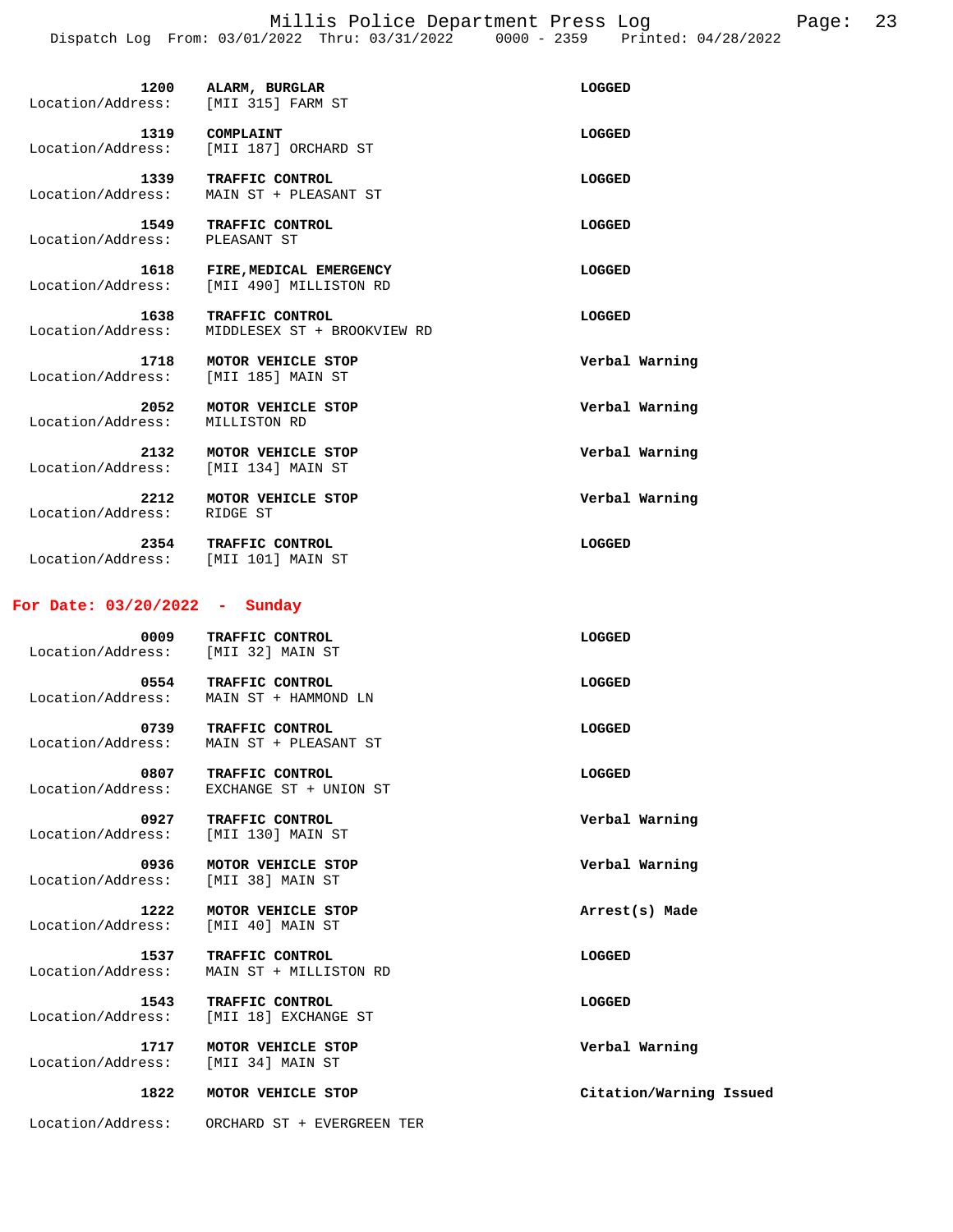Millis Police Department Press Log Fage: 23 Dispatch Log From: 03/01/2022 Thru: 03/31/2022 0000 - 2359 Printed: 04/28/2022

| Location/Address: | 1200 | ALARM, BURGLAR<br>[MII 315] FARM ST               | LOGGED |
|-------------------|------|---------------------------------------------------|--------|
| Location/Address: | 1319 | COMPLAINT<br>[MII 187] ORCHARD ST                 | LOGGED |
| Location/Address: | 1339 | TRAFFIC CONTROL<br>MAIN ST + PLEASANT ST          | LOGGED |
| Location/Address: | 1549 | TRAFFIC CONTROL<br>PLEASANT ST                    | LOGGED |
| Location/Address: | 1618 | FIRE, MEDICAL EMERGENCY<br>[MII 490] MILLISTON RD | LOGGED |
| Location/Address: | 1638 | TRAFFIC CONTROL<br>MIDDLESEX ST + BROOKVIEW RD    | LOGGED |

 **1718 MOTOR VEHICLE STOP Verbal Warning**  Location/Address: [MII 185] MAIN ST  **2052 MOTOR VEHICLE STOP Verbal Warning**  Location/Address: MILLISTON RD  **2132 MOTOR VEHICLE STOP Verbal Warning**  Location/Address: [MII 134] MAIN ST

 **2212 MOTOR VEHICLE STOP Verbal Warning**  Location/Address: RIDGE ST

 **2354 TRAFFIC CONTROL LOGGED**  Location/Address: [MII 101] MAIN ST

### **For Date: 03/20/2022 - Sunday**

| 0009<br>Location/Address: | TRAFFIC CONTROL<br>[MII 32] MAIN ST       | LOGGED                  |
|---------------------------|-------------------------------------------|-------------------------|
| 0554<br>Location/Address: | TRAFFIC CONTROL<br>MAIN ST + HAMMOND LN   | <b>LOGGED</b>           |
| 0739<br>Location/Address: | TRAFFIC CONTROL<br>MAIN ST + PLEASANT ST  | <b>LOGGED</b>           |
| 0807<br>Location/Address: | TRAFFIC CONTROL<br>EXCHANGE ST + UNION ST | <b>LOGGED</b>           |
| 0927<br>Location/Address: | TRAFFIC CONTROL<br>[MII 130] MAIN ST      | Verbal Warning          |
| 0936<br>Location/Address: | MOTOR VEHICLE STOP<br>[MII 38] MAIN ST    | Verbal Warning          |
| 1222<br>Location/Address: | MOTOR VEHICLE STOP<br>[MII 40] MAIN ST    | Arrest(s) Made          |
| 1537<br>Location/Address: | TRAFFIC CONTROL<br>MAIN ST + MILLISTON RD | <b>LOGGED</b>           |
| 1543<br>Location/Address: | TRAFFIC CONTROL<br>[MII 18] EXCHANGE ST   | <b>LOGGED</b>           |
| 1717<br>Location/Address: | MOTOR VEHICLE STOP<br>[MII 34] MAIN ST    | Verbal Warning          |
| 1822                      | MOTOR VEHICLE STOP                        | Citation/Warning Issued |
| Location/Address:         | ORCHARD ST + EVERGREEN TER                |                         |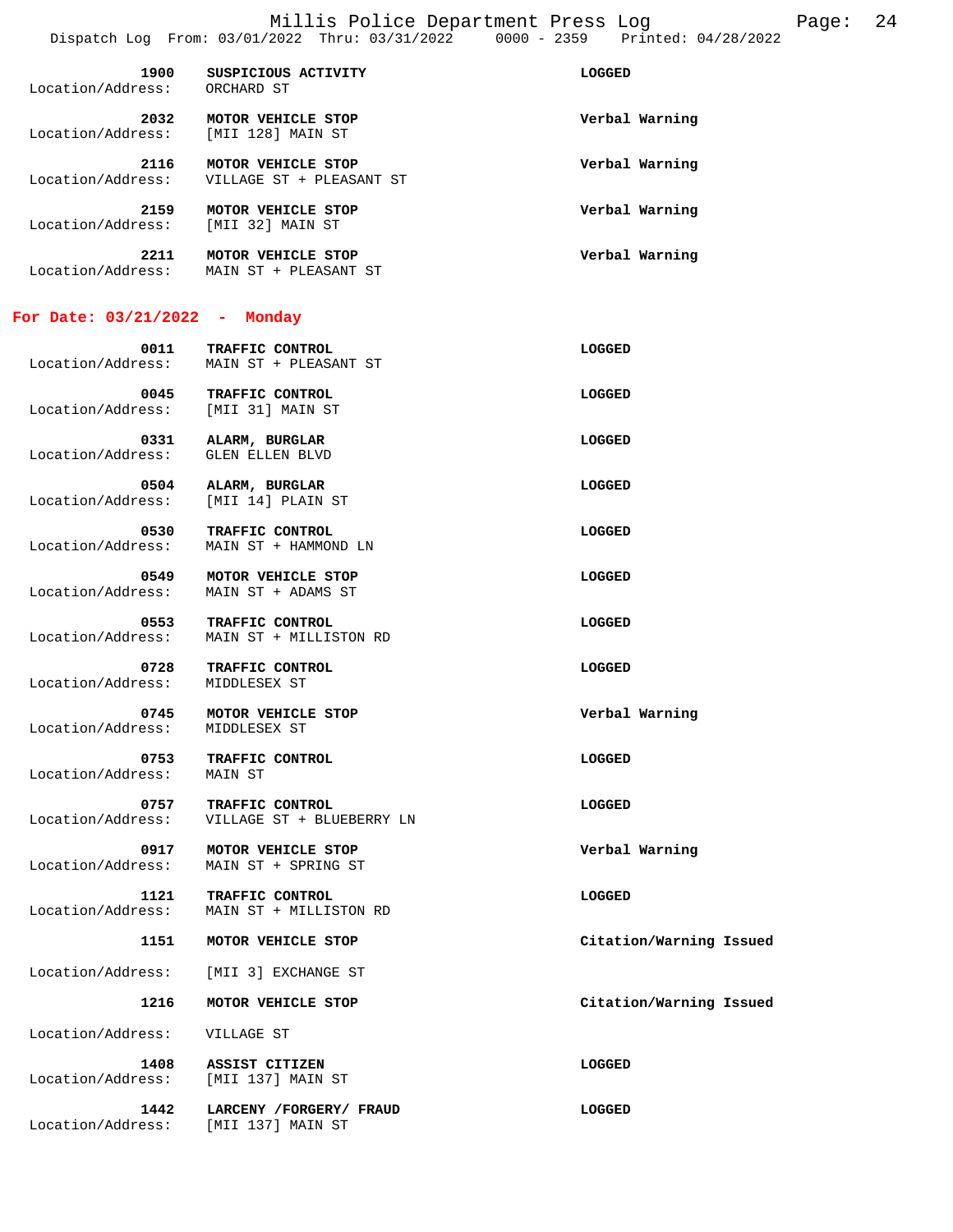| 1900<br>Location/Address: | SUSPICIOUS ACTIVITY<br>ORCHARD ST              | <b>LOGGED</b>  |
|---------------------------|------------------------------------------------|----------------|
| 2032<br>Location/Address: | MOTOR VEHICLE STOP<br>[MII 128] MAIN ST        | Verbal Warning |
| 2116<br>Location/Address: | MOTOR VEHICLE STOP<br>VILLAGE ST + PLEASANT ST | Verbal Warning |
| 2159<br>Location/Address: | MOTOR VEHICLE STOP<br>[MII 32] MAIN ST         | Verbal Warning |
| 2211                      | VEHICLE STOP<br><b>MOTOR</b>                   | Verbal Warning |

## **For Date: 03/21/2022 - Monday**

Location/Address: GLEN ELLEN BLVD

Location/Address: MAIN ST + PLEASANT ST

| 0011              | <b>TRAFFIC CONTROL</b> | LOGGED |
|-------------------|------------------------|--------|
| Location/Address: | MAIN ST + PLEASANT ST  |        |
|                   |                        |        |

 **0045 TRAFFIC CONTROL LOGGED**  Location/Address: [MII 31] MAIN ST  **0331 ALARM, BURGLAR LOGGED** 

 **0504 ALARM, BURGLAR LOGGED**  Location/Address: [MII 14] PLAIN ST

 **0530 TRAFFIC CONTROL**<br>
Location/Address: MAIN ST + HAMMOND LN Location/Address: MAIN ST + HAMMOND LN

 **0549 MOTOR VEHICLE STOP LOGGED**  MAIN ST + ADAMS ST

 **0553 TRAFFIC CONTROL LOGGED**  Location/Address: MAIN ST + MILLISTON RD

 **0728 TRAFFIC CONTROL LOGGED LOGGED**<br>  **1086** THE MIDDLESEX ST

 **0745 MOTOR VEHICLE STOP Verbal Warning**  Location/Address: MIDDLESEX ST

 **0753 TRAFFIC CONTROL LOGGED**  Location/Address: MAIN ST

0757 TRAFFIC CONTROL **CONTROL LOGGED** Location/Address: VILLAGE ST + BLUEBERRY LN

 **0917 MOTOR VEHICLE STOP Verbal Warning**  Location/Address: MAIN ST + SPRING ST

 **1121 TRAFFIC CONTROL LOGGED**  Location/Address: MAIN ST + MILLISTON RD

 **1151 MOTOR VEHICLE STOP Citation/Warning Issued** 

Location/Address: [MII 3] EXCHANGE ST

Location/Address:

 **1216 MOTOR VEHICLE STOP Citation/Warning Issued** 

Location/Address: VILLAGE ST

 **1408 ASSIST CITIZEN LOGGED**  Location/Address: [MII 137] MAIN ST

Location/Address:

 **1442 LARCENY /FORGERY/ FRAUD LOGGED**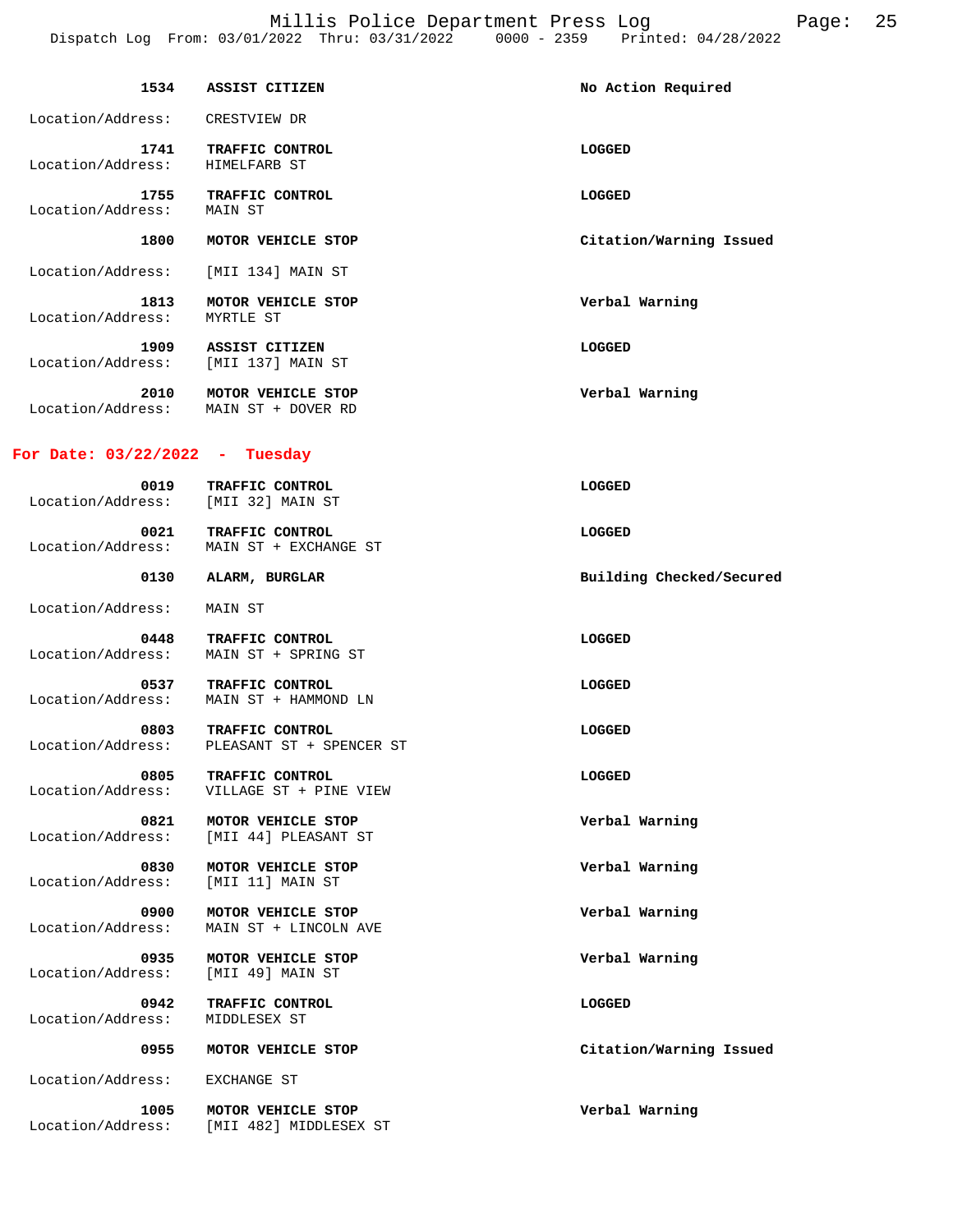Millis Police Department Press Log Page: 25 Dispatch Log From: 03/01/2022 Thru: 03/31/2022 0000 - 2359 Printed: 04/28/2022

|                                            | 1534 ASSIST CITIZEN                            | No Action Required       |
|--------------------------------------------|------------------------------------------------|--------------------------|
| Location/Address: CRESTVIEW DR             |                                                |                          |
| 1741<br>Location/Address:                  | TRAFFIC CONTROL<br>HIMELFARB ST                | LOGGED                   |
| Location/Address:                          | 1755 TRAFFIC CONTROL<br>MAIN ST                | LOGGED                   |
| 1800                                       | MOTOR VEHICLE STOP                             | Citation/Warning Issued  |
| Location/Address:                          | [MII 134] MAIN ST                              |                          |
| 1813<br>Location/Address:                  | MOTOR VEHICLE STOP<br>MYRTLE ST                | Verbal Warning           |
| 1909<br>Location/Address:                  | ASSIST CITIZEN<br>[MII 137] MAIN ST            | LOGGED                   |
| Location/Address: MAIN ST + DOVER RD       | 2010 MOTOR VEHICLE STOP                        | Verbal Warning           |
| For Date: $03/22/2022 -$ Tuesday           |                                                |                          |
| 0019<br>Location/Address: [MII 32] MAIN ST | TRAFFIC CONTROL                                | LOGGED                   |
| 0021<br>Location/Address:                  | TRAFFIC CONTROL<br>MAIN ST + EXCHANGE ST       | LOGGED                   |
| 0130                                       | ALARM, BURGLAR                                 | Building Checked/Secured |
| Location/Address:                          | MAIN ST                                        |                          |
| 0448<br>Location/Address:                  | <b>TRAFFIC CONTROL</b><br>MAIN ST + SPRING ST  | LOGGED                   |
| 0537<br>Location/Address:                  | <b>TRAFFIC CONTROL</b><br>MAIN ST + HAMMOND LN | LOGGED                   |
| 0803<br>Location/Address:                  | TRAFFIC CONTROL<br>PLEASANT ST + SPENCER ST    | LOGGED                   |
| 0805<br>Location/Address:                  | TRAFFIC CONTROL<br>VILLAGE ST + PINE VIEW      | LOGGED                   |
| 0821<br>Location/Address:                  | MOTOR VEHICLE STOP<br>[MII 44] PLEASANT ST     | Verbal Warning           |
| 0830<br>Location/Address:                  | MOTOR VEHICLE STOP<br>[MII 11] MAIN ST         | Verbal Warning           |
| 0900<br>Location/Address:                  | MOTOR VEHICLE STOP<br>MAIN ST + LINCOLN AVE    | Verbal Warning           |
| 0935<br>Location/Address:                  | MOTOR VEHICLE STOP<br>[MII 49] MAIN ST         | Verbal Warning           |
| 0942<br>Location/Address:                  | TRAFFIC CONTROL<br>MIDDLESEX ST                | LOGGED                   |
| 0955                                       | MOTOR VEHICLE STOP                             | Citation/Warning Issued  |
| Location/Address:                          | EXCHANGE ST                                    |                          |
|                                            |                                                |                          |

 **1005 MOTOR VEHICLE STOP Verbal Warning**  Location/Address: [MII 482] MIDDLESEX ST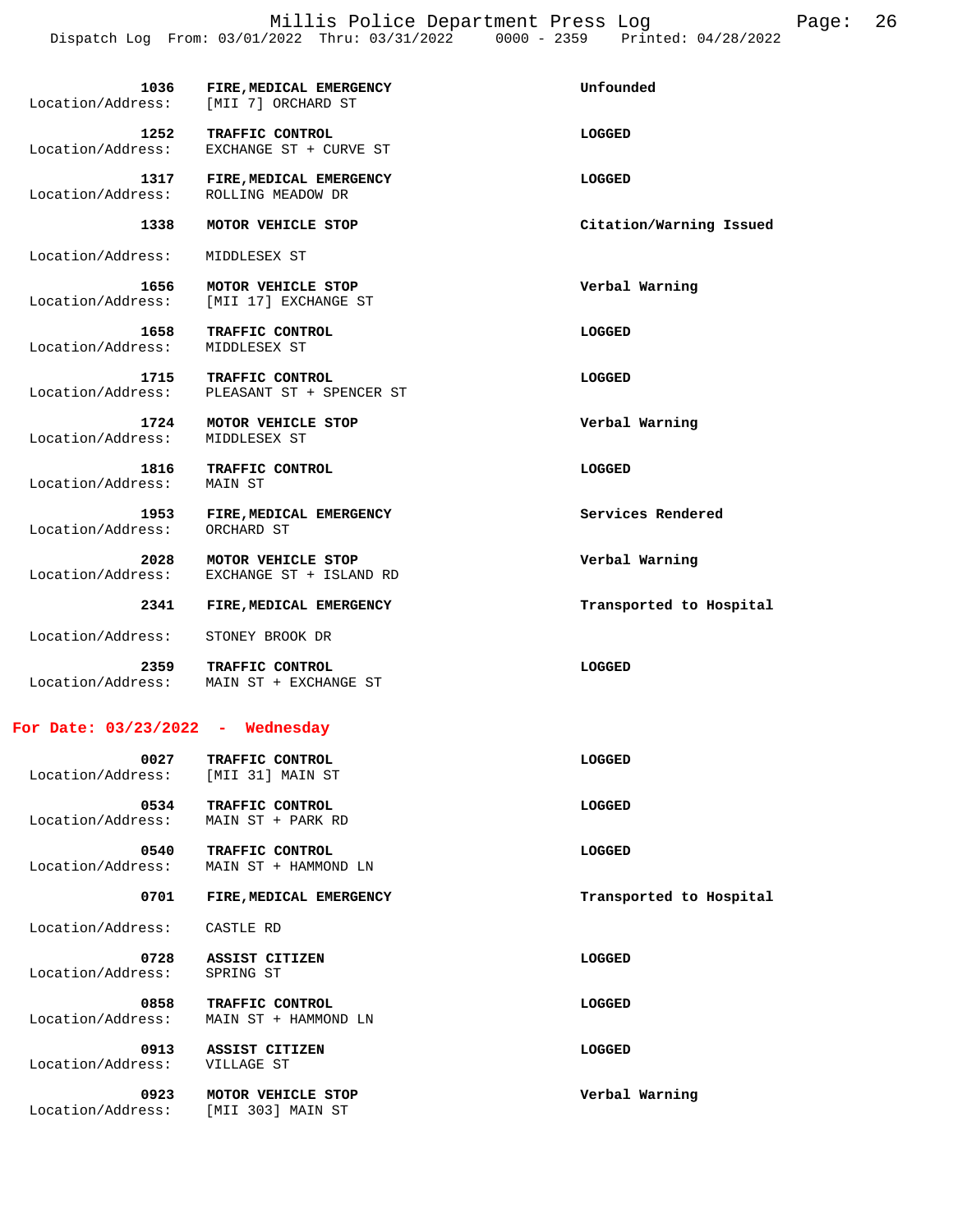| 1036<br>Location/Address:                  | FIRE, MEDICAL EMERGENCY<br>[MII 7] ORCHARD ST              | Unfounded               |
|--------------------------------------------|------------------------------------------------------------|-------------------------|
| 1252<br>Location/Address:                  | TRAFFIC CONTROL<br>EXCHANGE ST + CURVE ST                  | LOGGED                  |
| 1317<br>Location/Address:                  | FIRE, MEDICAL EMERGENCY<br>ROLLING MEADOW DR               | LOGGED                  |
| 1338                                       | MOTOR VEHICLE STOP                                         | Citation/Warning Issued |
| Location/Address:                          | MIDDLESEX ST                                               |                         |
| 1656<br>Location/Address:                  | MOTOR VEHICLE STOP<br>[MII 17] EXCHANGE ST                 | Verbal Warning          |
| 1658<br>Location/Address:                  | TRAFFIC CONTROL<br>MIDDLESEX ST                            | LOGGED                  |
| 1715<br>Location/Address:                  | TRAFFIC CONTROL<br>PLEASANT ST + SPENCER ST                | LOGGED                  |
| 1724<br>Location/Address:                  | MOTOR VEHICLE STOP<br>MIDDLESEX ST                         | Verbal Warning          |
| 1816<br>Location/Address: MAIN ST          | TRAFFIC CONTROL                                            | LOGGED                  |
| 1953<br>Location/Address:                  | FIRE, MEDICAL EMERGENCY<br>ORCHARD ST                      | Services Rendered       |
| 2028<br>Location/Address:                  | MOTOR VEHICLE STOP<br>EXCHANGE ST + ISLAND RD              | Verbal Warning          |
| 2341                                       | FIRE, MEDICAL EMERGENCY                                    | Transported to Hospital |
| Location/Address:                          | STONEY BROOK DR                                            |                         |
| 2359                                       | TRAFFIC CONTROL<br>Location/Address: MAIN ST + EXCHANGE ST | LOGGED                  |
| For Date: $03/23/2022$ - Wednesday         |                                                            |                         |
| 0027<br>Location/Address: [MII 31] MAIN ST | TRAFFIC CONTROL                                            | LOGGED                  |

 Location/Address: MAIN ST + PARK RD 0540 TRAFFIC CONTROL **CONTROL LOGGED**  Location/Address: MAIN ST + HAMMOND LN 0701 FIRE, MEDICAL EMERGENCY **FIRE** and **FIRE, MEDICAL** EMERGENCY Location/Address: CASTLE RD  **0728 ASSIST CITIZEN LOGGED**  Location/Address: SPRING ST 0858 TRAFFIC CONTROL **CONTROL** CONTROL Location/Address: MAIN ST + HAMMOND LN

 **0534 TRAFFIC CONTROL LOGGED** 

 **0913 ASSIST CITIZEN LOGGED**  Location/Address: VILLAGE ST  **0923 MOTOR VEHICLE STOP Verbal Warning**  Location/Address: [MII 303] MAIN ST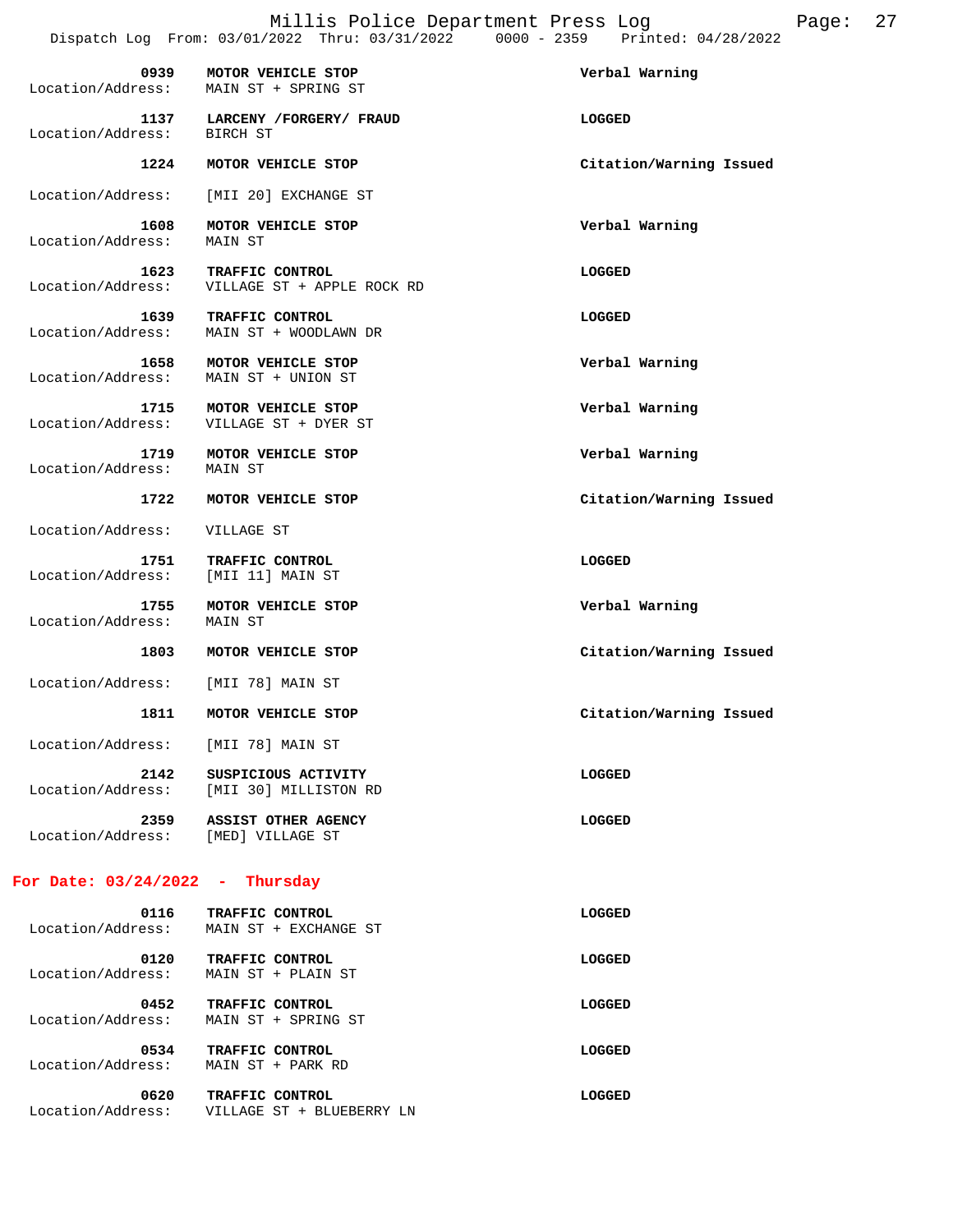Millis Police Department Press Log Fage: 27

|                                            |                                               | Dispatch Log From: 03/01/2022 Thru: 03/31/2022 0000 - 2359 Printed: 04/28/2022 |
|--------------------------------------------|-----------------------------------------------|--------------------------------------------------------------------------------|
| 0939<br>Location/Address:                  | MOTOR VEHICLE STOP<br>MAIN ST + SPRING ST     | Verbal Warning                                                                 |
| Location/Address:                          | 1137 LARCENY / FORGERY / FRAUD<br>BIRCH ST    | <b>LOGGED</b>                                                                  |
| 1224                                       | MOTOR VEHICLE STOP                            | Citation/Warning Issued                                                        |
| Location/Address:                          | [MII 20] EXCHANGE ST                          |                                                                                |
| 1608<br>Location/Address:                  | MOTOR VEHICLE STOP<br>MAIN ST                 | Verbal Warning                                                                 |
| 1623<br>Location/Address:                  | TRAFFIC CONTROL<br>VILLAGE ST + APPLE ROCK RD | LOGGED                                                                         |
| 1639<br>Location/Address:                  | TRAFFIC CONTROL<br>MAIN ST + WOODLAWN DR      | <b>LOGGED</b>                                                                  |
| 1658<br>Location/Address:                  | MOTOR VEHICLE STOP<br>MAIN ST + UNION ST      | Verbal Warning                                                                 |
| 1715<br>Location/Address:                  | MOTOR VEHICLE STOP<br>VILLAGE ST + DYER ST    | Verbal Warning                                                                 |
| 1719<br>Location/Address:                  | MOTOR VEHICLE STOP<br>MAIN ST                 | Verbal Warning                                                                 |
| 1722                                       | MOTOR VEHICLE STOP                            | Citation/Warning Issued                                                        |
| Location/Address:                          | VILLAGE ST                                    |                                                                                |
| 1751<br>Location/Address:                  | TRAFFIC CONTROL<br>[MII 11] MAIN ST           | LOGGED                                                                         |
| 1755<br>Location/Address:                  | MOTOR VEHICLE STOP<br>MAIN ST                 | Verbal Warning                                                                 |
| 1803                                       | MOTOR VEHICLE STOP                            | Citation/Warning Issued                                                        |
| Location/Address:                          | [MII 78] MAIN ST                              |                                                                                |
| 1811                                       | MOTOR VEHICLE STOP                            | Citation/Warning Issued                                                        |
| Location/Address: [MII 78] MAIN ST         |                                               |                                                                                |
| 2142<br>Location/Address:                  | SUSPICIOUS ACTIVITY<br>[MII 30] MILLISTON RD  | <b>LOGGED</b>                                                                  |
| 2359<br>Location/Address: [MED] VILLAGE ST | ASSIST OTHER AGENCY                           | <b>LOGGED</b>                                                                  |
| For Date: $03/24/2022 - Thursday$          |                                               |                                                                                |
| 0116<br>Location/Address:                  | TRAFFIC CONTROL<br>MAIN ST + EXCHANGE ST      | LOGGED                                                                         |
| 0120<br>Location/Address:                  | TRAFFIC CONTROL<br>MAIN ST + PLAIN ST         | LOGGED                                                                         |
| 0452<br>Location/Address:                  | TRAFFIC CONTROL<br>MAIN ST + SPRING ST        | LOGGED                                                                         |

 **0534 TRAFFIC CONTROL LOGGED**  Location/Address: MAIN ST + PARK RD

0620 TRAFFIC CONTROL **CONTROL LOGGED** Location/Address: VILLAGE ST + BLUEBERRY LN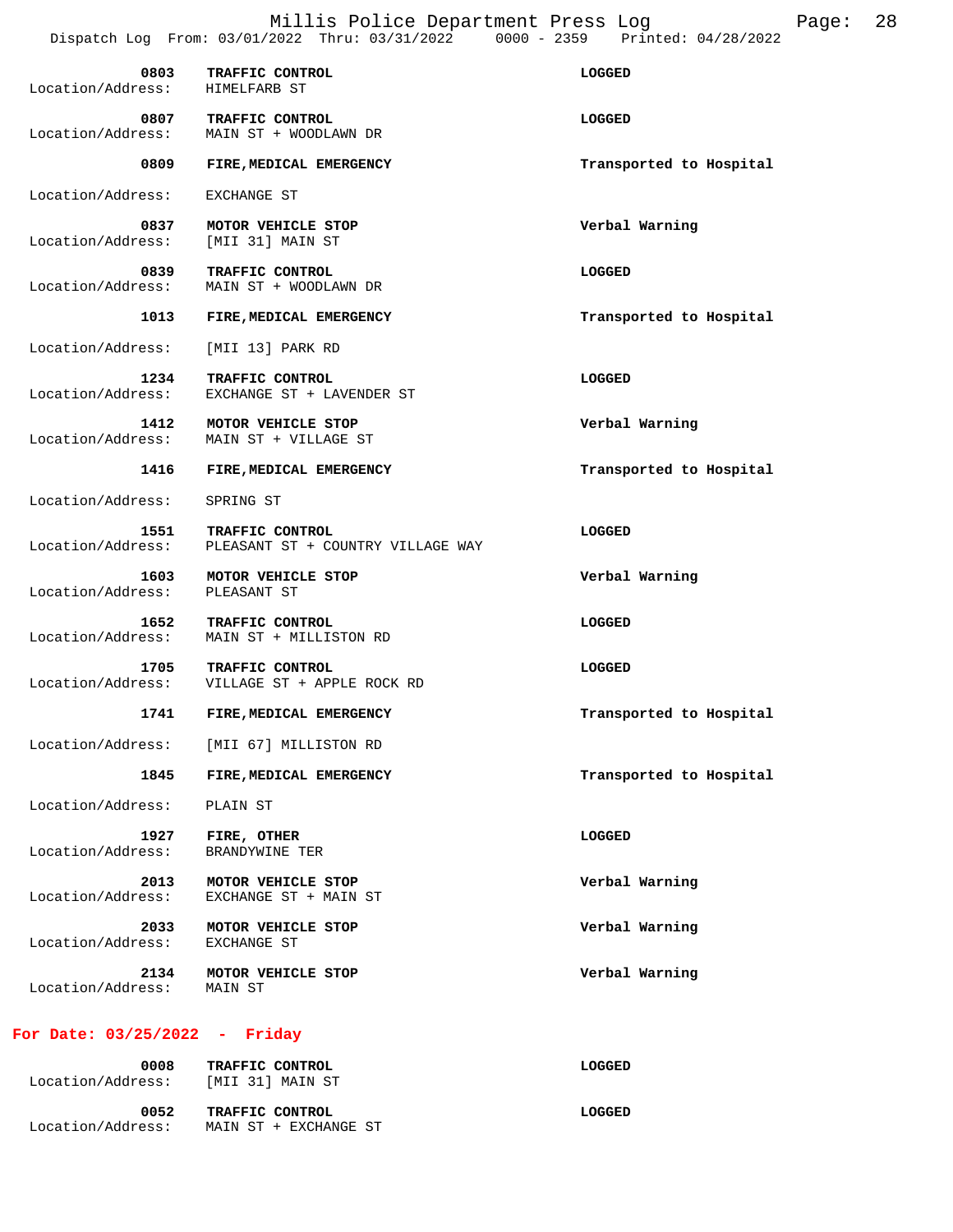Millis Police Department Press Log Page: 28 Dispatch Log From: 03/01/2022 Thru: 03/31/2022 0000 - 2359 Printed: 04/28/2022

| 0803<br>Location/Address:       | TRAFFIC CONTROL<br>HIMELFARB ST                                 | LOGGED                  |
|---------------------------------|-----------------------------------------------------------------|-------------------------|
| 0807<br>Location/Address:       | TRAFFIC CONTROL<br>MAIN ST + WOODLAWN DR                        | LOGGED                  |
| 0809                            | FIRE, MEDICAL EMERGENCY                                         | Transported to Hospital |
| Location/Address:               | EXCHANGE ST                                                     |                         |
| 0837<br>Location/Address:       | MOTOR VEHICLE STOP<br>[MII 31] MAIN ST                          | Verbal Warning          |
| 0839<br>Location/Address:       | TRAFFIC CONTROL<br>MAIN ST + WOODLAWN DR                        | LOGGED                  |
| 1013                            | FIRE, MEDICAL EMERGENCY                                         | Transported to Hospital |
| Location/Address:               | [MII 13] PARK RD                                                |                         |
| 1234<br>Location/Address:       | TRAFFIC CONTROL<br>EXCHANGE ST + LAVENDER ST                    | LOGGED                  |
| 1412<br>Location/Address:       | MOTOR VEHICLE STOP<br>MAIN ST + VILLAGE ST                      | Verbal Warning          |
| 1416                            | FIRE, MEDICAL EMERGENCY                                         | Transported to Hospital |
| Location/Address:               | SPRING ST                                                       |                         |
| 1551<br>Location/Address:       | TRAFFIC CONTROL<br>PLEASANT ST + COUNTRY VILLAGE WAY            | LOGGED                  |
| 1603<br>Location/Address:       | MOTOR VEHICLE STOP<br>PLEASANT ST                               | Verbal Warning          |
| 1652<br>Location/Address:       | TRAFFIC CONTROL<br>MAIN ST + MILLISTON RD                       | LOGGED                  |
| 1705                            | TRAFFIC CONTROL<br>Location/Address: VILLAGE ST + APPLE ROCK RD | LOGGED                  |
| 1741                            | FIRE, MEDICAL EMERGENCY                                         | Transported to Hospital |
|                                 | Location/Address: [MII 67] MILLISTON RD                         |                         |
| 1845                            | FIRE, MEDICAL EMERGENCY                                         | Transported to Hospital |
| Location/Address:               | PLAIN ST                                                        |                         |
| 1927<br>Location/Address:       | FIRE, OTHER<br>BRANDYWINE TER                                   | LOGGED                  |
| 2013<br>Location/Address:       | MOTOR VEHICLE STOP<br>EXCHANGE ST + MAIN ST                     | Verbal Warning          |
| 2033<br>Location/Address:       | MOTOR VEHICLE STOP<br>EXCHANGE ST                               | Verbal Warning          |
| 2134<br>Location/Address:       | MOTOR VEHICLE STOP<br>MAIN ST                                   | Verbal Warning          |
| For Date: $03/25/2022 -$ Friday |                                                                 |                         |

## **0008 TRAFFIC CONTROL LOGGED**  Location/Address: [MII 31] MAIN ST  **0052 TRAFFIC CONTROL LOGGED**  Location/Address: MAIN ST + EXCHANGE ST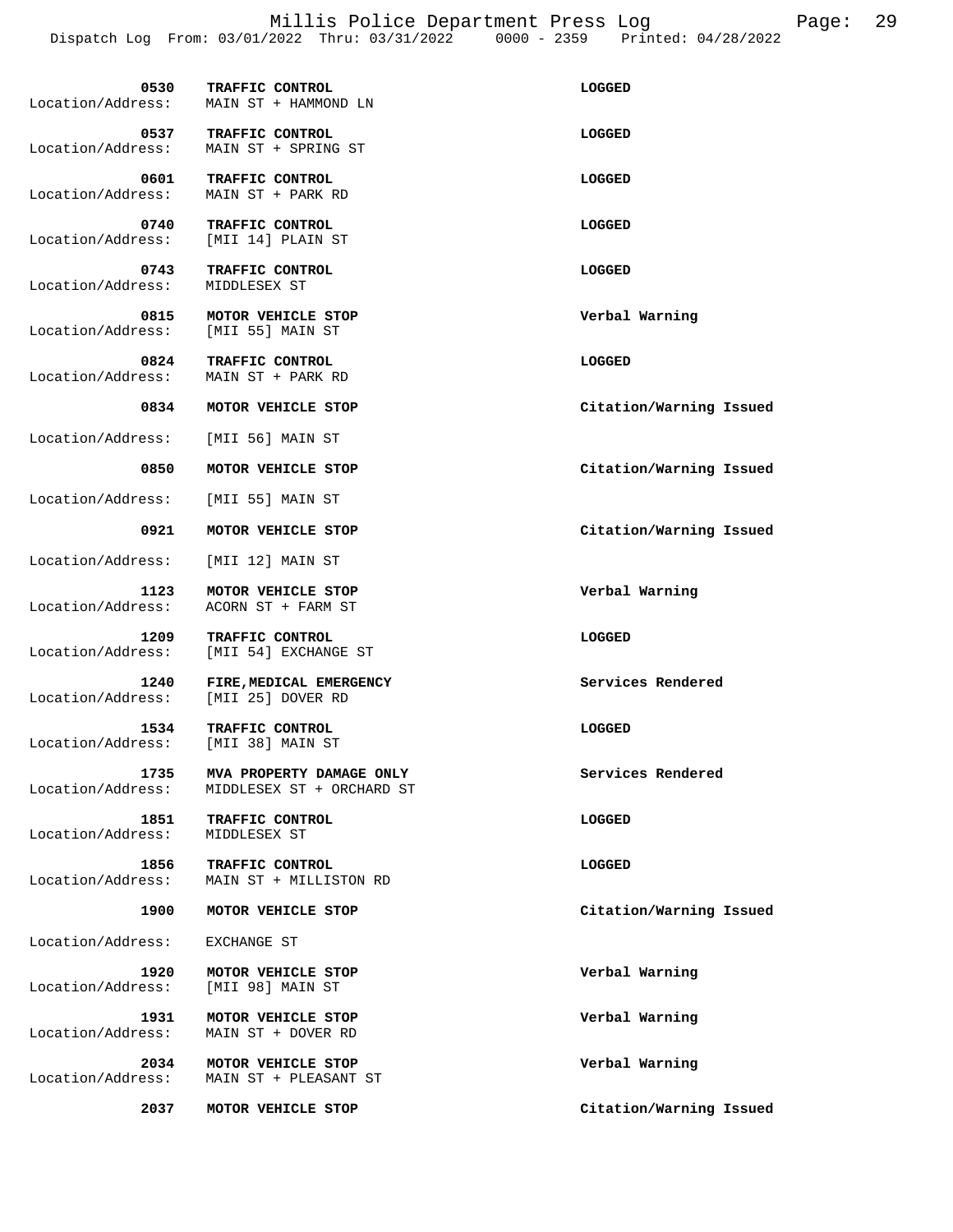Millis Police Department Press Log Page: 29 Dispatch Log From: 03/01/2022 Thru: 03/31/2022 0000 - 2359 Printed: 04/28/2022

| 0530<br>Location/Address: | TRAFFIC CONTROL<br>MAIN ST + HAMMOND LN               | LOGGED                  |
|---------------------------|-------------------------------------------------------|-------------------------|
| 0537<br>Location/Address: | TRAFFIC CONTROL<br>MAIN ST + SPRING ST                | LOGGED                  |
| 0601<br>Location/Address: | TRAFFIC CONTROL<br>MAIN ST + PARK RD                  | LOGGED                  |
| 0740<br>Location/Address: | TRAFFIC CONTROL<br>[MII 14] PLAIN ST                  | <b>LOGGED</b>           |
| 0743<br>Location/Address: | TRAFFIC CONTROL<br>MIDDLESEX ST                       | <b>LOGGED</b>           |
| 0815<br>Location/Address: | MOTOR VEHICLE STOP<br>[MII 55] MAIN ST                | Verbal Warning          |
| 0824<br>Location/Address: | TRAFFIC CONTROL<br>MAIN ST + PARK RD                  | LOGGED                  |
| 0834                      | MOTOR VEHICLE STOP                                    | Citation/Warning Issued |
| Location/Address:         | [MII 56] MAIN ST                                      |                         |
| 0850                      | MOTOR VEHICLE STOP                                    | Citation/Warning Issued |
| Location/Address:         | [MII 55] MAIN ST                                      |                         |
| 0921                      | MOTOR VEHICLE STOP                                    | Citation/Warning Issued |
| Location/Address:         | [MII 12] MAIN ST                                      |                         |
| 1123<br>Location/Address: | MOTOR VEHICLE STOP<br>ACORN ST + FARM ST              | Verbal Warning          |
| 1209<br>Location/Address: | TRAFFIC CONTROL<br>[MII 54] EXCHANGE ST               | LOGGED                  |
| 1240<br>Location/Address: | FIRE, MEDICAL EMERGENCY<br>[MII 25] DOVER RD          | Services Rendered       |
| 1534<br>Location/Address: | TRAFFIC CONTROL<br>[MII 38] MAIN ST                   | <b>LOGGED</b>           |
| 1735<br>Location/Address: | MVA PROPERTY DAMAGE ONLY<br>MIDDLESEX ST + ORCHARD ST | Services Rendered       |
| 1851<br>Location/Address: | TRAFFIC CONTROL<br>MIDDLESEX ST                       | LOGGED                  |
| 1856<br>Location/Address: | TRAFFIC CONTROL<br>MAIN ST + MILLISTON RD             | LOGGED                  |
| 1900                      | MOTOR VEHICLE STOP                                    | Citation/Warning Issued |
| Location/Address:         | EXCHANGE ST                                           |                         |
| 1920<br>Location/Address: | MOTOR VEHICLE STOP<br>[MII 98] MAIN ST                | Verbal Warning          |
| 1931<br>Location/Address: | MOTOR VEHICLE STOP<br>MAIN ST + DOVER RD              | Verbal Warning          |

 **2034 MOTOR VEHICLE STOP Verbal Warning**  Location/Address: MAIN ST + PLEASANT ST

 **2037 MOTOR VEHICLE STOP Citation/Warning Issued**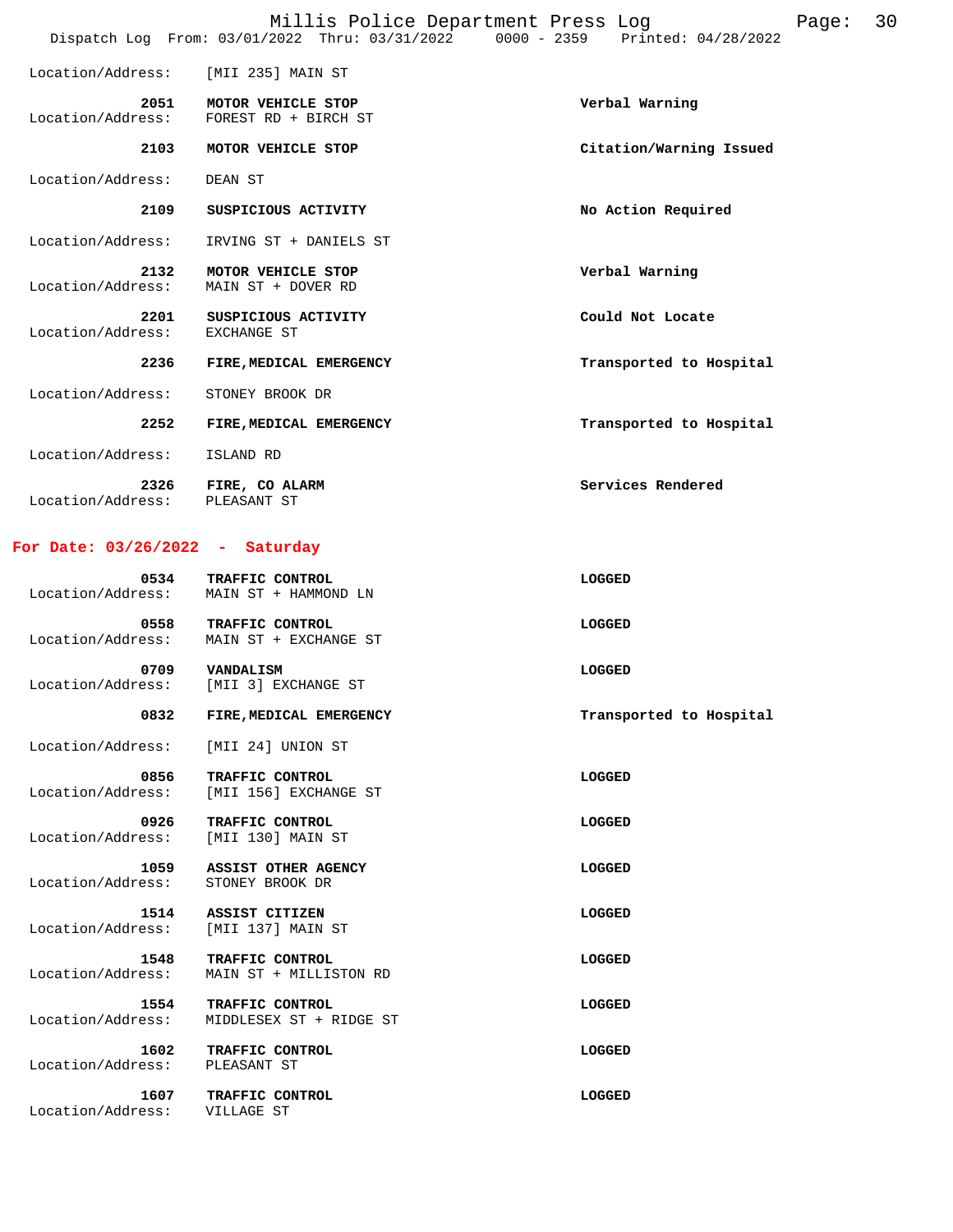Location/Address: [MII 235] MAIN ST  **2051 MOTOR VEHICLE STOP Verbal Warning**  Location/Address: FOREST RD + BIRCH ST  **2103 MOTOR VEHICLE STOP Citation/Warning Issued**  Location/Address: DEAN ST  **2109 SUSPICIOUS ACTIVITY No Action Required**  Location/Address: IRVING ST + DANIELS ST  **2132 MOTOR VEHICLE STOP Verbal Warning**  Location/Address: MAIN ST + DOVER RD  **2201 SUSPICIOUS ACTIVITY Could Not Locate EXCHANGE ST** Location/Address:  **2236 FIRE,MEDICAL EMERGENCY Transported to Hospital**  Location/Address: STONEY BROOK DR  **2252 FIRE,MEDICAL EMERGENCY Transported to Hospital**  Location/Address: ISLAND RD **2326 FIRE, CO ALARM SERVICES Rendered Rendered Services Rendered** Services Rendered

Location/Address:

**For Date: 03/26/2022 - Saturday**

 **0534 TRAFFIC CONTROL LOGGED**  Location/Address: MAIN ST + HAMMOND LN  **0558 TRAFFIC CONTROL**<br>
Location/Address: MAIN ST + EXCHANGE ST MAIN ST + EXCHANGE ST  **0709 VANDALISM LOGGED**  Location/Address: [MII 3] EXCHANGE ST 0832 FIRE, MEDICAL EMERGENCY **TRANSPORT SERVICES TRANSPORTED TRANSPORT**  Location/Address: [MII 24] UNION ST  **0856 TRAFFIC CONTROL LOGGED**  Location/Address: [MII 156] EXCHANGE ST **0926 TRAFFIC CONTROL LOGGED LOGGED**<br>cess: [MII 130] MAIN ST Location/Address:  **1059 ASSIST OTHER AGENCY LOGGED**  Location/Address: STONEY BROOK DR  **1514 ASSIST CITIZEN LOGGED**  Location/Address: [MII 137] MAIN ST **1548 TRAFFIC CONTROL**<br>Location/Address: MAIN ST + MILLISTON RD MAIN ST + MILLISTON RD  **1554 TRAFFIC CONTROL LOGGED**  Location/Address: MIDDLESEX ST + RIDGE ST  **1602 TRAFFIC CONTROL LOGGED**  Location/Address: PLEASANT ST  **1607 TRAFFIC CONTROL LOGGED**  Location/Address: VILLAGE ST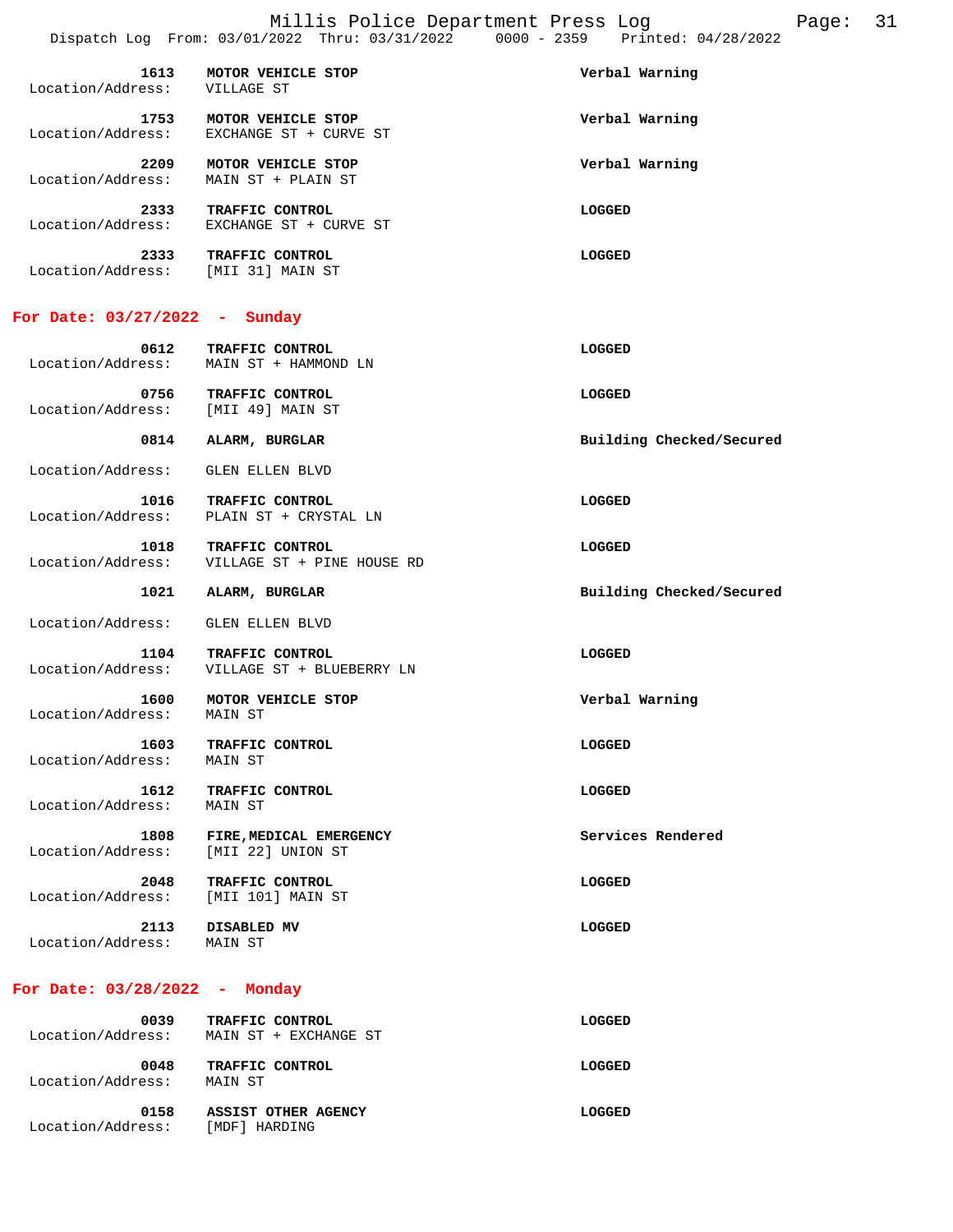| 2333                      | TRAFFIC CONTROL                              | LOGGED         |
|---------------------------|----------------------------------------------|----------------|
| 2333<br>Location/Address: | TRAFFIC CONTROL<br>EXCHANGE ST + CURVE ST    | LOGGED         |
| 2209<br>Location/Address: | MOTOR VEHICLE STOP<br>MAIN ST + PLAIN ST     | Verbal Warning |
| 1753<br>Location/Address: | MOTOR VEHICLE STOP<br>EXCHANGE ST + CURVE ST | Verbal Warning |
| 1613<br>Location/Address: | MOTOR VEHICLE STOP<br>VILLAGE ST             | Verbal Warning |

#### **For Date: 03/27/2022 - Sunday**

Location/Address: [MII 31] MAIN ST

| 0612<br>Location/Address: | <b>TRAFFIC CONTROL</b><br>MAIN ST + HAMMOND LN | LOGGED |
|---------------------------|------------------------------------------------|--------|
| 0756<br>Location/Address: | TRAFFIC CONTROL<br>[MII 49] MAIN ST            | LOGGED |

0814 ALARM, BURGLAR **Building Checked/Secured** 

Location/Address: GLEN ELLEN BLVD

 **1016 TRAFFIC CONTROL LOGGED**  Location/Address: PLAIN ST + CRYSTAL LN

 **1018 TRAFFIC CONTROL LOGGED**  Location/Address: VILLAGE ST + PINE HOUSE RD

1021 ALARM, BURGLAR **Building Checked/Secured** 

Location/Address: GLEN ELLEN BLVD

 **1104 TRAFFIC CONTROL LOGGED**  Location/Address: VILLAGE ST + BLUEBERRY LN

 **1600 MOTOR VEHICLE STOP Verbal Warning**  Location/Address:

 **1603 TRAFFIC CONTROL LOGGED**  Location/Address: MAIN ST

 **1612 TRAFFIC CONTROL LOGGED**  Location/Address: MAIN ST

 **1808 FIRE,MEDICAL EMERGENCY Services Rendered**  Location/Address: [MII 22] UNION ST

 **2048 TRAFFIC CONTROL LOGGED** 

Location/Address: [MII 101] MAIN ST

 **2113 DISABLED MV LOGGED** 

Location/Address: MAIN ST

#### **For Date: 03/28/2022 - Monday**

| 0039<br>Location/Address: | TRAFFIC CONTROL<br>MAIN ST + EXCHANGE ST | LOGGED |
|---------------------------|------------------------------------------|--------|
| 0048<br>Location/Address: | TRAFFIC CONTROL<br>MAIN ST               | LOGGED |
| 0158<br>Location/Address: | ASSIST OTHER AGENCY<br>[MDF] HARDING     | LOGGED |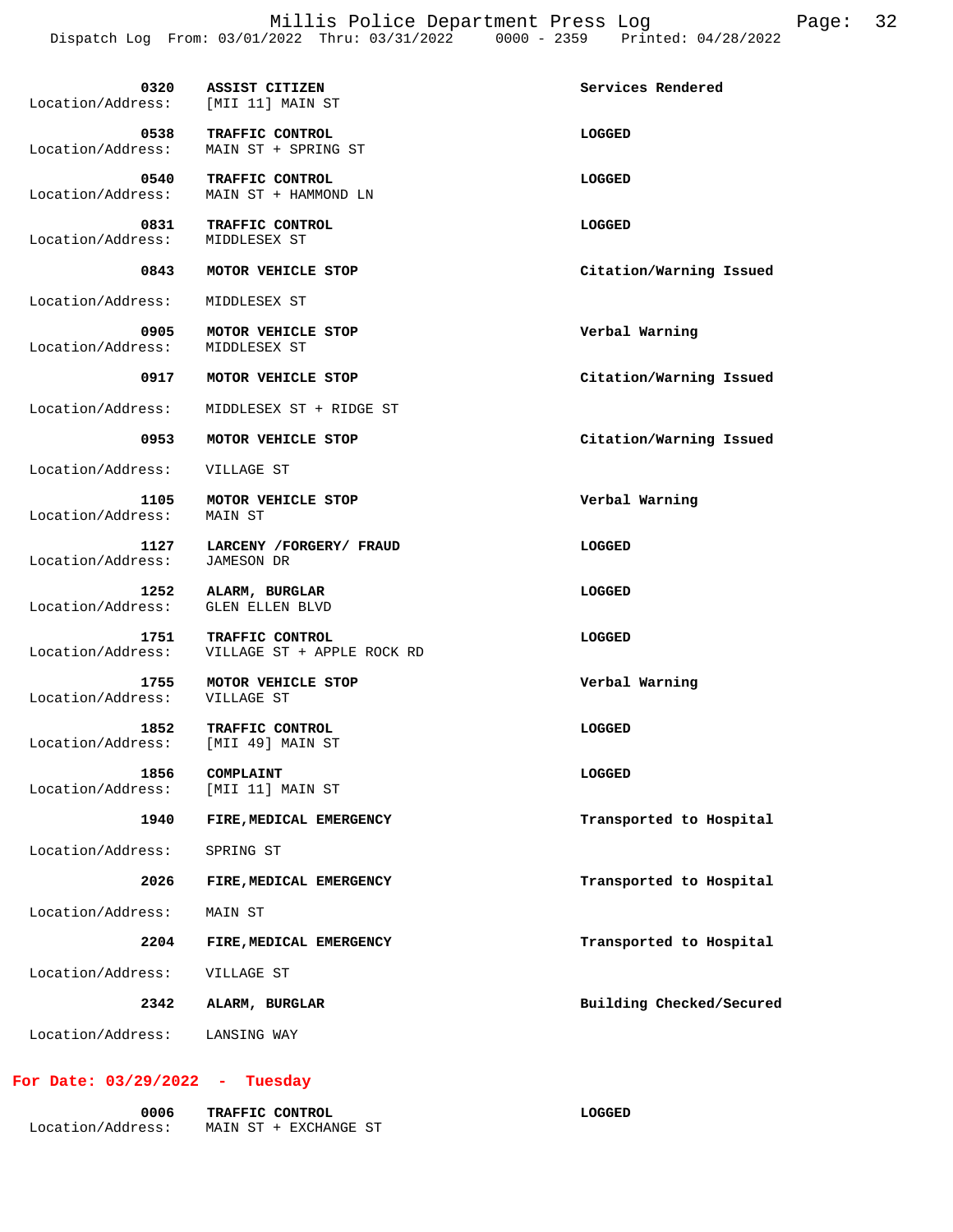| 0320<br>Location/Address:                  | ASSIST CITIZEN<br>[MII 11] MAIN ST            | Services Rendered        |
|--------------------------------------------|-----------------------------------------------|--------------------------|
| 0538<br>Location/Address:                  | TRAFFIC CONTROL<br>MAIN ST + SPRING ST        | LOGGED                   |
| Location/Address:                          | 0540 TRAFFIC CONTROL<br>MAIN ST + HAMMOND LN  | LOGGED                   |
| 0831<br>Location/Address:                  | TRAFFIC CONTROL<br>MIDDLESEX ST               | LOGGED                   |
| 0843                                       | MOTOR VEHICLE STOP                            | Citation/Warning Issued  |
| Location/Address:                          | MIDDLESEX ST                                  |                          |
| 0905<br>Location/Address:                  | MOTOR VEHICLE STOP<br>MIDDLESEX ST            | Verbal Warning           |
|                                            | 0917 MOTOR VEHICLE STOP                       | Citation/Warning Issued  |
| Location/Address:                          | MIDDLESEX ST + RIDGE ST                       |                          |
| 0953                                       | MOTOR VEHICLE STOP                            | Citation/Warning Issued  |
| Location/Address:                          | VILLAGE ST                                    |                          |
| 1105<br>Location/Address:                  | MOTOR VEHICLE STOP<br>MAIN ST                 | Verbal Warning           |
| 1127<br>Location/Address:                  | LARCENY / FORGERY / FRAUD<br>JAMESON DR       | LOGGED                   |
| 1252<br>Location/Address:                  | ALARM, BURGLAR<br><b>GLEN ELLEN BLVD</b>      | LOGGED                   |
| 1751<br>Location/Address:                  | TRAFFIC CONTROL<br>VILLAGE ST + APPLE ROCK RD | LOGGED                   |
| 1755<br>Location/Address:                  | MOTOR VEHICLE STOP<br>VILLAGE ST              | Verbal Warning           |
| 1852<br>Location/Address: [MII 49] MAIN ST | TRAFFIC CONTROL                               | LOGGED                   |
| 1856<br>Location/Address:                  | COMPLAINT<br>[MII 11] MAIN ST                 | LOGGED                   |
| 1940                                       | FIRE, MEDICAL EMERGENCY                       | Transported to Hospital  |
| Location/Address:                          | SPRING ST                                     |                          |
| 2026                                       | FIRE, MEDICAL EMERGENCY                       | Transported to Hospital  |
| Location/Address:                          | MAIN ST                                       |                          |
| 2204                                       | FIRE, MEDICAL EMERGENCY                       | Transported to Hospital  |
| Location/Address:                          | VILLAGE ST                                    |                          |
| 2342                                       | ALARM, BURGLAR                                | Building Checked/Secured |
| Location/Address:                          | LANSING WAY                                   |                          |

## **For Date: 03/29/2022 - Tuesday**

| 0006              | <b>TRAFFIC CONTROL</b> | LOGGED |
|-------------------|------------------------|--------|
| Location/Address: | MAIN ST + EXCHANGE ST  |        |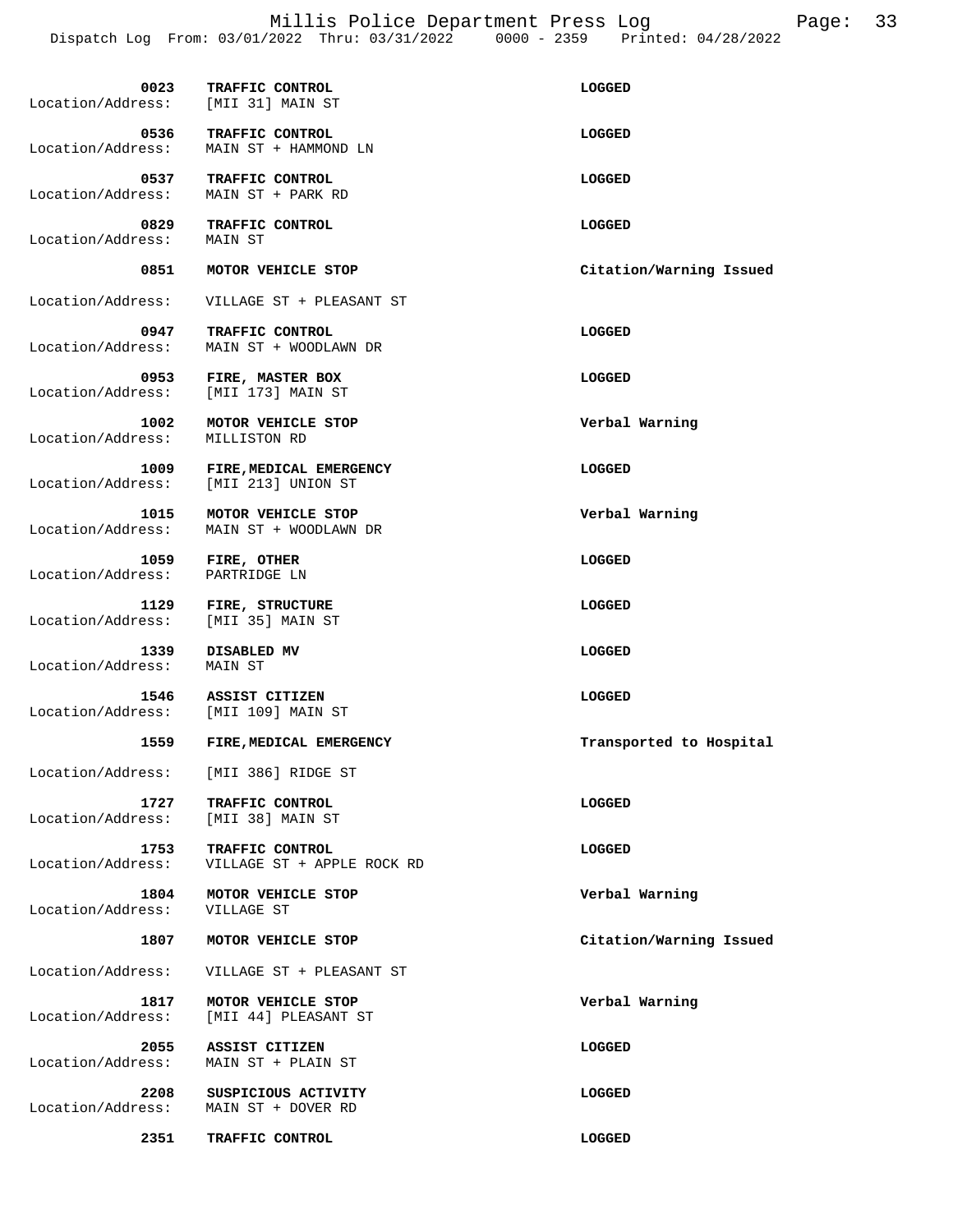Millis Police Department Press Log Page: 33 Dispatch Log From: 03/01/2022 Thru: 03/31/2022 0000 - 2359 Printed: 04/28/2022

| Location/Address: [MII 31] MAIN ST          | 0023 TRAFFIC CONTROL                          | LOGGED                  |
|---------------------------------------------|-----------------------------------------------|-------------------------|
| 0536<br>Location/Address:                   | TRAFFIC CONTROL<br>MAIN ST + HAMMOND LN       | LOGGED                  |
| 0537<br>Location/Address:                   | TRAFFIC CONTROL<br>MAIN ST + PARK RD          | LOGGED                  |
| 0829<br>Location/Address:                   | TRAFFIC CONTROL<br>MAIN ST                    | LOGGED                  |
| 0851                                        | MOTOR VEHICLE STOP                            | Citation/Warning Issued |
| Location/Address:                           | VILLAGE ST + PLEASANT ST                      |                         |
| 0947<br>Location/Address:                   | TRAFFIC CONTROL<br>MAIN ST + WOODLAWN DR      | LOGGED                  |
| 0953<br>Location/Address:                   | FIRE, MASTER BOX<br>[MII 173] MAIN ST         | LOGGED                  |
| 1002<br>Location/Address:                   | MOTOR VEHICLE STOP<br>MILLISTON RD            | Verbal Warning          |
| 1009<br>Location/Address:                   | FIRE, MEDICAL EMERGENCY<br>[MII 213] UNION ST | LOGGED                  |
| 1015<br>Location/Address:                   | MOTOR VEHICLE STOP<br>MAIN ST + WOODLAWN DR   | Verbal Warning          |
| 1059<br>Location/Address:                   | FIRE, OTHER<br>PARTRIDGE LN                   | LOGGED                  |
| 1129<br>Location/Address:                   | FIRE, STRUCTURE<br>[MII 35] MAIN ST           | LOGGED                  |
| 1339<br>Location/Address:                   | DISABLED MV<br>MAIN ST                        | LOGGED                  |
| 1546<br>Location/Address: [MII 109] MAIN ST | ASSIST CITIZEN                                | LOGGED                  |
| 1559                                        | FIRE, MEDICAL EMERGENCY                       | Transported to Hospital |
| Location/Address:                           | [MII 386] RIDGE ST                            |                         |
| 1727<br>Location/Address:                   | TRAFFIC CONTROL<br>[MII 38] MAIN ST           | LOGGED                  |
| 1753<br>Location/Address:                   | TRAFFIC CONTROL<br>VILLAGE ST + APPLE ROCK RD | LOGGED                  |
| 1804<br>Location/Address:                   | MOTOR VEHICLE STOP<br>VILLAGE ST              | Verbal Warning          |
| 1807                                        | MOTOR VEHICLE STOP                            | Citation/Warning Issued |
| Location/Address:                           | VILLAGE ST + PLEASANT ST                      |                         |
| 1817<br>Location/Address:                   | MOTOR VEHICLE STOP<br>[MII 44] PLEASANT ST    | Verbal Warning          |
| 2055<br>Location/Address:                   | ASSIST CITIZEN<br>MAIN ST + PLAIN ST          | <b>LOGGED</b>           |
| 2208<br>Location/Address:                   | SUSPICIOUS ACTIVITY<br>MAIN ST + DOVER RD     | LOGGED                  |
| 2351                                        | TRAFFIC CONTROL                               | LOGGED                  |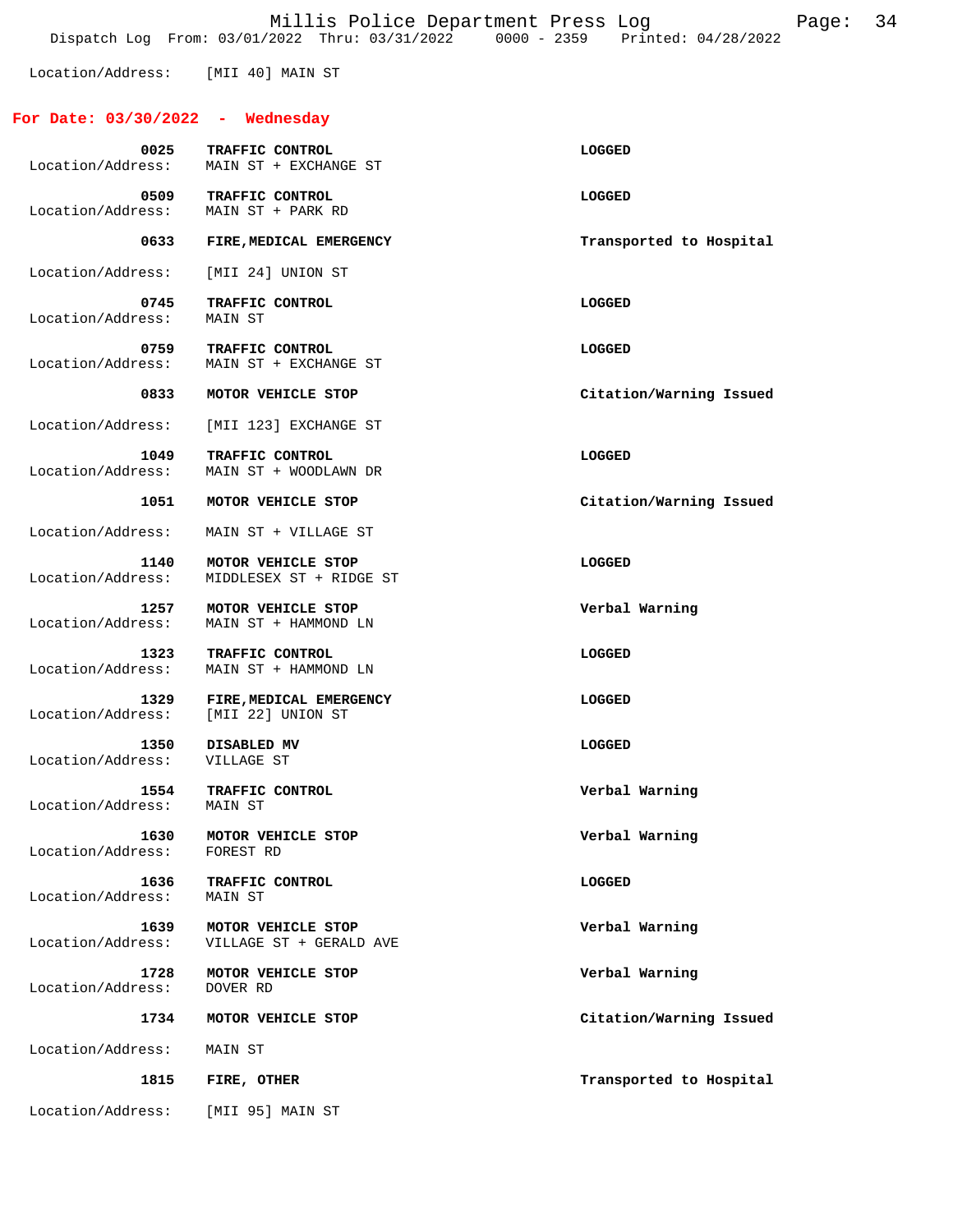Millis Police Department Press Log Page: 34 Dispatch Log From: 03/01/2022 Thru: 03/31/2022 0000 - 2359 Printed: 04/28/2022

Location/Address: [MII 40] MAIN ST

# **For Date: 03/30/2022 - Wednesday**

| 0025                      | TRAFFIC CONTROL<br>Location/Address: MAIN ST + EXCHANGE ST | LOGGED                  |
|---------------------------|------------------------------------------------------------|-------------------------|
| 0509<br>Location/Address: | TRAFFIC CONTROL<br>MAIN ST + PARK RD                       | LOGGED                  |
| 0633                      | FIRE, MEDICAL EMERGENCY                                    | Transported to Hospital |
| Location/Address:         | [MII 24] UNION ST                                          |                         |
| 0745<br>Location/Address: | TRAFFIC CONTROL<br>MAIN ST                                 | LOGGED                  |
| 0759<br>Location/Address: | TRAFFIC CONTROL<br>MAIN ST + EXCHANGE ST                   | LOGGED                  |
| 0833                      | MOTOR VEHICLE STOP                                         | Citation/Warning Issued |
| Location/Address:         | [MII 123] EXCHANGE ST                                      |                         |
| 1049<br>Location/Address: | TRAFFIC CONTROL<br>MAIN ST + WOODLAWN DR                   | LOGGED                  |
| 1051                      | MOTOR VEHICLE STOP                                         | Citation/Warning Issued |
| Location/Address:         | MAIN ST + VILLAGE ST                                       |                         |
| 1140<br>Location/Address: | MOTOR VEHICLE STOP<br>MIDDLESEX ST + RIDGE ST              | <b>LOGGED</b>           |
| 1257<br>Location/Address: | MOTOR VEHICLE STOP<br>MAIN ST + HAMMOND LN                 | Verbal Warning          |
| 1323<br>Location/Address: | TRAFFIC CONTROL<br>MAIN ST + HAMMOND LN                    | LOGGED                  |
| 1329<br>Location/Address: | FIRE, MEDICAL EMERGENCY<br>[MII 22] UNION ST               | LOGGED                  |
| 1350<br>Location/Address: | DISABLED MV<br>VILLAGE ST                                  | LOGGED                  |
| 1554<br>Location/Address: | TRAFFIC CONTROL<br>MAIN ST                                 | Verbal Warning          |
| 1630<br>Location/Address: | MOTOR VEHICLE STOP<br>FOREST RD                            | Verbal Warning          |
| 1636<br>Location/Address: | TRAFFIC CONTROL<br>MAIN ST                                 | LOGGED                  |
| 1639<br>Location/Address: | MOTOR VEHICLE STOP<br>VILLAGE ST + GERALD AVE              | Verbal Warning          |
| 1728<br>Location/Address: | MOTOR VEHICLE STOP<br>DOVER RD                             | Verbal Warning          |
| 1734                      | MOTOR VEHICLE STOP                                         | Citation/Warning Issued |
| Location/Address:         | MAIN ST                                                    |                         |
| 1815                      | FIRE, OTHER                                                | Transported to Hospital |
| Location/Address:         | [MII 95] MAIN ST                                           |                         |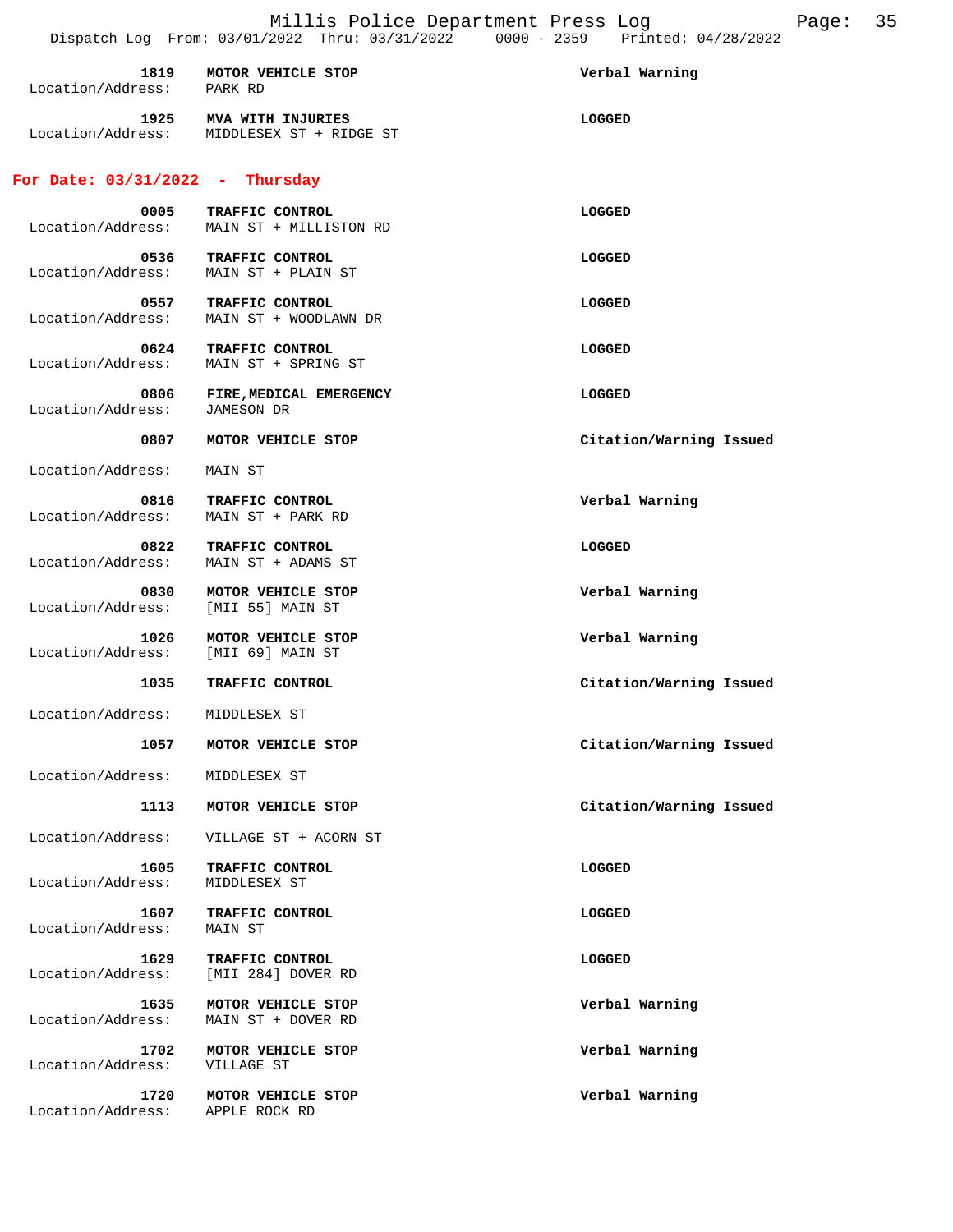| Location/Address: PARK RD                  | 1819 MOTOR VEHICLE STOP                       | Verbal Warning          |
|--------------------------------------------|-----------------------------------------------|-------------------------|
| 1925<br>Location/Address:                  | MVA WITH INJURIES<br>MIDDLESEX ST + RIDGE ST  | LOGGED                  |
| For Date: $03/31/2022 - Thursday$          |                                               |                         |
| 0005<br>Location/Address:                  | TRAFFIC CONTROL<br>MAIN ST + MILLISTON RD     | <b>LOGGED</b>           |
| Location/Address:                          | 0536 TRAFFIC CONTROL<br>MAIN ST + PLAIN ST    | LOGGED                  |
| Location/Address:                          | 0557 TRAFFIC CONTROL<br>MAIN ST + WOODLAWN DR | LOGGED                  |
| 0624<br>Location/Address:                  | TRAFFIC CONTROL<br>MAIN ST + SPRING ST        | LOGGED                  |
| 0806<br>Location/Address:                  | FIRE, MEDICAL EMERGENCY<br>JAMESON DR         | LOGGED                  |
| 0807                                       | MOTOR VEHICLE STOP                            | Citation/Warning Issued |
| Location/Address:                          | MAIN ST                                       |                         |
| 0816<br>Location/Address:                  | TRAFFIC CONTROL<br>MAIN ST + PARK RD          | Verbal Warning          |
| 0822<br>Location/Address:                  | TRAFFIC CONTROL<br>MAIN ST + ADAMS ST         | LOGGED                  |
| 0830<br>Location/Address:                  | MOTOR VEHICLE STOP<br>[MII 55] MAIN ST        | Verbal Warning          |
| 1026<br>Location/Address: [MII 69] MAIN ST | MOTOR VEHICLE STOP                            | Verbal Warning          |
| 1035                                       | TRAFFIC CONTROL                               | Citation/Warning Issued |
| Location/Address:                          | MIDDLESEX ST                                  |                         |
| 1057                                       | MOTOR VEHICLE STOP                            | Citation/Warning Issued |
| Location/Address:                          | MIDDLESEX ST                                  |                         |
| 1113                                       | MOTOR VEHICLE STOP                            | Citation/Warning Issued |
| Location/Address:                          | VILLAGE ST + ACORN ST                         |                         |
| 1605<br>Location/Address:                  | TRAFFIC CONTROL<br>MIDDLESEX ST               | LOGGED                  |
| 1607<br>Location/Address:                  | TRAFFIC CONTROL<br>MAIN ST                    | LOGGED                  |
| 1629<br>Location/Address:                  | TRAFFIC CONTROL<br>[MII 284] DOVER RD         | LOGGED                  |
| 1635<br>Location/Address:                  | MOTOR VEHICLE STOP<br>MAIN ST + DOVER RD      | Verbal Warning          |
| 1702<br>Location/Address:                  | MOTOR VEHICLE STOP<br>VILLAGE ST              | Verbal Warning          |
| 1720<br>Location/Address:                  | MOTOR VEHICLE STOP<br>APPLE ROCK RD           | Verbal Warning          |